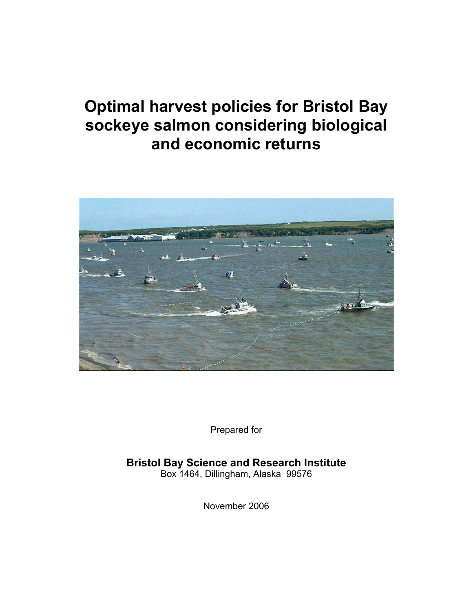# **Optimal harvest policies for Bristol Bay sockeye salmon considering biological and economic returns**



Prepared for

**Bristol Bay Science and Research Institute**  Box 1464, Dillingham, Alaska 99576

November 2006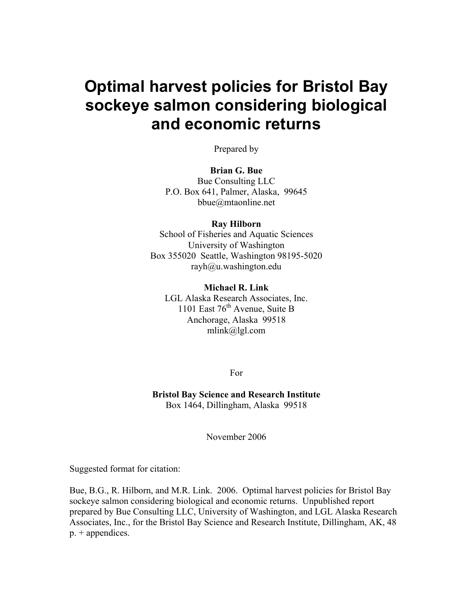# **Optimal harvest policies for Bristol Bay sockeye salmon considering biological and economic returns**

Prepared by

# **Brian G. Bue**

Bue Consulting LLC P.O. Box 641, Palmer, Alaska, 99645 bbue@mtaonline.net

#### **Ray Hilborn**

School of Fisheries and Aquatic Sciences University of Washington Box 355020 Seattle, Washington 98195-5020  $r \alpha \nu h \omega u$ .washington.edu

#### **Michael R. Link**

LGL Alaska Research Associates, Inc. 1101 East  $76<sup>th</sup>$  Avenue, Suite B Anchorage, Alaska 99518 mlink@lgl.com

For

**Bristol Bay Science and Research Institute**  Box 1464, Dillingham, Alaska 99518

November 2006

Suggested format for citation:

Bue, B.G., R. Hilborn, and M.R. Link. 2006. Optimal harvest policies for Bristol Bay sockeye salmon considering biological and economic returns. Unpublished report prepared by Bue Consulting LLC, University of Washington, and LGL Alaska Research Associates, Inc., for the Bristol Bay Science and Research Institute, Dillingham, AK, 48 p. + appendices.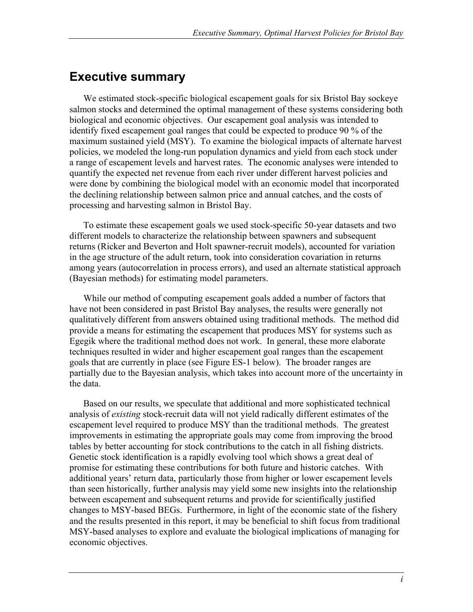# **Executive summary**

We estimated stock-specific biological escapement goals for six Bristol Bay sockeye salmon stocks and determined the optimal management of these systems considering both biological and economic objectives. Our escapement goal analysis was intended to identify fixed escapement goal ranges that could be expected to produce 90 % of the maximum sustained yield (MSY). To examine the biological impacts of alternate harvest policies, we modeled the long-run population dynamics and yield from each stock under a range of escapement levels and harvest rates. The economic analyses were intended to quantify the expected net revenue from each river under different harvest policies and were done by combining the biological model with an economic model that incorporated the declining relationship between salmon price and annual catches, and the costs of processing and harvesting salmon in Bristol Bay.

To estimate these escapement goals we used stock-specific 50-year datasets and two different models to characterize the relationship between spawners and subsequent returns (Ricker and Beverton and Holt spawner-recruit models), accounted for variation in the age structure of the adult return, took into consideration covariation in returns among years (autocorrelation in process errors), and used an alternate statistical approach (Bayesian methods) for estimating model parameters.

While our method of computing escapement goals added a number of factors that have not been considered in past Bristol Bay analyses, the results were generally not qualitatively different from answers obtained using traditional methods. The method did provide a means for estimating the escapement that produces MSY for systems such as Egegik where the traditional method does not work. In general, these more elaborate techniques resulted in wider and higher escapement goal ranges than the escapement goals that are currently in place (see Figure ES-1 below). The broader ranges are partially due to the Bayesian analysis, which takes into account more of the uncertainty in the data.

Based on our results, we speculate that additional and more sophisticated technical analysis of *existing* stock-recruit data will not yield radically different estimates of the escapement level required to produce MSY than the traditional methods. The greatest improvements in estimating the appropriate goals may come from improving the brood tables by better accounting for stock contributions to the catch in all fishing districts. Genetic stock identification is a rapidly evolving tool which shows a great deal of promise for estimating these contributions for both future and historic catches. With additional years' return data, particularly those from higher or lower escapement levels than seen historically, further analysis may yield some new insights into the relationship between escapement and subsequent returns and provide for scientifically justified changes to MSY-based BEGs. Furthermore, in light of the economic state of the fishery and the results presented in this report, it may be beneficial to shift focus from traditional MSY-based analyses to explore and evaluate the biological implications of managing for economic objectives.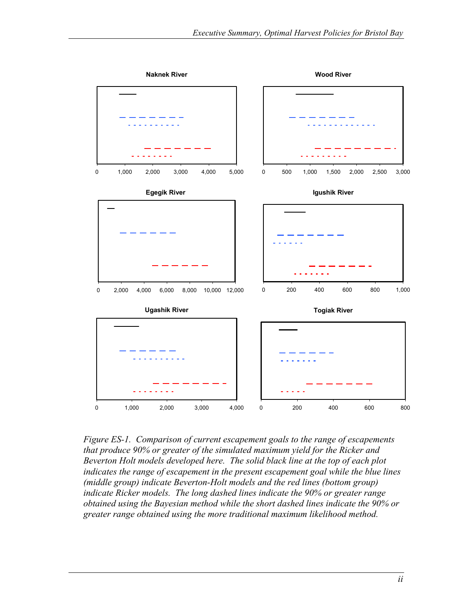

*Figure ES-1. Comparison of current escapement goals to the range of escapements that produce 90% or greater of the simulated maximum yield for the Ricker and Beverton Holt models developed here. The solid black line at the top of each plot indicates the range of escapement in the present escapement goal while the blue lines (middle group) indicate Beverton-Holt models and the red lines (bottom group) indicate Ricker models. The long dashed lines indicate the 90% or greater range obtained using the Bayesian method while the short dashed lines indicate the 90% or greater range obtained using the more traditional maximum likelihood method.*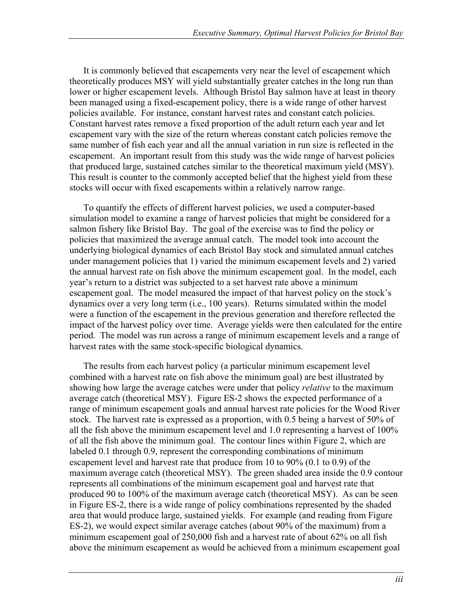It is commonly believed that escapements very near the level of escapement which theoretically produces MSY will yield substantially greater catches in the long run than lower or higher escapement levels. Although Bristol Bay salmon have at least in theory been managed using a fixed-escapement policy, there is a wide range of other harvest policies available. For instance, constant harvest rates and constant catch policies. Constant harvest rates remove a fixed proportion of the adult return each year and let escapement vary with the size of the return whereas constant catch policies remove the same number of fish each year and all the annual variation in run size is reflected in the escapement. An important result from this study was the wide range of harvest policies that produced large, sustained catches similar to the theoretical maximum yield (MSY). This result is counter to the commonly accepted belief that the highest yield from these stocks will occur with fixed escapements within a relatively narrow range.

To quantify the effects of different harvest policies, we used a computer-based simulation model to examine a range of harvest policies that might be considered for a salmon fishery like Bristol Bay. The goal of the exercise was to find the policy or policies that maximized the average annual catch. The model took into account the underlying biological dynamics of each Bristol Bay stock and simulated annual catches under management policies that 1) varied the minimum escapement levels and 2) varied the annual harvest rate on fish above the minimum escapement goal. In the model, each year's return to a district was subjected to a set harvest rate above a minimum escapement goal. The model measured the impact of that harvest policy on the stock's dynamics over a very long term (i.e., 100 years). Returns simulated within the model were a function of the escapement in the previous generation and therefore reflected the impact of the harvest policy over time. Average yields were then calculated for the entire period. The model was run across a range of minimum escapement levels and a range of harvest rates with the same stock-specific biological dynamics.

The results from each harvest policy (a particular minimum escapement level combined with a harvest rate on fish above the minimum goal) are best illustrated by showing how large the average catches were under that policy *relative* to the maximum average catch (theoretical MSY). Figure ES-2 shows the expected performance of a range of minimum escapement goals and annual harvest rate policies for the Wood River stock. The harvest rate is expressed as a proportion, with 0.5 being a harvest of 50% of all the fish above the minimum escapement level and 1.0 representing a harvest of 100% of all the fish above the minimum goal. The contour lines within Figure 2, which are labeled 0.1 through 0.9, represent the corresponding combinations of minimum escapement level and harvest rate that produce from 10 to 90% (0.1 to 0.9) of the maximum average catch (theoretical MSY). The green shaded area inside the 0.9 contour represents all combinations of the minimum escapement goal and harvest rate that produced 90 to 100% of the maximum average catch (theoretical MSY). As can be seen in Figure ES-2, there is a wide range of policy combinations represented by the shaded area that would produce large, sustained yields. For example (and reading from Figure ES-2), we would expect similar average catches (about 90% of the maximum) from a minimum escapement goal of 250,000 fish and a harvest rate of about 62% on all fish above the minimum escapement as would be achieved from a minimum escapement goal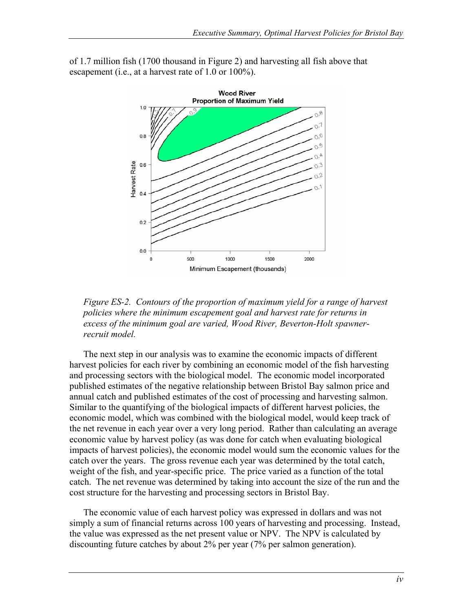of 1.7 million fish (1700 thousand in Figure 2) and harvesting all fish above that escapement (i.e., at a harvest rate of 1.0 or 100%).



*Figure ES-2. Contours of the proportion of maximum yield for a range of harvest policies where the minimum escapement goal and harvest rate for returns in excess of the minimum goal are varied, Wood River, Beverton-Holt spawnerrecruit model.* 

The next step in our analysis was to examine the economic impacts of different harvest policies for each river by combining an economic model of the fish harvesting and processing sectors with the biological model. The economic model incorporated published estimates of the negative relationship between Bristol Bay salmon price and annual catch and published estimates of the cost of processing and harvesting salmon. Similar to the quantifying of the biological impacts of different harvest policies, the economic model, which was combined with the biological model, would keep track of the net revenue in each year over a very long period. Rather than calculating an average economic value by harvest policy (as was done for catch when evaluating biological impacts of harvest policies), the economic model would sum the economic values for the catch over the years. The gross revenue each year was determined by the total catch, weight of the fish, and year-specific price. The price varied as a function of the total catch. The net revenue was determined by taking into account the size of the run and the cost structure for the harvesting and processing sectors in Bristol Bay.

The economic value of each harvest policy was expressed in dollars and was not simply a sum of financial returns across 100 years of harvesting and processing. Instead, the value was expressed as the net present value or NPV. The NPV is calculated by discounting future catches by about 2% per year (7% per salmon generation).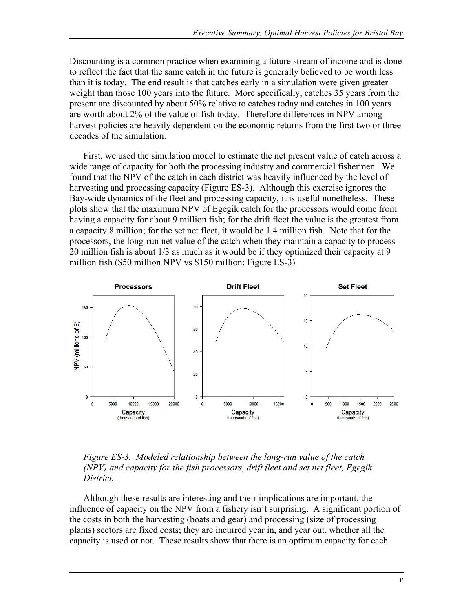Discounting is a common practice when examining a future stream of income and is done to reflect the fact that the same catch in the future is generally believed to be worth less than it is today. The end result is that catches early in a simulation were given greater weight than those 100 years into the future. More specifically, catches 35 years from the present are discounted by about 50% relative to catches today and catches in 100 years are worth about 2% of the value of fish today. Therefore differences in NPV among harvest policies are heavily dependent on the economic returns from the first two or three decades of the simulation.

First, we used the simulation model to estimate the net present value of catch across a wide range of capacity for both the processing industry and commercial fishermen. We found that the NPV of the catch in each district was heavily influenced by the level of harvesting and processing capacity (Figure ES-3). Although this exercise ignores the Bay-wide dynamics of the fleet and processing capacity, it is useful nonetheless. These plots show that the maximum NPV of Egegik catch for the processors would come from having a capacity for about 9 million fish; for the drift fleet the value is the greatest from a capacity 8 million; for the set net fleet, it would be 1.4 million fish. Note that for the processors, the long-run net value of the catch when they maintain a capacity to process 20 million fish is about 1/3 as much as it would be if they optimized their capacity at 9 million fish (\$50 million NPV vs \$150 million; Figure ES-3)



*Figure ES-3. Modeled relationship between the long-run value of the catch (NPV) and capacity for the fish processors, drift fleet and set net fleet, Egegik District.* 

Although these results are interesting and their implications are important, the influence of capacity on the NPV from a fishery isn't surprising. A significant portion of the costs in both the harvesting (boats and gear) and processing (size of processing plants) sectors are fixed costs; they are incurred year in, and year out, whether all the capacity is used or not. These results show that there is an optimum capacity for each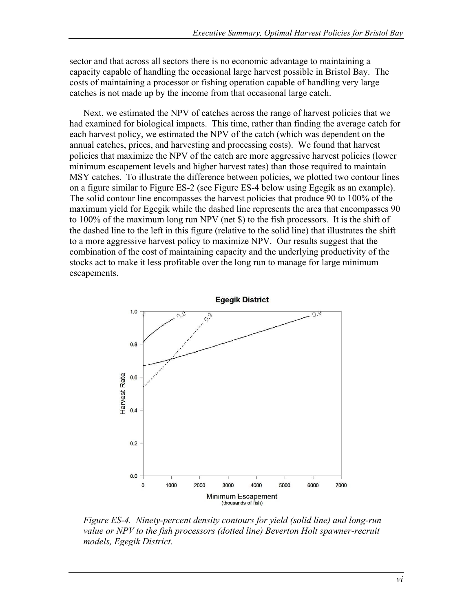sector and that across all sectors there is no economic advantage to maintaining a capacity capable of handling the occasional large harvest possible in Bristol Bay. The costs of maintaining a processor or fishing operation capable of handling very large catches is not made up by the income from that occasional large catch.

Next, we estimated the NPV of catches across the range of harvest policies that we had examined for biological impacts. This time, rather than finding the average catch for each harvest policy, we estimated the NPV of the catch (which was dependent on the annual catches, prices, and harvesting and processing costs). We found that harvest policies that maximize the NPV of the catch are more aggressive harvest policies (lower minimum escapement levels and higher harvest rates) than those required to maintain MSY catches. To illustrate the difference between policies, we plotted two contour lines on a figure similar to Figure ES-2 (see Figure ES-4 below using Egegik as an example). The solid contour line encompasses the harvest policies that produce 90 to 100% of the maximum yield for Egegik while the dashed line represents the area that encompasses 90 to 100% of the maximum long run NPV (net \$) to the fish processors. It is the shift of the dashed line to the left in this figure (relative to the solid line) that illustrates the shift to a more aggressive harvest policy to maximize NPV. Our results suggest that the combination of the cost of maintaining capacity and the underlying productivity of the stocks act to make it less profitable over the long run to manage for large minimum escapements.



*Figure ES-4. Ninety-percent density contours for yield (solid line) and long-run value or NPV to the fish processors (dotted line) Beverton Holt spawner-recruit models, Egegik District.*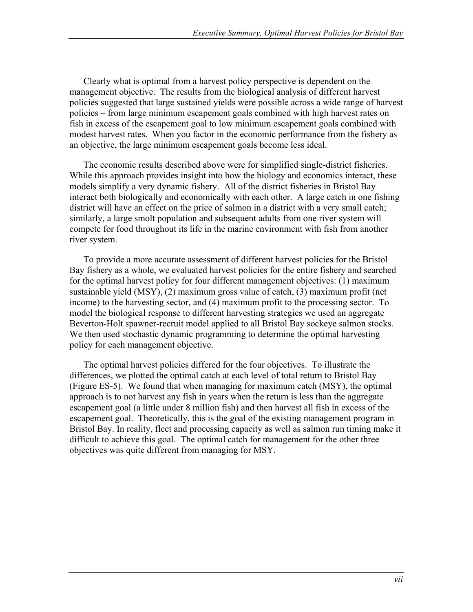Clearly what is optimal from a harvest policy perspective is dependent on the management objective. The results from the biological analysis of different harvest policies suggested that large sustained yields were possible across a wide range of harvest policies – from large minimum escapement goals combined with high harvest rates on fish in excess of the escapement goal to low minimum escapement goals combined with modest harvest rates. When you factor in the economic performance from the fishery as an objective, the large minimum escapement goals become less ideal.

The economic results described above were for simplified single-district fisheries. While this approach provides insight into how the biology and economics interact, these models simplify a very dynamic fishery. All of the district fisheries in Bristol Bay interact both biologically and economically with each other. A large catch in one fishing district will have an effect on the price of salmon in a district with a very small catch; similarly, a large smolt population and subsequent adults from one river system will compete for food throughout its life in the marine environment with fish from another river system.

To provide a more accurate assessment of different harvest policies for the Bristol Bay fishery as a whole, we evaluated harvest policies for the entire fishery and searched for the optimal harvest policy for four different management objectives: (1) maximum sustainable yield (MSY), (2) maximum gross value of catch, (3) maximum profit (net income) to the harvesting sector, and (4) maximum profit to the processing sector. To model the biological response to different harvesting strategies we used an aggregate Beverton-Holt spawner-recruit model applied to all Bristol Bay sockeye salmon stocks. We then used stochastic dynamic programming to determine the optimal harvesting policy for each management objective.

The optimal harvest policies differed for the four objectives. To illustrate the differences, we plotted the optimal catch at each level of total return to Bristol Bay (Figure ES-5). We found that when managing for maximum catch (MSY), the optimal approach is to not harvest any fish in years when the return is less than the aggregate escapement goal (a little under 8 million fish) and then harvest all fish in excess of the escapement goal. Theoretically, this is the goal of the existing management program in Bristol Bay. In reality, fleet and processing capacity as well as salmon run timing make it difficult to achieve this goal. The optimal catch for management for the other three objectives was quite different from managing for MSY.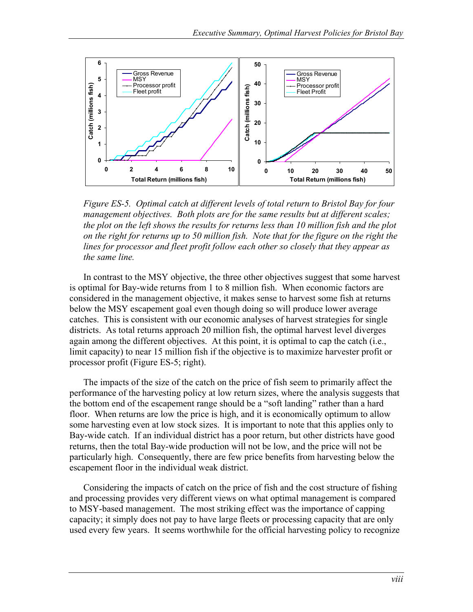

*Figure ES-5. Optimal catch at different levels of total return to Bristol Bay for four management objectives. Both plots are for the same results but at different scales; the plot on the left shows the results for returns less than 10 million fish and the plot on the right for returns up to 50 million fish. Note that for the figure on the right the lines for processor and fleet profit follow each other so closely that they appear as the same line.*

In contrast to the MSY objective, the three other objectives suggest that some harvest is optimal for Bay-wide returns from 1 to 8 million fish. When economic factors are considered in the management objective, it makes sense to harvest some fish at returns below the MSY escapement goal even though doing so will produce lower average catches. This is consistent with our economic analyses of harvest strategies for single districts. As total returns approach 20 million fish, the optimal harvest level diverges again among the different objectives. At this point, it is optimal to cap the catch (i.e., limit capacity) to near 15 million fish if the objective is to maximize harvester profit or processor profit (Figure ES-5; right).

The impacts of the size of the catch on the price of fish seem to primarily affect the performance of the harvesting policy at low return sizes, where the analysis suggests that the bottom end of the escapement range should be a "soft landing" rather than a hard floor. When returns are low the price is high, and it is economically optimum to allow some harvesting even at low stock sizes. It is important to note that this applies only to Bay-wide catch. If an individual district has a poor return, but other districts have good returns, then the total Bay-wide production will not be low, and the price will not be particularly high. Consequently, there are few price benefits from harvesting below the escapement floor in the individual weak district.

Considering the impacts of catch on the price of fish and the cost structure of fishing and processing provides very different views on what optimal management is compared to MSY-based management. The most striking effect was the importance of capping capacity; it simply does not pay to have large fleets or processing capacity that are only used every few years. It seems worthwhile for the official harvesting policy to recognize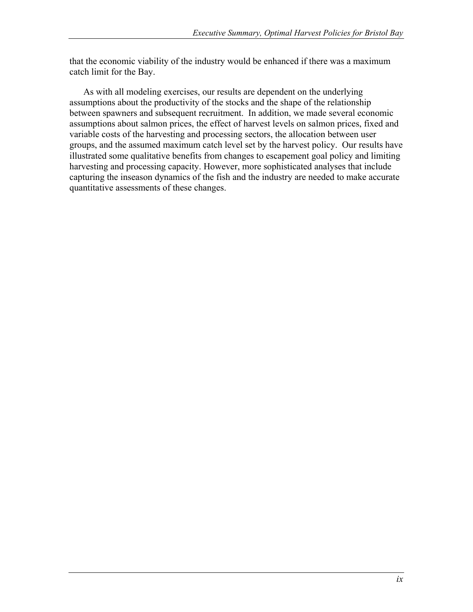that the economic viability of the industry would be enhanced if there was a maximum catch limit for the Bay.

As with all modeling exercises, our results are dependent on the underlying assumptions about the productivity of the stocks and the shape of the relationship between spawners and subsequent recruitment. In addition, we made several economic assumptions about salmon prices, the effect of harvest levels on salmon prices, fixed and variable costs of the harvesting and processing sectors, the allocation between user groups, and the assumed maximum catch level set by the harvest policy. Our results have illustrated some qualitative benefits from changes to escapement goal policy and limiting harvesting and processing capacity. However, more sophisticated analyses that include capturing the inseason dynamics of the fish and the industry are needed to make accurate quantitative assessments of these changes.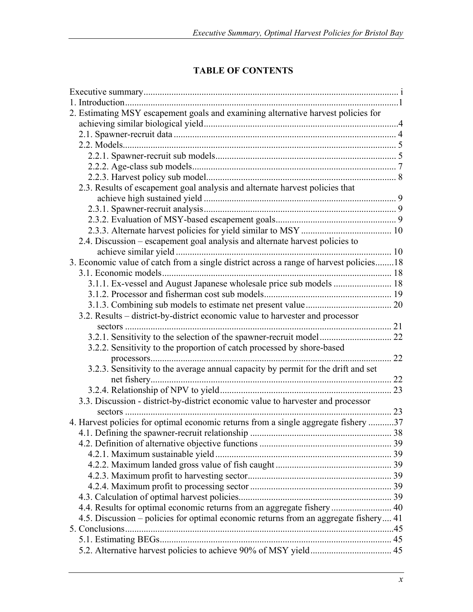# **TABLE OF CONTENTS**

| 2. Estimating MSY escapement goals and examining alternative harvest policies for      |    |
|----------------------------------------------------------------------------------------|----|
|                                                                                        |    |
|                                                                                        |    |
|                                                                                        |    |
|                                                                                        |    |
|                                                                                        |    |
|                                                                                        |    |
| 2.3. Results of escapement goal analysis and alternate harvest policies that           |    |
|                                                                                        |    |
|                                                                                        |    |
|                                                                                        |    |
|                                                                                        |    |
| 2.4. Discussion – escapement goal analysis and alternate harvest policies to           |    |
|                                                                                        |    |
| 3. Economic value of catch from a single district across a range of harvest policies18 |    |
|                                                                                        |    |
| 3.1.1. Ex-vessel and August Japanese wholesale price sub models  18                    |    |
|                                                                                        |    |
|                                                                                        |    |
| 3.2. Results – district-by-district economic value to harvester and processor          |    |
|                                                                                        |    |
|                                                                                        |    |
| 3.2.2. Sensitivity to the proportion of catch processed by shore-based                 |    |
|                                                                                        | 22 |
| 3.2.3. Sensitivity to the average annual capacity by permit for the drift and set      |    |
|                                                                                        | 22 |
|                                                                                        |    |
| 3.3. Discussion - district-by-district economic value to harvester and processor       |    |
|                                                                                        |    |
| 4. Harvest policies for optimal economic returns from a single aggregate fishery 37    |    |
|                                                                                        |    |
|                                                                                        |    |
|                                                                                        |    |
|                                                                                        |    |
|                                                                                        |    |
|                                                                                        |    |
|                                                                                        |    |
| 4.4. Results for optimal economic returns from an aggregate fishery  40                |    |
| 4.5. Discussion – policies for optimal economic returns from an aggregate fishery 41   |    |
|                                                                                        |    |
|                                                                                        |    |
|                                                                                        |    |
|                                                                                        |    |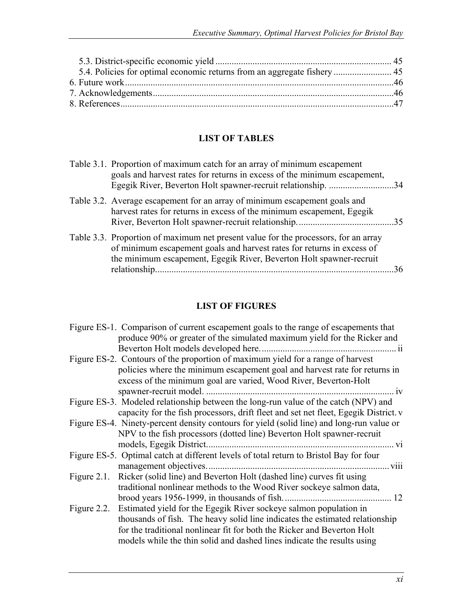# **LIST OF TABLES**

| Table 3.1. Proportion of maximum catch for an array of minimum escapement<br>goals and harvest rates for returns in excess of the minimum escapement,<br>Egegik River, Beverton Holt spawner-recruit relationship. 34                |    |
|--------------------------------------------------------------------------------------------------------------------------------------------------------------------------------------------------------------------------------------|----|
| Table 3.2. Average escapement for an array of minimum escapement goals and<br>harvest rates for returns in excess of the minimum escapement, Egegik                                                                                  |    |
| Table 3.3. Proportion of maximum net present value for the processors, for an array<br>of minimum escapement goals and harvest rates for returns in excess of<br>the minimum escapement, Egegik River, Beverton Holt spawner-recruit | 36 |

# **LIST OF FIGURES**

|                | Figure ES-1. Comparison of current escapement goals to the range of escapements that      |
|----------------|-------------------------------------------------------------------------------------------|
|                | produce 90% or greater of the simulated maximum yield for the Ricker and                  |
|                |                                                                                           |
|                | Figure ES-2. Contours of the proportion of maximum yield for a range of harvest           |
|                | policies where the minimum escapement goal and harvest rate for returns in                |
|                | excess of the minimum goal are varied, Wood River, Beverton-Holt                          |
|                | spawner-recruit model.                                                                    |
|                | Figure ES-3. Modeled relationship between the long-run value of the catch (NPV) and       |
|                | capacity for the fish processors, drift fleet and set net fleet, Egegik District. v       |
|                | Figure ES-4. Ninety-percent density contours for yield (solid line) and long-run value or |
|                | NPV to the fish processors (dotted line) Beverton Holt spawner-recruit                    |
|                | models, Egegik District.<br>. <b>V1</b>                                                   |
|                | Figure ES-5. Optimal catch at different levels of total return to Bristol Bay for four    |
|                | $\frac{1}{2}$ viii<br>management objectives                                               |
| Figure $2.1$ . | Ricker (solid line) and Beverton Holt (dashed line) curves fit using                      |
|                | traditional nonlinear methods to the Wood River sockeye salmon data,                      |
|                |                                                                                           |
| Figure 2.2.    | Estimated yield for the Egegik River sockeye salmon population in                         |
|                | thousands of fish. The heavy solid line indicates the estimated relationship              |
|                | for the traditional nonlinear fit for both the Ricker and Beverton Holt                   |
|                | models while the thin solid and dashed lines indicate the results using                   |
|                |                                                                                           |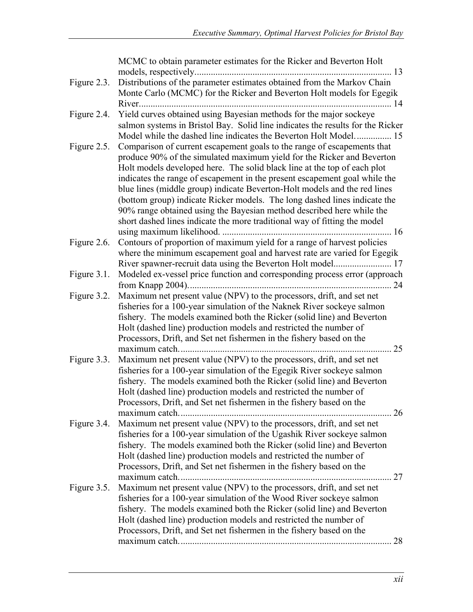|             | MCMC to obtain parameter estimates for the Ricker and Beverton Holt                 |
|-------------|-------------------------------------------------------------------------------------|
| Figure 2.3. | Distributions of the parameter estimates obtained from the Markov Chain             |
|             | Monte Carlo (MCMC) for the Ricker and Beverton Holt models for Egegik               |
|             |                                                                                     |
| Figure 2.4. | Yield curves obtained using Bayesian methods for the major sockeye                  |
|             | salmon systems in Bristol Bay. Solid line indicates the results for the Ricker      |
|             | Model while the dashed line indicates the Beverton Holt Model 15                    |
| Figure 2.5. | Comparison of current escapement goals to the range of escapements that             |
|             | produce 90% of the simulated maximum yield for the Ricker and Beverton              |
|             | Holt models developed here. The solid black line at the top of each plot            |
|             | indicates the range of escapement in the present escapement goal while the          |
|             | blue lines (middle group) indicate Beverton-Holt models and the red lines           |
|             | (bottom group) indicate Ricker models. The long dashed lines indicate the           |
|             | 90% range obtained using the Bayesian method described here while the               |
|             | short dashed lines indicate the more traditional way of fitting the model           |
|             |                                                                                     |
| Figure 2.6. | Contours of proportion of maximum yield for a range of harvest policies             |
|             | where the minimum escapement goal and harvest rate are varied for Egegik            |
|             |                                                                                     |
| Figure 3.1. | Modeled ex-vessel price function and corresponding process error (approach          |
|             |                                                                                     |
| Figure 3.2. | Maximum net present value (NPV) to the processors, drift, and set net               |
|             | fisheries for a 100-year simulation of the Naknek River sockeye salmon              |
|             | fishery. The models examined both the Ricker (solid line) and Beverton              |
|             | Holt (dashed line) production models and restricted the number of                   |
|             | Processors, Drift, and Set net fishermen in the fishery based on the                |
|             | 25                                                                                  |
| Figure 3.3. | Maximum net present value (NPV) to the processors, drift, and set net               |
|             | fisheries for a 100-year simulation of the Egegik River sockeye salmon              |
|             | fishery. The models examined both the Ricker (solid line) and Beverton              |
|             | Holt (dashed line) production models and restricted the number of                   |
|             | Processors, Drift, and Set net fishermen in the fishery based on the<br>$\ldots$ 26 |
| Figure 3.4. | Maximum net present value (NPV) to the processors, drift, and set net               |
|             | fisheries for a 100-year simulation of the Ugashik River sockeye salmon             |
|             | fishery. The models examined both the Ricker (solid line) and Beverton              |
|             | Holt (dashed line) production models and restricted the number of                   |
|             | Processors, Drift, and Set net fishermen in the fishery based on the                |
|             |                                                                                     |
| Figure 3.5. | Maximum net present value (NPV) to the processors, drift, and set net               |
|             | fisheries for a 100-year simulation of the Wood River sockeye salmon                |
|             | fishery. The models examined both the Ricker (solid line) and Beverton              |
|             | Holt (dashed line) production models and restricted the number of                   |
|             | Processors, Drift, and Set net fishermen in the fishery based on the                |
|             | 28                                                                                  |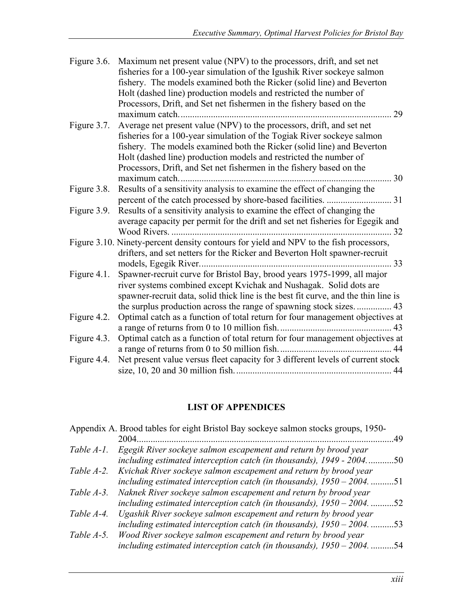| Figure 3.6. | Maximum net present value (NPV) to the processors, drift, and set net<br>fisheries for a 100-year simulation of the Igushik River sockeye salmon<br>fishery. The models examined both the Ricker (solid line) and Beverton<br>Holt (dashed line) production models and restricted the number of<br>Processors, Drift, and Set net fishermen in the fishery based on the<br>29 |  |
|-------------|-------------------------------------------------------------------------------------------------------------------------------------------------------------------------------------------------------------------------------------------------------------------------------------------------------------------------------------------------------------------------------|--|
| Figure 3.7. | Average net present value (NPV) to the processors, drift, and set net<br>fisheries for a 100-year simulation of the Togiak River sockeye salmon<br>fishery. The models examined both the Ricker (solid line) and Beverton<br>Holt (dashed line) production models and restricted the number of<br>Processors, Drift, and Set net fishermen in the fishery based on the        |  |
|             | 30<br>maximum catch                                                                                                                                                                                                                                                                                                                                                           |  |
| Figure 3.8. | Results of a sensitivity analysis to examine the effect of changing the                                                                                                                                                                                                                                                                                                       |  |
| Figure 3.9. | Results of a sensitivity analysis to examine the effect of changing the<br>average capacity per permit for the drift and set net fisheries for Egegik and                                                                                                                                                                                                                     |  |
|             | Figure 3.10. Ninety-percent density contours for yield and NPV to the fish processors,<br>drifters, and set netters for the Ricker and Beverton Holt spawner-recruit<br>33                                                                                                                                                                                                    |  |
| Figure 4.1. | Spawner-recruit curve for Bristol Bay, brood years 1975-1999, all major<br>river systems combined except Kvichak and Nushagak. Solid dots are<br>spawner-recruit data, solid thick line is the best fit curve, and the thin line is<br>the surplus production across the range of spawning stock sizes 43                                                                     |  |
| Figure 4.2. | Optimal catch as a function of total return for four management objectives at                                                                                                                                                                                                                                                                                                 |  |
| Figure 4.3. | Optimal catch as a function of total return for four management objectives at                                                                                                                                                                                                                                                                                                 |  |
| Figure 4.4. | Net present value versus fleet capacity for 3 different levels of current stock                                                                                                                                                                                                                                                                                               |  |

### **LIST OF APPENDICES**

|            | Appendix A. Brood tables for eight Bristol Bay sockeye salmon stocks groups, 1950-                                                         |     |
|------------|--------------------------------------------------------------------------------------------------------------------------------------------|-----|
|            | 2004                                                                                                                                       | 49  |
| Table A-1. | Egegik River sockeye salmon escapement and return by brood year<br>including estimated interception catch (in thousands), 1949 - 2004      | .50 |
| Table A-2. | Kvichak River sockeye salmon escapement and return by brood year<br>including estimated interception catch (in thousands), $1950 - 2004$ . | .51 |
| Table A-3. | Naknek River sockeye salmon escapement and return by brood year<br>including estimated interception catch (in thousands), $1950 - 2004$ .  | .52 |
| Table A-4. | Ugashik River sockeye salmon escapement and return by brood year<br>including estimated interception catch (in thousands), $1950 - 2004$   | .53 |
| Table A-5. | Wood River sockeye salmon escapement and return by brood year<br>including estimated interception catch (in thousands), $1950 - 2004$ .    | 54  |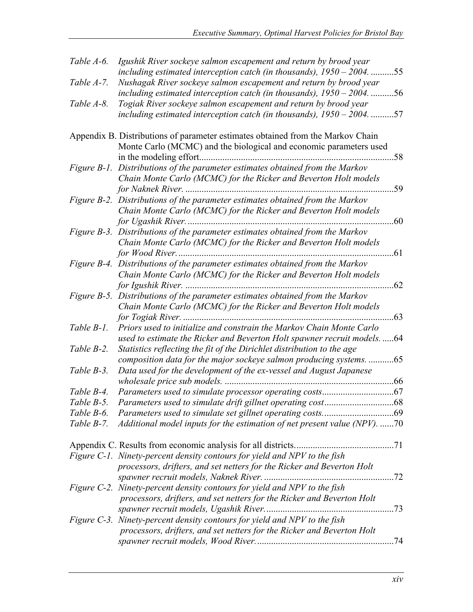| Table A-6. | Igushik River sockeye salmon escapement and return by brood year                                                                                    | .55 |
|------------|-----------------------------------------------------------------------------------------------------------------------------------------------------|-----|
|            | including estimated interception catch (in thousands), $1950 - 2004$ .                                                                              |     |
| Table A-7. | Nushagak River sockeye salmon escapement and return by brood year                                                                                   |     |
| Table A-8. | including estimated interception catch (in thousands), $1950 - 2004$ 56                                                                             |     |
|            | Togiak River sockeye salmon escapement and return by brood year                                                                                     | 57  |
|            | including estimated interception catch (in thousands), $1950 - 2004$                                                                                |     |
|            | Appendix B. Distributions of parameter estimates obtained from the Markov Chain                                                                     |     |
|            | Monte Carlo (MCMC) and the biological and economic parameters used                                                                                  |     |
|            |                                                                                                                                                     | 58  |
|            | Figure B-1. Distributions of the parameter estimates obtained from the Markov                                                                       |     |
|            | Chain Monte Carlo (MCMC) for the Ricker and Beverton Holt models                                                                                    |     |
|            |                                                                                                                                                     | 59  |
|            | Figure B-2. Distributions of the parameter estimates obtained from the Markov                                                                       |     |
|            | Chain Monte Carlo (MCMC) for the Ricker and Beverton Holt models                                                                                    |     |
|            |                                                                                                                                                     | .60 |
|            | Figure B-3. Distributions of the parameter estimates obtained from the Markov                                                                       |     |
|            | Chain Monte Carlo (MCMC) for the Ricker and Beverton Holt models                                                                                    |     |
|            |                                                                                                                                                     | .61 |
|            | Figure B-4. Distributions of the parameter estimates obtained from the Markov                                                                       |     |
|            | Chain Monte Carlo (MCMC) for the Ricker and Beverton Holt models                                                                                    |     |
|            |                                                                                                                                                     | 62  |
|            | Figure B-5. Distributions of the parameter estimates obtained from the Markov                                                                       |     |
|            | Chain Monte Carlo (MCMC) for the Ricker and Beverton Holt models                                                                                    |     |
|            |                                                                                                                                                     | .63 |
| Table B-1. | Priors used to initialize and constrain the Markov Chain Monte Carlo                                                                                |     |
|            | used to estimate the Ricker and Beverton Holt spawner recruit models64                                                                              |     |
| Table B-2. | Statistics reflecting the fit of the Dirichlet distribution to the age                                                                              |     |
|            | composition data for the major sockeye salmon producing systems65                                                                                   |     |
| Table B-3. | Data used for the development of the ex-vessel and August Japanese                                                                                  |     |
|            |                                                                                                                                                     |     |
| Table B-4. | Parameters used to simulate processor operating costs                                                                                               | .67 |
|            |                                                                                                                                                     |     |
|            |                                                                                                                                                     |     |
| Table B-7. | Additional model inputs for the estimation of net present value (NPV). 70                                                                           |     |
|            |                                                                                                                                                     |     |
|            |                                                                                                                                                     |     |
|            | Figure C-1. Ninety-percent density contours for yield and NPV to the fish<br>processors, drifters, and set netters for the Ricker and Beverton Holt |     |
|            |                                                                                                                                                     |     |
|            | Figure C-2. Ninety-percent density contours for yield and NPV to the fish                                                                           |     |
|            | processors, drifters, and set netters for the Ricker and Beverton Holt                                                                              |     |
|            |                                                                                                                                                     |     |
|            | Figure C-3. Ninety-percent density contours for yield and NPV to the fish                                                                           |     |
|            | processors, drifters, and set netters for the Ricker and Beverton Holt                                                                              |     |
|            |                                                                                                                                                     | .74 |
|            |                                                                                                                                                     |     |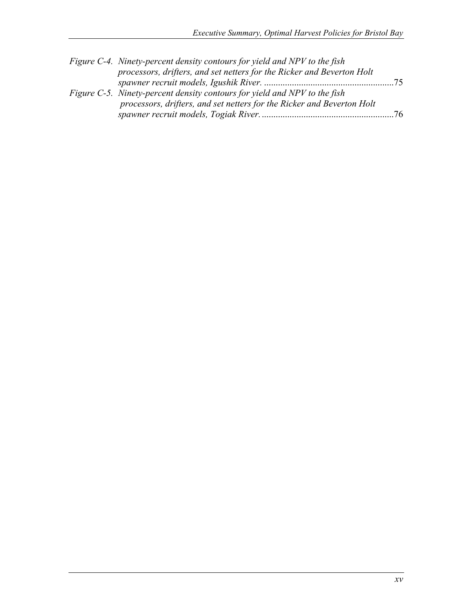| Figure C-4. Ninety-percent density contours for yield and NPV to the fish |    |
|---------------------------------------------------------------------------|----|
| processors, drifters, and set netters for the Ricker and Beverton Holt    |    |
|                                                                           |    |
| Figure C-5. Ninety-percent density contours for yield and NPV to the fish |    |
| processors, drifters, and set netters for the Ricker and Beverton Holt    |    |
|                                                                           | 76 |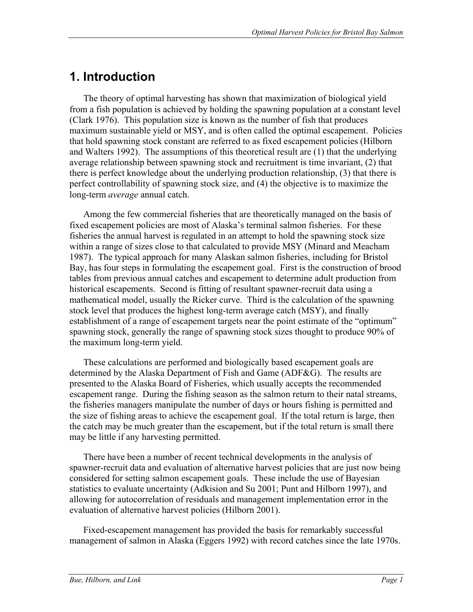# **1. Introduction**

The theory of optimal harvesting has shown that maximization of biological yield from a fish population is achieved by holding the spawning population at a constant level (Clark 1976). This population size is known as the number of fish that produces maximum sustainable yield or MSY, and is often called the optimal escapement. Policies that hold spawning stock constant are referred to as fixed escapement policies (Hilborn and Walters 1992). The assumptions of this theoretical result are (1) that the underlying average relationship between spawning stock and recruitment is time invariant, (2) that there is perfect knowledge about the underlying production relationship, (3) that there is perfect controllability of spawning stock size, and (4) the objective is to maximize the long-term *average* annual catch.

Among the few commercial fisheries that are theoretically managed on the basis of fixed escapement policies are most of Alaska's terminal salmon fisheries. For these fisheries the annual harvest is regulated in an attempt to hold the spawning stock size within a range of sizes close to that calculated to provide MSY (Minard and Meacham 1987). The typical approach for many Alaskan salmon fisheries, including for Bristol Bay, has four steps in formulating the escapement goal. First is the construction of brood tables from previous annual catches and escapement to determine adult production from historical escapements. Second is fitting of resultant spawner-recruit data using a mathematical model, usually the Ricker curve. Third is the calculation of the spawning stock level that produces the highest long-term average catch (MSY), and finally establishment of a range of escapement targets near the point estimate of the "optimum" spawning stock, generally the range of spawning stock sizes thought to produce 90% of the maximum long-term yield.

These calculations are performed and biologically based escapement goals are determined by the Alaska Department of Fish and Game (ADF&G). The results are presented to the Alaska Board of Fisheries, which usually accepts the recommended escapement range. During the fishing season as the salmon return to their natal streams, the fisheries managers manipulate the number of days or hours fishing is permitted and the size of fishing areas to achieve the escapement goal. If the total return is large, then the catch may be much greater than the escapement, but if the total return is small there may be little if any harvesting permitted.

There have been a number of recent technical developments in the analysis of spawner-recruit data and evaluation of alternative harvest policies that are just now being considered for setting salmon escapement goals. These include the use of Bayesian statistics to evaluate uncertainty (Adkision and Su 2001; Punt and Hilborn 1997), and allowing for autocorrelation of residuals and management implementation error in the evaluation of alternative harvest policies (Hilborn 2001).

Fixed-escapement management has provided the basis for remarkably successful management of salmon in Alaska (Eggers 1992) with record catches since the late 1970s.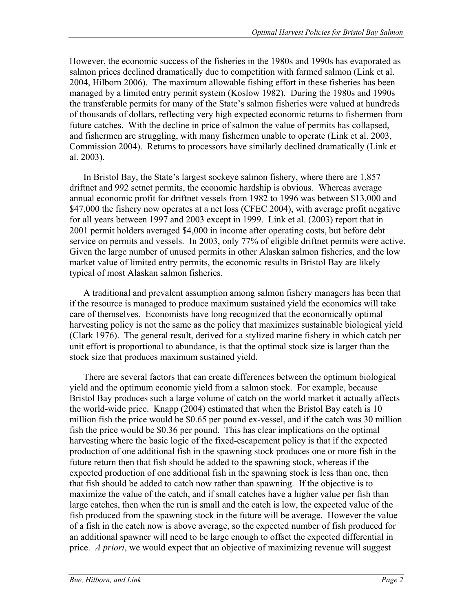However, the economic success of the fisheries in the 1980s and 1990s has evaporated as salmon prices declined dramatically due to competition with farmed salmon (Link et al. 2004, Hilborn 2006). The maximum allowable fishing effort in these fisheries has been managed by a limited entry permit system (Koslow 1982). During the 1980s and 1990s the transferable permits for many of the State's salmon fisheries were valued at hundreds of thousands of dollars, reflecting very high expected economic returns to fishermen from future catches. With the decline in price of salmon the value of permits has collapsed, and fishermen are struggling, with many fishermen unable to operate (Link et al. 2003, Commission 2004). Returns to processors have similarly declined dramatically (Link et al. 2003).

In Bristol Bay, the State's largest sockeye salmon fishery, where there are 1,857 driftnet and 992 setnet permits, the economic hardship is obvious. Whereas average annual economic profit for driftnet vessels from 1982 to 1996 was between \$13,000 and \$47,000 the fishery now operates at a net loss (CFEC 2004), with average profit negative for all years between 1997 and 2003 except in 1999. Link et al. (2003) report that in 2001 permit holders averaged \$4,000 in income after operating costs, but before debt service on permits and vessels. In 2003, only 77% of eligible driftnet permits were active. Given the large number of unused permits in other Alaskan salmon fisheries, and the low market value of limited entry permits, the economic results in Bristol Bay are likely typical of most Alaskan salmon fisheries.

A traditional and prevalent assumption among salmon fishery managers has been that if the resource is managed to produce maximum sustained yield the economics will take care of themselves. Economists have long recognized that the economically optimal harvesting policy is not the same as the policy that maximizes sustainable biological yield (Clark 1976). The general result, derived for a stylized marine fishery in which catch per unit effort is proportional to abundance, is that the optimal stock size is larger than the stock size that produces maximum sustained yield.

There are several factors that can create differences between the optimum biological yield and the optimum economic yield from a salmon stock. For example, because Bristol Bay produces such a large volume of catch on the world market it actually affects the world-wide price. Knapp (2004) estimated that when the Bristol Bay catch is 10 million fish the price would be \$0.65 per pound ex-vessel, and if the catch was 30 million fish the price would be \$0.36 per pound. This has clear implications on the optimal harvesting where the basic logic of the fixed-escapement policy is that if the expected production of one additional fish in the spawning stock produces one or more fish in the future return then that fish should be added to the spawning stock, whereas if the expected production of one additional fish in the spawning stock is less than one, then that fish should be added to catch now rather than spawning. If the objective is to maximize the value of the catch, and if small catches have a higher value per fish than large catches, then when the run is small and the catch is low, the expected value of the fish produced from the spawning stock in the future will be average. However the value of a fish in the catch now is above average, so the expected number of fish produced for an additional spawner will need to be large enough to offset the expected differential in price. *A priori*, we would expect that an objective of maximizing revenue will suggest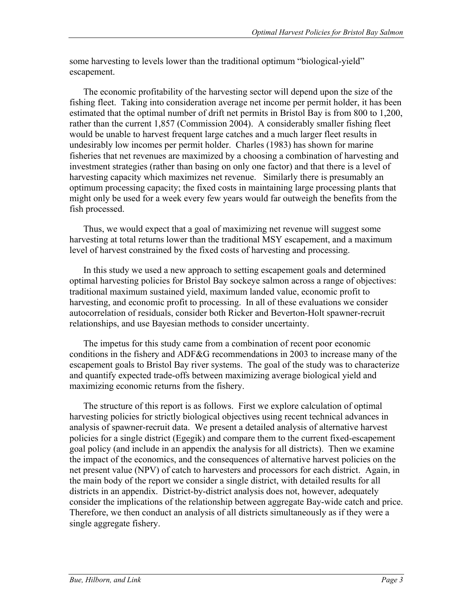some harvesting to levels lower than the traditional optimum "biological-yield" escapement.

The economic profitability of the harvesting sector will depend upon the size of the fishing fleet. Taking into consideration average net income per permit holder, it has been estimated that the optimal number of drift net permits in Bristol Bay is from 800 to 1,200, rather than the current 1,857 (Commission 2004). A considerably smaller fishing fleet would be unable to harvest frequent large catches and a much larger fleet results in undesirably low incomes per permit holder. Charles (1983) has shown for marine fisheries that net revenues are maximized by a choosing a combination of harvesting and investment strategies (rather than basing on only one factor) and that there is a level of harvesting capacity which maximizes net revenue. Similarly there is presumably an optimum processing capacity; the fixed costs in maintaining large processing plants that might only be used for a week every few years would far outweigh the benefits from the fish processed.

Thus, we would expect that a goal of maximizing net revenue will suggest some harvesting at total returns lower than the traditional MSY escapement, and a maximum level of harvest constrained by the fixed costs of harvesting and processing.

In this study we used a new approach to setting escapement goals and determined optimal harvesting policies for Bristol Bay sockeye salmon across a range of objectives: traditional maximum sustained yield, maximum landed value, economic profit to harvesting, and economic profit to processing. In all of these evaluations we consider autocorrelation of residuals, consider both Ricker and Beverton-Holt spawner-recruit relationships, and use Bayesian methods to consider uncertainty.

The impetus for this study came from a combination of recent poor economic conditions in the fishery and ADF&G recommendations in 2003 to increase many of the escapement goals to Bristol Bay river systems. The goal of the study was to characterize and quantify expected trade-offs between maximizing average biological yield and maximizing economic returns from the fishery.

The structure of this report is as follows. First we explore calculation of optimal harvesting policies for strictly biological objectives using recent technical advances in analysis of spawner-recruit data. We present a detailed analysis of alternative harvest policies for a single district (Egegik) and compare them to the current fixed-escapement goal policy (and include in an appendix the analysis for all districts). Then we examine the impact of the economics, and the consequences of alternative harvest policies on the net present value (NPV) of catch to harvesters and processors for each district. Again, in the main body of the report we consider a single district, with detailed results for all districts in an appendix. District-by-district analysis does not, however, adequately consider the implications of the relationship between aggregate Bay-wide catch and price. Therefore, we then conduct an analysis of all districts simultaneously as if they were a single aggregate fishery.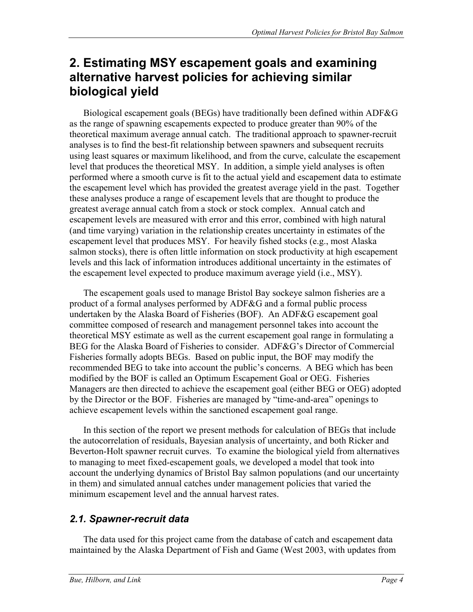# **2. Estimating MSY escapement goals and examining alternative harvest policies for achieving similar biological yield**

Biological escapement goals (BEGs) have traditionally been defined within ADF&G as the range of spawning escapements expected to produce greater than 90% of the theoretical maximum average annual catch. The traditional approach to spawner-recruit analyses is to find the best-fit relationship between spawners and subsequent recruits using least squares or maximum likelihood, and from the curve, calculate the escapement level that produces the theoretical MSY. In addition, a simple yield analyses is often performed where a smooth curve is fit to the actual yield and escapement data to estimate the escapement level which has provided the greatest average yield in the past. Together these analyses produce a range of escapement levels that are thought to produce the greatest average annual catch from a stock or stock complex. Annual catch and escapement levels are measured with error and this error, combined with high natural (and time varying) variation in the relationship creates uncertainty in estimates of the escapement level that produces MSY. For heavily fished stocks (e.g., most Alaska salmon stocks), there is often little information on stock productivity at high escapement levels and this lack of information introduces additional uncertainty in the estimates of the escapement level expected to produce maximum average yield (i.e., MSY).

The escapement goals used to manage Bristol Bay sockeye salmon fisheries are a product of a formal analyses performed by ADF&G and a formal public process undertaken by the Alaska Board of Fisheries (BOF). An ADF&G escapement goal committee composed of research and management personnel takes into account the theoretical MSY estimate as well as the current escapement goal range in formulating a BEG for the Alaska Board of Fisheries to consider. ADF&G's Director of Commercial Fisheries formally adopts BEGs. Based on public input, the BOF may modify the recommended BEG to take into account the public's concerns. A BEG which has been modified by the BOF is called an Optimum Escapement Goal or OEG. Fisheries Managers are then directed to achieve the escapement goal (either BEG or OEG) adopted by the Director or the BOF. Fisheries are managed by "time-and-area" openings to achieve escapement levels within the sanctioned escapement goal range.

In this section of the report we present methods for calculation of BEGs that include the autocorrelation of residuals, Bayesian analysis of uncertainty, and both Ricker and Beverton-Holt spawner recruit curves. To examine the biological yield from alternatives to managing to meet fixed-escapement goals, we developed a model that took into account the underlying dynamics of Bristol Bay salmon populations (and our uncertainty in them) and simulated annual catches under management policies that varied the minimum escapement level and the annual harvest rates.

# *2.1. Spawner-recruit data*

The data used for this project came from the database of catch and escapement data maintained by the Alaska Department of Fish and Game (West 2003, with updates from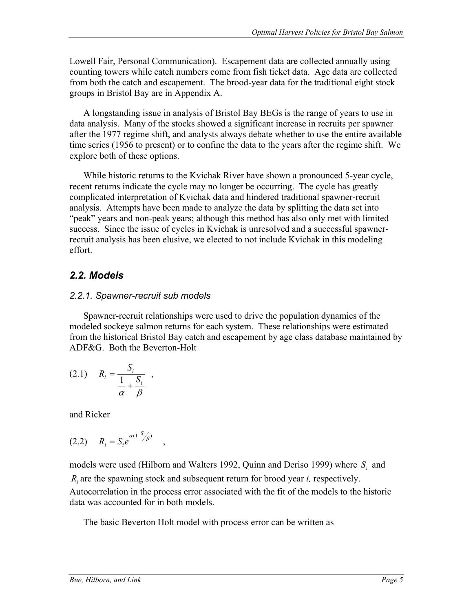Lowell Fair, Personal Communication). Escapement data are collected annually using counting towers while catch numbers come from fish ticket data. Age data are collected from both the catch and escapement. The brood-year data for the traditional eight stock groups in Bristol Bay are in Appendix A.

A longstanding issue in analysis of Bristol Bay BEGs is the range of years to use in data analysis. Many of the stocks showed a significant increase in recruits per spawner after the 1977 regime shift, and analysts always debate whether to use the entire available time series (1956 to present) or to confine the data to the years after the regime shift. We explore both of these options.

While historic returns to the Kvichak River have shown a pronounced 5-year cycle, recent returns indicate the cycle may no longer be occurring. The cycle has greatly complicated interpretation of Kvichak data and hindered traditional spawner-recruit analysis. Attempts have been made to analyze the data by splitting the data set into "peak" years and non-peak years; although this method has also only met with limited success. Since the issue of cycles in Kvichak is unresolved and a successful spawnerrecruit analysis has been elusive, we elected to not include Kvichak in this modeling effort.

# *2.2. Models*

### *2.2.1. Spawner-recruit sub models*

Spawner-recruit relationships were used to drive the population dynamics of the modeled sockeye salmon returns for each system. These relationships were estimated from the historical Bristol Bay catch and escapement by age class database maintained by ADF&G. Both the Beverton-Holt

$$
(2.1) \t R_i = \frac{S_i}{\frac{1}{\alpha} + \frac{S_i}{\beta}},
$$

and Ricker

(2.2) 
$$
R_i = S_i e^{\alpha (1 - \frac{S_i}{\beta})}
$$
,

models were used (Hilborn and Walters 1992, Quinn and Deriso 1999) where *Si* and *Ri* are the spawning stock and subsequent return for brood year *i,* respectively. Autocorrelation in the process error associated with the fit of the models to the historic data was accounted for in both models.

The basic Beverton Holt model with process error can be written as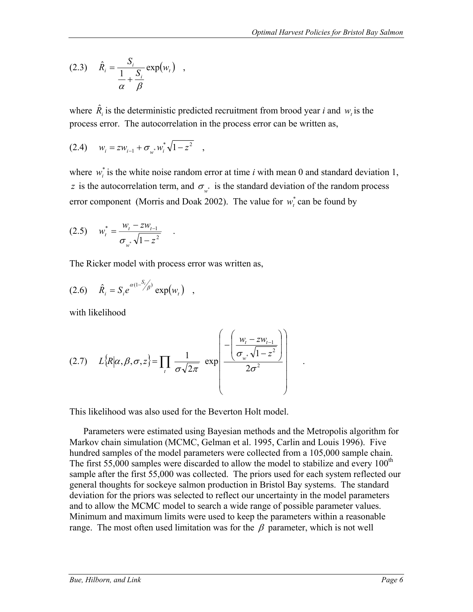$$
(2.3) \quad \hat{R}_i = \frac{S_i}{\frac{1}{\alpha} + \frac{S_i}{\beta}} \exp(w_i) \quad ,
$$

where  $\hat{R}_i$  is the deterministic predicted recruitment from brood year *i* and  $w_i$  is the process error. The autocorrelation in the process error can be written as,

$$
(2.4) \t w_i = zw_{i-1} + \sigma_{w^*} w_i^* \sqrt{1 - z^2} ,
$$

where  $w_i^*$  is the white noise random error at time *i* with mean 0 and standard deviation 1, *z* is the autocorrelation term, and  $\sigma_{w^*}$  is the standard deviation of the random process error component (Morris and Doak 2002). The value for  $w_t^*$  can be found by

$$
(2.5) \t w_t^* = \frac{w_t - zw_{t-1}}{\sigma_{w^*} \sqrt{1 - z^2}} \t .
$$

The Ricker model with process error was written as,

(2.6) 
$$
\hat{R}_i = S_i e^{\alpha (1 - S_i/\beta)} \exp(w_i)
$$
,

with likelihood

$$
(2.7) \qquad L\{R|\alpha,\beta,\sigma,z\} = \prod_{t} \frac{1}{\sigma\sqrt{2\pi}} \exp\left(\frac{-\left(\frac{w_{t}-zw_{t-1}}{\sigma_{w^*}\sqrt{1-z^2}}\right)}{2\sigma^2}\right) \qquad .
$$

This likelihood was also used for the Beverton Holt model.

Parameters were estimated using Bayesian methods and the Metropolis algorithm for Markov chain simulation (MCMC, Gelman et al. 1995, Carlin and Louis 1996). Five hundred samples of the model parameters were collected from a 105,000 sample chain. The first 55,000 samples were discarded to allow the model to stabilize and every  $100<sup>th</sup>$ sample after the first 55,000 was collected. The priors used for each system reflected our general thoughts for sockeye salmon production in Bristol Bay systems. The standard deviation for the priors was selected to reflect our uncertainty in the model parameters and to allow the MCMC model to search a wide range of possible parameter values. Minimum and maximum limits were used to keep the parameters within a reasonable range. The most often used limitation was for the  $\beta$  parameter, which is not well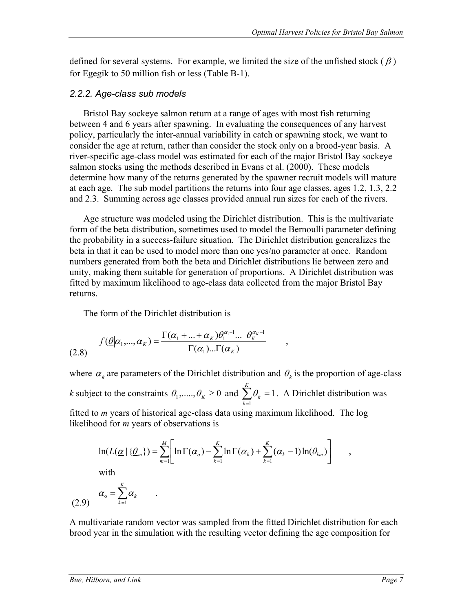defined for several systems. For example, we limited the size of the unfished stock ( $\beta$ ) for Egegik to 50 million fish or less (Table B-1).

#### *2.2.2. Age-class sub models*

Bristol Bay sockeye salmon return at a range of ages with most fish returning between 4 and 6 years after spawning. In evaluating the consequences of any harvest policy, particularly the inter-annual variability in catch or spawning stock, we want to consider the age at return, rather than consider the stock only on a brood-year basis. A river-specific age-class model was estimated for each of the major Bristol Bay sockeye salmon stocks using the methods described in Evans et al. (2000). These models determine how many of the returns generated by the spawner recruit models will mature at each age. The sub model partitions the returns into four age classes, ages 1.2, 1.3, 2.2 and 2.3. Summing across age classes provided annual run sizes for each of the rivers.

Age structure was modeled using the Dirichlet distribution. This is the multivariate form of the beta distribution, sometimes used to model the Bernoulli parameter defining the probability in a success-failure situation. The Dirichlet distribution generalizes the beta in that it can be used to model more than one yes/no parameter at once. Random numbers generated from both the beta and Dirichlet distributions lie between zero and unity, making them suitable for generation of proportions. A Dirichlet distribution was fitted by maximum likelihood to age-class data collected from the major Bristol Bay returns.

The form of the Dirichlet distribution is

.

$$
f(\underline{\theta}|\alpha_1,\ldots,\alpha_k) = \frac{\Gamma(\alpha_1+\ldots+\alpha_k)\theta_1^{\alpha_1-1}\ldots\theta_k^{\alpha_k-1}}{\Gamma(\alpha_1)\ldots\Gamma(\alpha_k)},
$$
\n(2.8)

where  $\alpha_k$  are parameters of the Dirichlet distribution and  $\theta_k$  is the proportion of age-class *k* subject to the constraints  $\theta_1$ ,....,  $\theta_k \ge 0$  and  $\sum \theta_k = 1$  $\sum_{k=1}^K \theta_k =$ *k*  $\theta_k = 1$ . A Dirichlet distribution was fitted to *m* years of historical age-class data using maximum likelihood. The log likelihood for *m* years of observations is

$$
\ln(L(\underline{\alpha} \mid \{\underline{\theta}_m\}) = \sum_{m=1}^M \left[ \ln \Gamma(\alpha) - \sum_{k=1}^K \ln \Gamma(\alpha_k) + \sum_{k=1}^K (\alpha_k - 1) \ln(\theta_{km}) \right],
$$

with

$$
\alpha_{\rm o} = \sum_{k=1}^{K} \alpha_k
$$

A multivariate random vector was sampled from the fitted Dirichlet distribution for each brood year in the simulation with the resulting vector defining the age composition for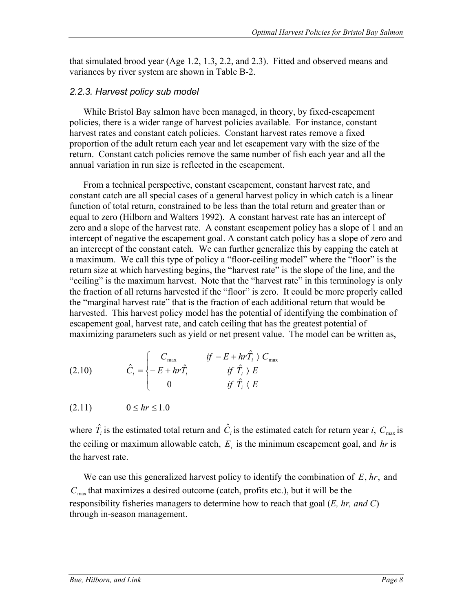that simulated brood year (Age 1.2, 1.3, 2.2, and 2.3). Fitted and observed means and variances by river system are shown in Table B-2.

# *2.2.3. Harvest policy sub model*

While Bristol Bay salmon have been managed, in theory, by fixed-escapement policies, there is a wider range of harvest policies available. For instance, constant harvest rates and constant catch policies. Constant harvest rates remove a fixed proportion of the adult return each year and let escapement vary with the size of the return. Constant catch policies remove the same number of fish each year and all the annual variation in run size is reflected in the escapement.

From a technical perspective, constant escapement, constant harvest rate, and constant catch are all special cases of a general harvest policy in which catch is a linear function of total return, constrained to be less than the total return and greater than or equal to zero (Hilborn and Walters 1992). A constant harvest rate has an intercept of zero and a slope of the harvest rate. A constant escapement policy has a slope of 1 and an intercept of negative the escapement goal. A constant catch policy has a slope of zero and an intercept of the constant catch. We can further generalize this by capping the catch at a maximum. We call this type of policy a "floor-ceiling model" where the "floor" is the return size at which harvesting begins, the "harvest rate" is the slope of the line, and the "ceiling" is the maximum harvest. Note that the "harvest rate" in this terminology is only the fraction of all returns harvested if the "floor" is zero. It could be more properly called the "marginal harvest rate" that is the fraction of each additional return that would be harvested. This harvest policy model has the potential of identifying the combination of escapement goal, harvest rate, and catch ceiling that has the greatest potential of maximizing parameters such as yield or net present value. The model can be written as,

(2.10) 
$$
\hat{C}_i = \begin{cases} C_{\text{max}} & \text{if } -E + hr\hat{T}_i > C_{\text{max}} \\ -E + hr\hat{T}_i & \text{if } \hat{T}_i > E \\ 0 & \text{if } \hat{T}_i < E \end{cases}
$$

 $(2.11)$   $0 \leq hr \leq 1.0$ 

where  $\hat{T}_i$  is the estimated total return and  $\hat{C}_i$  is the estimated catch for return year *i*,  $C_{\text{max}}$  is the ceiling or maximum allowable catch,  $E_i$  is the minimum escapement goal, and  $hr$  is the harvest rate.

We can use this generalized harvest policy to identify the combination of *E*, *hr*, and  $C_{\text{max}}$  that maximizes a desired outcome (catch, profits etc.), but it will be the responsibility fisheries managers to determine how to reach that goal (*E, hr, and C*) through in-season management.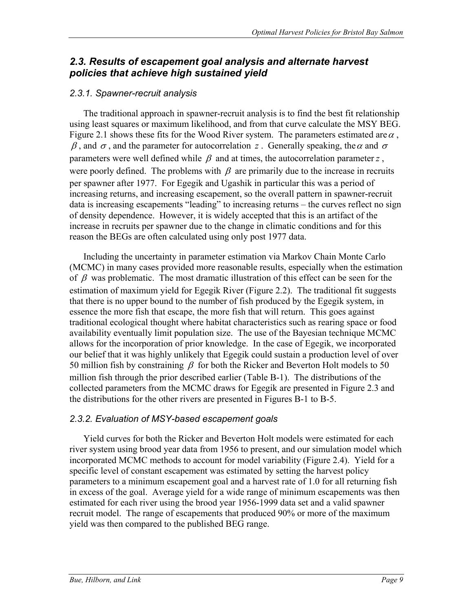# *2.3. Results of escapement goal analysis and alternate harvest policies that achieve high sustained yield*

# *2.3.1. Spawner-recruit analysis*

The traditional approach in spawner-recruit analysis is to find the best fit relationship using least squares or maximum likelihood, and from that curve calculate the MSY BEG. Figure 2.1 shows these fits for the Wood River system. The parameters estimated are  $\alpha$ ,  $β$ , and  $σ$ , and the parameter for autocorrelation *z*. Generally speaking, the  $α$  and  $σ$ parameters were well defined while  $\beta$  and at times, the autocorrelation parameter *z*, were poorly defined. The problems with  $\beta$  are primarily due to the increase in recruits per spawner after 1977. For Egegik and Ugashik in particular this was a period of increasing returns, and increasing escapement, so the overall pattern in spawner-recruit data is increasing escapements "leading" to increasing returns – the curves reflect no sign of density dependence. However, it is widely accepted that this is an artifact of the increase in recruits per spawner due to the change in climatic conditions and for this reason the BEGs are often calculated using only post 1977 data.

Including the uncertainty in parameter estimation via Markov Chain Monte Carlo (MCMC) in many cases provided more reasonable results, especially when the estimation of  $\beta$  was problematic. The most dramatic illustration of this effect can be seen for the estimation of maximum yield for Egegik River (Figure 2.2). The traditional fit suggests that there is no upper bound to the number of fish produced by the Egegik system, in essence the more fish that escape, the more fish that will return. This goes against traditional ecological thought where habitat characteristics such as rearing space or food availability eventually limit population size. The use of the Bayesian technique MCMC allows for the incorporation of prior knowledge. In the case of Egegik, we incorporated our belief that it was highly unlikely that Egegik could sustain a production level of over 50 million fish by constraining  $\beta$  for both the Ricker and Beverton Holt models to 50 million fish through the prior described earlier (Table B-1). The distributions of the collected parameters from the MCMC draws for Egegik are presented in Figure 2.3 and the distributions for the other rivers are presented in Figures B-1 to B-5.

# *2.3.2. Evaluation of MSY-based escapement goals*

Yield curves for both the Ricker and Beverton Holt models were estimated for each river system using brood year data from 1956 to present, and our simulation model which incorporated MCMC methods to account for model variability (Figure 2.4). Yield for a specific level of constant escapement was estimated by setting the harvest policy parameters to a minimum escapement goal and a harvest rate of 1.0 for all returning fish in excess of the goal. Average yield for a wide range of minimum escapements was then estimated for each river using the brood year 1956-1999 data set and a valid spawner recruit model. The range of escapements that produced 90% or more of the maximum yield was then compared to the published BEG range.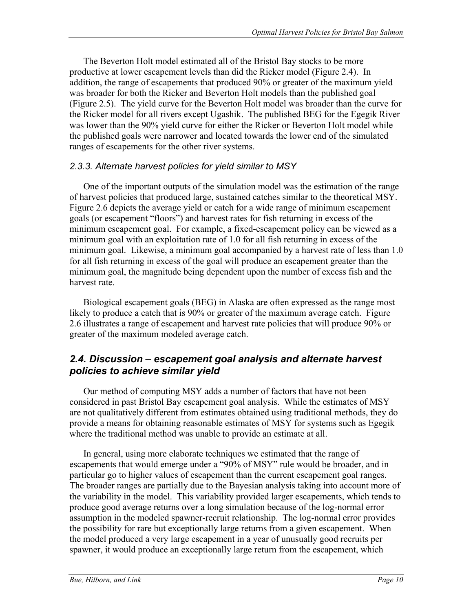The Beverton Holt model estimated all of the Bristol Bay stocks to be more productive at lower escapement levels than did the Ricker model (Figure 2.4). In addition, the range of escapements that produced 90% or greater of the maximum yield was broader for both the Ricker and Beverton Holt models than the published goal (Figure 2.5). The yield curve for the Beverton Holt model was broader than the curve for the Ricker model for all rivers except Ugashik. The published BEG for the Egegik River was lower than the 90% yield curve for either the Ricker or Beverton Holt model while the published goals were narrower and located towards the lower end of the simulated ranges of escapements for the other river systems.

#### *2.3.3. Alternate harvest policies for yield similar to MSY*

One of the important outputs of the simulation model was the estimation of the range of harvest policies that produced large, sustained catches similar to the theoretical MSY. Figure 2.6 depicts the average yield or catch for a wide range of minimum escapement goals (or escapement "floors") and harvest rates for fish returning in excess of the minimum escapement goal. For example, a fixed-escapement policy can be viewed as a minimum goal with an exploitation rate of 1.0 for all fish returning in excess of the minimum goal. Likewise, a minimum goal accompanied by a harvest rate of less than 1.0 for all fish returning in excess of the goal will produce an escapement greater than the minimum goal, the magnitude being dependent upon the number of excess fish and the harvest rate.

Biological escapement goals (BEG) in Alaska are often expressed as the range most likely to produce a catch that is 90% or greater of the maximum average catch. Figure 2.6 illustrates a range of escapement and harvest rate policies that will produce 90% or greater of the maximum modeled average catch.

# *2.4. Discussion – escapement goal analysis and alternate harvest policies to achieve similar yield*

Our method of computing MSY adds a number of factors that have not been considered in past Bristol Bay escapement goal analysis. While the estimates of MSY are not qualitatively different from estimates obtained using traditional methods, they do provide a means for obtaining reasonable estimates of MSY for systems such as Egegik where the traditional method was unable to provide an estimate at all.

In general, using more elaborate techniques we estimated that the range of escapements that would emerge under a "90% of MSY" rule would be broader, and in particular go to higher values of escapement than the current escapement goal ranges. The broader ranges are partially due to the Bayesian analysis taking into account more of the variability in the model. This variability provided larger escapements, which tends to produce good average returns over a long simulation because of the log-normal error assumption in the modeled spawner-recruit relationship. The log-normal error provides the possibility for rare but exceptionally large returns from a given escapement. When the model produced a very large escapement in a year of unusually good recruits per spawner, it would produce an exceptionally large return from the escapement, which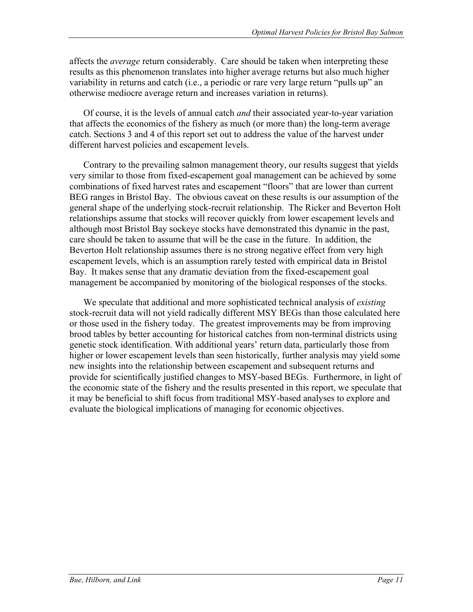affects the *average* return considerably. Care should be taken when interpreting these results as this phenomenon translates into higher average returns but also much higher variability in returns and catch (i.e., a periodic or rare very large return "pulls up" an otherwise mediocre average return and increases variation in returns).

Of course, it is the levels of annual catch *and* their associated year-to-year variation that affects the economics of the fishery as much (or more than) the long-term average catch. Sections 3 and 4 of this report set out to address the value of the harvest under different harvest policies and escapement levels.

Contrary to the prevailing salmon management theory, our results suggest that yields very similar to those from fixed-escapement goal management can be achieved by some combinations of fixed harvest rates and escapement "floors" that are lower than current BEG ranges in Bristol Bay. The obvious caveat on these results is our assumption of the general shape of the underlying stock-recruit relationship. The Ricker and Beverton Holt relationships assume that stocks will recover quickly from lower escapement levels and although most Bristol Bay sockeye stocks have demonstrated this dynamic in the past, care should be taken to assume that will be the case in the future. In addition, the Beverton Holt relationship assumes there is no strong negative effect from very high escapement levels, which is an assumption rarely tested with empirical data in Bristol Bay. It makes sense that any dramatic deviation from the fixed-escapement goal management be accompanied by monitoring of the biological responses of the stocks.

We speculate that additional and more sophisticated technical analysis of *existing* stock-recruit data will not yield radically different MSY BEGs than those calculated here or those used in the fishery today. The greatest improvements may be from improving brood tables by better accounting for historical catches from non-terminal districts using genetic stock identification. With additional years' return data, particularly those from higher or lower escapement levels than seen historically, further analysis may yield some new insights into the relationship between escapement and subsequent returns and provide for scientifically justified changes to MSY-based BEGs. Furthermore, in light of the economic state of the fishery and the results presented in this report, we speculate that it may be beneficial to shift focus from traditional MSY-based analyses to explore and evaluate the biological implications of managing for economic objectives.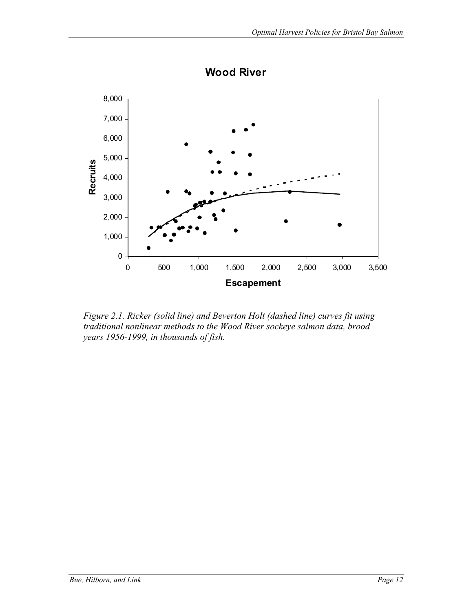

**Wood River**

*Figure 2.1. Ricker (solid line) and Beverton Holt (dashed line) curves fit using traditional nonlinear methods to the Wood River sockeye salmon data, brood years 1956-1999, in thousands of fish.*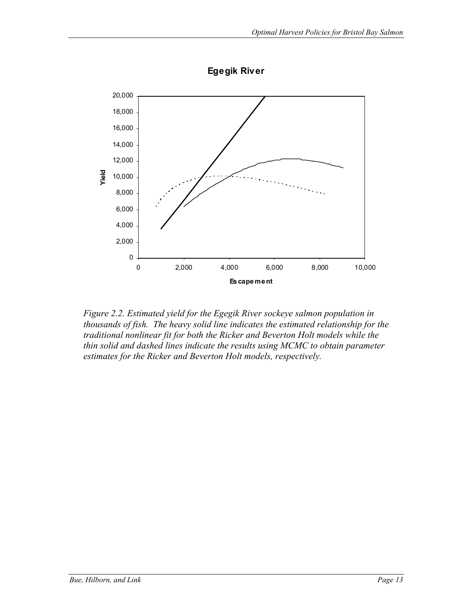

**Egegik River**

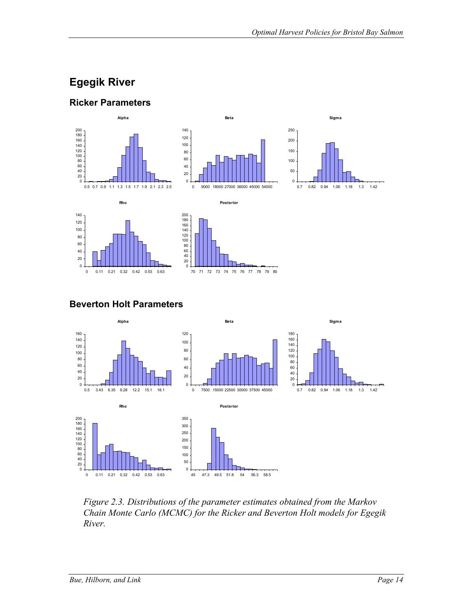# **Egegik River**





**Beverton Holt Parameters** 



*Figure 2.3. Distributions of the parameter estimates obtained from the Markov Chain Monte Carlo (MCMC) for the Ricker and Beverton Holt models for Egegik River.*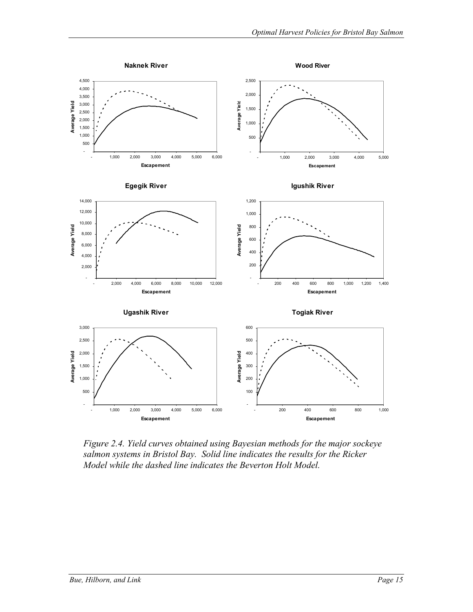

*Figure 2.4. Yield curves obtained using Bayesian methods for the major sockeye salmon systems in Bristol Bay. Solid line indicates the results for the Ricker Model while the dashed line indicates the Beverton Holt Model.*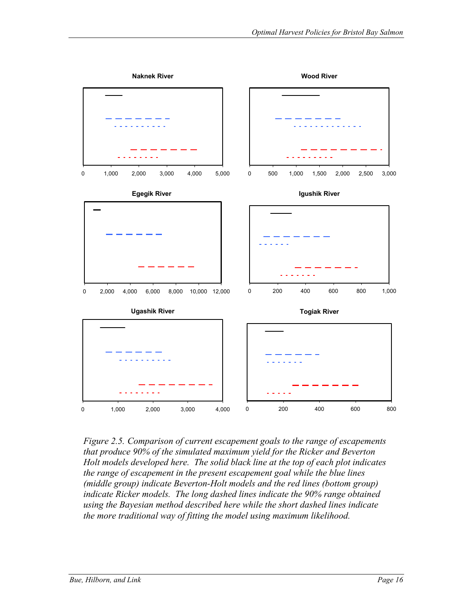

*Figure 2.5. Comparison of current escapement goals to the range of escapements that produce 90% of the simulated maximum yield for the Ricker and Beverton Holt models developed here. The solid black line at the top of each plot indicates the range of escapement in the present escapement goal while the blue lines (middle group) indicate Beverton-Holt models and the red lines (bottom group) indicate Ricker models. The long dashed lines indicate the 90% range obtained using the Bayesian method described here while the short dashed lines indicate the more traditional way of fitting the model using maximum likelihood.*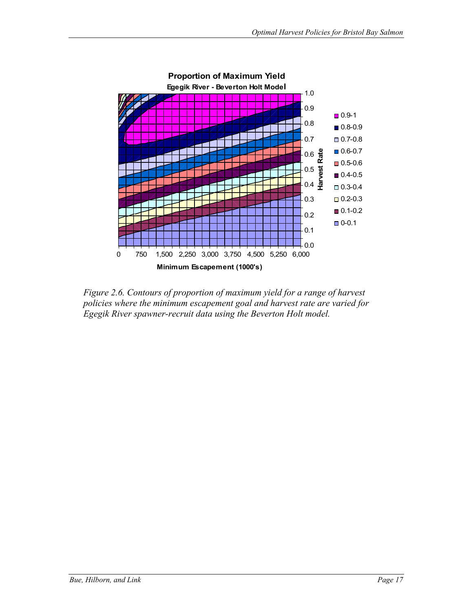

*Figure 2.6. Contours of proportion of maximum yield for a range of harvest policies where the minimum escapement goal and harvest rate are varied for Egegik River spawner-recruit data using the Beverton Holt model.*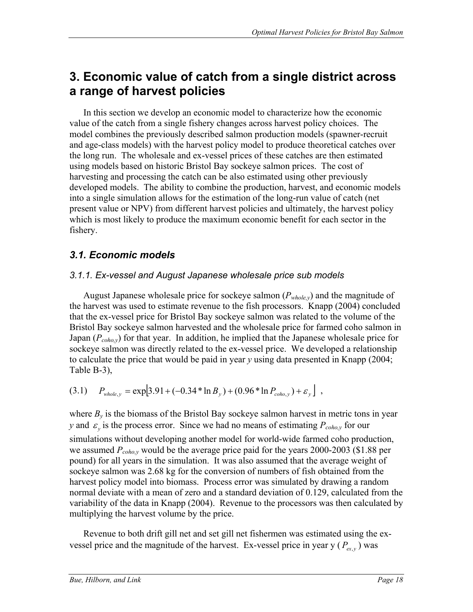## **3. Economic value of catch from a single district across a range of harvest policies**

In this section we develop an economic model to characterize how the economic value of the catch from a single fishery changes across harvest policy choices. The model combines the previously described salmon production models (spawner-recruit and age-class models) with the harvest policy model to produce theoretical catches over the long run. The wholesale and ex-vessel prices of these catches are then estimated using models based on historic Bristol Bay sockeye salmon prices. The cost of harvesting and processing the catch can be also estimated using other previously developed models. The ability to combine the production, harvest, and economic models into a single simulation allows for the estimation of the long-run value of catch (net present value or NPV) from different harvest policies and ultimately, the harvest policy which is most likely to produce the maximum economic benefit for each sector in the fishery.

### *3.1. Economic models*

### *3.1.1. Ex-vessel and August Japanese wholesale price sub models*

August Japanese wholesale price for sockeye salmon (*Pwhole,y*) and the magnitude of the harvest was used to estimate revenue to the fish processors. Knapp (2004) concluded that the ex-vessel price for Bristol Bay sockeye salmon was related to the volume of the Bristol Bay sockeye salmon harvested and the wholesale price for farmed coho salmon in Japan ( $P_{\text{coho},y}$ ) for that year. In addition, he implied that the Japanese wholesale price for sockeye salmon was directly related to the ex-vessel price. We developed a relationship to calculate the price that would be paid in year *y* using data presented in Knapp (2004; Table B-3),

$$
(3.1) \t Pwhole, y = exp[3.91 + (-0.34 * ln By) + (0.96 * ln Pcho, y) + \varepsilony],
$$

where  $B_{v}$  is the biomass of the Bristol Bay sockeye salmon harvest in metric tons in year *y* and  $\varepsilon$ <sub>v</sub> is the process error. Since we had no means of estimating  $P_{\text{coho},y}$  for our simulations without developing another model for world-wide farmed coho production, we assumed *Pcoho,y* would be the average price paid for the years 2000-2003 (\$1.88 per pound) for all years in the simulation. It was also assumed that the average weight of sockeye salmon was 2.68 kg for the conversion of numbers of fish obtained from the harvest policy model into biomass. Process error was simulated by drawing a random normal deviate with a mean of zero and a standard deviation of 0.129, calculated from the variability of the data in Knapp (2004). Revenue to the processors was then calculated by multiplying the harvest volume by the price.

Revenue to both drift gill net and set gill net fishermen was estimated using the exvessel price and the magnitude of the harvest. Ex-vessel price in year y  $(P_{ex, y})$  was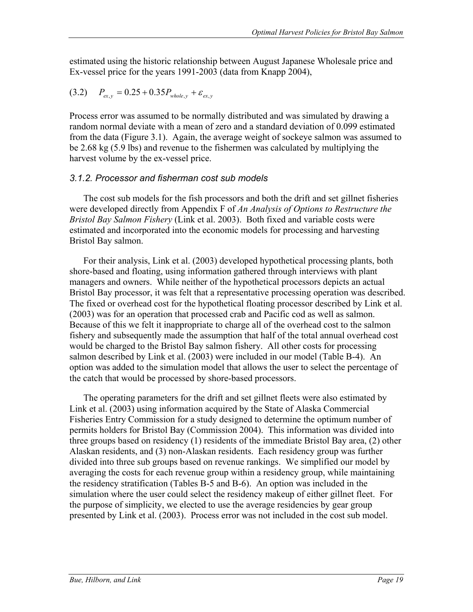estimated using the historic relationship between August Japanese Wholesale price and Ex-vessel price for the years 1991-2003 (data from Knapp 2004),

$$
(3.2) \t P_{ex,y} = 0.25 + 0.35 P_{whole,y} + \varepsilon_{ex,y}
$$

Process error was assumed to be normally distributed and was simulated by drawing a random normal deviate with a mean of zero and a standard deviation of 0.099 estimated from the data (Figure 3.1). Again, the average weight of sockeye salmon was assumed to be 2.68 kg (5.9 lbs) and revenue to the fishermen was calculated by multiplying the harvest volume by the ex-vessel price.

#### *3.1.2. Processor and fisherman cost sub models*

The cost sub models for the fish processors and both the drift and set gillnet fisheries were developed directly from Appendix F of *An Analysis of Options to Restructure the Bristol Bay Salmon Fishery* (Link et al. 2003). Both fixed and variable costs were estimated and incorporated into the economic models for processing and harvesting Bristol Bay salmon.

For their analysis, Link et al. (2003) developed hypothetical processing plants, both shore-based and floating, using information gathered through interviews with plant managers and owners. While neither of the hypothetical processors depicts an actual Bristol Bay processor, it was felt that a representative processing operation was described. The fixed or overhead cost for the hypothetical floating processor described by Link et al. (2003) was for an operation that processed crab and Pacific cod as well as salmon. Because of this we felt it inappropriate to charge all of the overhead cost to the salmon fishery and subsequently made the assumption that half of the total annual overhead cost would be charged to the Bristol Bay salmon fishery. All other costs for processing salmon described by Link et al. (2003) were included in our model (Table B-4). An option was added to the simulation model that allows the user to select the percentage of the catch that would be processed by shore-based processors.

The operating parameters for the drift and set gillnet fleets were also estimated by Link et al. (2003) using information acquired by the State of Alaska Commercial Fisheries Entry Commission for a study designed to determine the optimum number of permits holders for Bristol Bay (Commission 2004). This information was divided into three groups based on residency (1) residents of the immediate Bristol Bay area, (2) other Alaskan residents, and (3) non-Alaskan residents. Each residency group was further divided into three sub groups based on revenue rankings. We simplified our model by averaging the costs for each revenue group within a residency group, while maintaining the residency stratification (Tables B-5 and B-6). An option was included in the simulation where the user could select the residency makeup of either gillnet fleet. For the purpose of simplicity, we elected to use the average residencies by gear group presented by Link et al. (2003). Process error was not included in the cost sub model.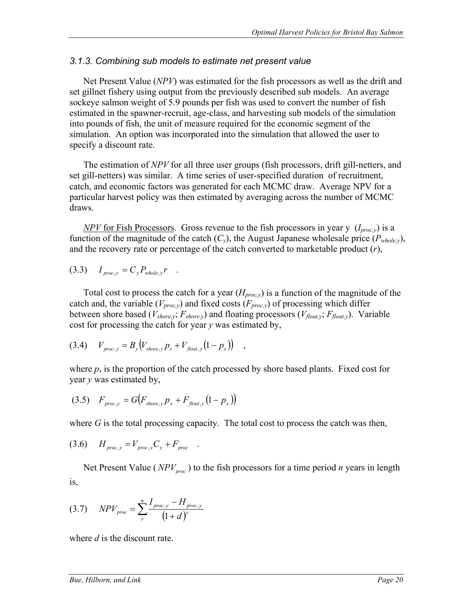#### *3.1.3. Combining sub models to estimate net present value*

Net Present Value (*NPV*) was estimated for the fish processors as well as the drift and set gillnet fishery using output from the previously described sub models. An average sockeye salmon weight of 5.9 pounds per fish was used to convert the number of fish estimated in the spawner-recruit, age-class, and harvesting sub models of the simulation into pounds of fish, the unit of measure required for the economic segment of the simulation. An option was incorporated into the simulation that allowed the user to specify a discount rate.

The estimation of *NPV* for all three user groups (fish processors, drift gill-netters, and set gill-netters) was similar. A time series of user-specified duration of recruitment, catch, and economic factors was generated for each MCMC draw. Average NPV for a particular harvest policy was then estimated by averaging across the number of MCMC draws.

*NPV* for Fish Processors. Gross revenue to the fish processors in year y  $(I_{proc, v})$  is a function of the magnitude of the catch  $(C_v)$ , the August Japanese wholesale price  $(P_{whole,v})$ , and the recovery rate or percentage of the catch converted to marketable product (*r*),

$$
(3.3) \tI_{proc,y} = C_y P_{whole,y} r.
$$

Total cost to process the catch for a year  $(H_{proc,v})$  is a function of the magnitude of the catch and, the variable ( $V_{proc,y}$ ) and fixed costs ( $F_{proc,y}$ ) of processing which differ between shore based (*Vshore,y*; *Fshore,y*) and floating processors (*Vfloat,y*; *Ffloat,y*). Variable cost for processing the catch for year *y* was estimated by,

$$
(3.4) \tV_{proc,y} = B_y (V_{shore,y} p_s + V_{float,y} (1 - p_s)) ,
$$

where  $p_s$  is the proportion of the catch processed by shore based plants. Fixed cost for year *y* was estimated by,

(3.5) 
$$
F_{proc,y} = G(F_{shore,y} p_s + F_{float,y} (1 - p_s))
$$

where *G* is the total processing capacity. The total cost to process the catch was then,

$$
(3.6) \tH_{proc,y} = V_{proc,y}C_y + F_{proc}.
$$

Net Present Value ( $NPV_{\text{mno}}$ ) to the fish processors for a time period *n* years in length is,

(3.7) 
$$
NPV_{proc} = \sum_{y}^{n} \frac{I_{proc,y} - H_{proc,y}}{(1+d)^{y}}
$$

where *d* is the discount rate.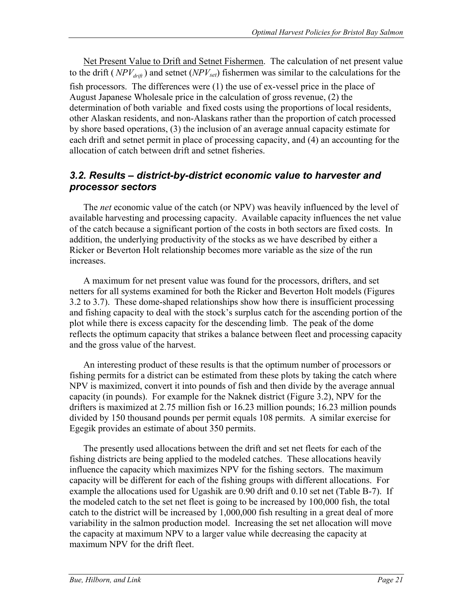Net Present Value to Drift and Setnet Fishermen. The calculation of net present value to the drift ( $NPV_{\text{det}}$ ) and setnet ( $NPV_{\text{set}}$ ) fishermen was similar to the calculations for the fish processors. The differences were (1) the use of ex-vessel price in the place of August Japanese Wholesale price in the calculation of gross revenue, (2) the determination of both variable and fixed costs using the proportions of local residents, other Alaskan residents, and non-Alaskans rather than the proportion of catch processed by shore based operations, (3) the inclusion of an average annual capacity estimate for each drift and setnet permit in place of processing capacity, and (4) an accounting for the allocation of catch between drift and setnet fisheries.

### *3.2. Results – district-by-district economic value to harvester and processor sectors*

The *net* economic value of the catch (or NPV) was heavily influenced by the level of available harvesting and processing capacity. Available capacity influences the net value of the catch because a significant portion of the costs in both sectors are fixed costs. In addition, the underlying productivity of the stocks as we have described by either a Ricker or Beverton Holt relationship becomes more variable as the size of the run increases.

A maximum for net present value was found for the processors, drifters, and set netters for all systems examined for both the Ricker and Beverton Holt models (Figures 3.2 to 3.7). These dome-shaped relationships show how there is insufficient processing and fishing capacity to deal with the stock's surplus catch for the ascending portion of the plot while there is excess capacity for the descending limb. The peak of the dome reflects the optimum capacity that strikes a balance between fleet and processing capacity and the gross value of the harvest.

An interesting product of these results is that the optimum number of processors or fishing permits for a district can be estimated from these plots by taking the catch where NPV is maximized, convert it into pounds of fish and then divide by the average annual capacity (in pounds). For example for the Naknek district (Figure 3.2), NPV for the drifters is maximized at 2.75 million fish or 16.23 million pounds; 16.23 million pounds divided by 150 thousand pounds per permit equals 108 permits. A similar exercise for Egegik provides an estimate of about 350 permits.

The presently used allocations between the drift and set net fleets for each of the fishing districts are being applied to the modeled catches. These allocations heavily influence the capacity which maximizes NPV for the fishing sectors. The maximum capacity will be different for each of the fishing groups with different allocations. For example the allocations used for Ugashik are 0.90 drift and 0.10 set net (Table B-7). If the modeled catch to the set net fleet is going to be increased by 100,000 fish, the total catch to the district will be increased by 1,000,000 fish resulting in a great deal of more variability in the salmon production model. Increasing the set net allocation will move the capacity at maximum NPV to a larger value while decreasing the capacity at maximum NPV for the drift fleet.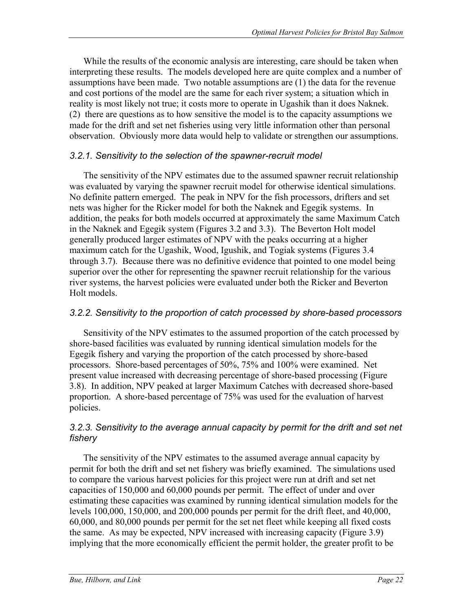While the results of the economic analysis are interesting, care should be taken when interpreting these results. The models developed here are quite complex and a number of assumptions have been made. Two notable assumptions are (1) the data for the revenue and cost portions of the model are the same for each river system; a situation which in reality is most likely not true; it costs more to operate in Ugashik than it does Naknek. (2) there are questions as to how sensitive the model is to the capacity assumptions we made for the drift and set net fisheries using very little information other than personal observation. Obviously more data would help to validate or strengthen our assumptions.

#### *3.2.1. Sensitivity to the selection of the spawner-recruit model*

The sensitivity of the NPV estimates due to the assumed spawner recruit relationship was evaluated by varying the spawner recruit model for otherwise identical simulations. No definite pattern emerged. The peak in NPV for the fish processors, drifters and set nets was higher for the Ricker model for both the Naknek and Egegik systems. In addition, the peaks for both models occurred at approximately the same Maximum Catch in the Naknek and Egegik system (Figures 3.2 and 3.3). The Beverton Holt model generally produced larger estimates of NPV with the peaks occurring at a higher maximum catch for the Ugashik, Wood, Igushik, and Togiak systems (Figures 3.4 through 3.7). Because there was no definitive evidence that pointed to one model being superior over the other for representing the spawner recruit relationship for the various river systems, the harvest policies were evaluated under both the Ricker and Beverton Holt models.

#### *3.2.2. Sensitivity to the proportion of catch processed by shore-based processors*

Sensitivity of the NPV estimates to the assumed proportion of the catch processed by shore-based facilities was evaluated by running identical simulation models for the Egegik fishery and varying the proportion of the catch processed by shore-based processors. Shore-based percentages of 50%, 75% and 100% were examined. Net present value increased with decreasing percentage of shore-based processing (Figure 3.8). In addition, NPV peaked at larger Maximum Catches with decreased shore-based proportion. A shore-based percentage of 75% was used for the evaluation of harvest policies.

#### 3.2.3. Sensitivity to the average annual capacity by permit for the drift and set net *fishery*

The sensitivity of the NPV estimates to the assumed average annual capacity by permit for both the drift and set net fishery was briefly examined. The simulations used to compare the various harvest policies for this project were run at drift and set net capacities of 150,000 and 60,000 pounds per permit. The effect of under and over estimating these capacities was examined by running identical simulation models for the levels 100,000, 150,000, and 200,000 pounds per permit for the drift fleet, and 40,000, 60,000, and 80,000 pounds per permit for the set net fleet while keeping all fixed costs the same. As may be expected, NPV increased with increasing capacity (Figure 3.9) implying that the more economically efficient the permit holder, the greater profit to be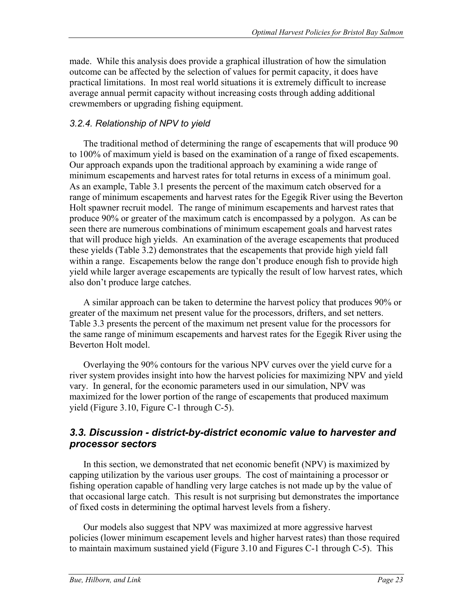made. While this analysis does provide a graphical illustration of how the simulation outcome can be affected by the selection of values for permit capacity, it does have practical limitations. In most real world situations it is extremely difficult to increase average annual permit capacity without increasing costs through adding additional crewmembers or upgrading fishing equipment.

#### *3.2.4. Relationship of NPV to yield*

The traditional method of determining the range of escapements that will produce 90 to 100% of maximum yield is based on the examination of a range of fixed escapements. Our approach expands upon the traditional approach by examining a wide range of minimum escapements and harvest rates for total returns in excess of a minimum goal. As an example, Table 3.1 presents the percent of the maximum catch observed for a range of minimum escapements and harvest rates for the Egegik River using the Beverton Holt spawner recruit model. The range of minimum escapements and harvest rates that produce 90% or greater of the maximum catch is encompassed by a polygon. As can be seen there are numerous combinations of minimum escapement goals and harvest rates that will produce high yields. An examination of the average escapements that produced these yields (Table 3.2) demonstrates that the escapements that provide high yield fall within a range. Escapements below the range don't produce enough fish to provide high yield while larger average escapements are typically the result of low harvest rates, which also don't produce large catches.

A similar approach can be taken to determine the harvest policy that produces 90% or greater of the maximum net present value for the processors, drifters, and set netters. Table 3.3 presents the percent of the maximum net present value for the processors for the same range of minimum escapements and harvest rates for the Egegik River using the Beverton Holt model.

Overlaying the 90% contours for the various NPV curves over the yield curve for a river system provides insight into how the harvest policies for maximizing NPV and yield vary. In general, for the economic parameters used in our simulation, NPV was maximized for the lower portion of the range of escapements that produced maximum yield (Figure 3.10, Figure C-1 through C-5).

### *3.3. Discussion - district-by-district economic value to harvester and processor sectors*

In this section, we demonstrated that net economic benefit (NPV) is maximized by capping utilization by the various user groups. The cost of maintaining a processor or fishing operation capable of handling very large catches is not made up by the value of that occasional large catch. This result is not surprising but demonstrates the importance of fixed costs in determining the optimal harvest levels from a fishery.

Our models also suggest that NPV was maximized at more aggressive harvest policies (lower minimum escapement levels and higher harvest rates) than those required to maintain maximum sustained yield (Figure 3.10 and Figures C-1 through C-5). This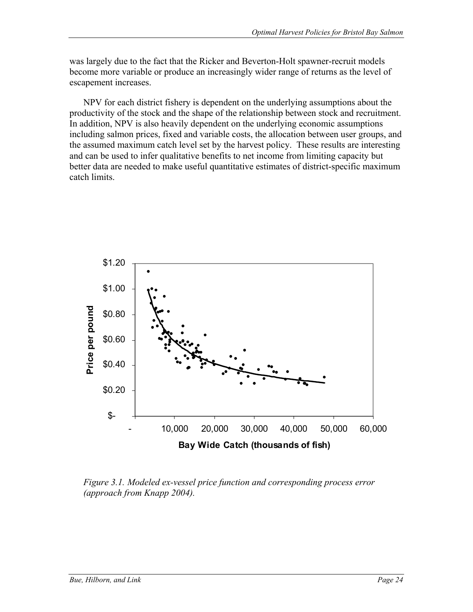was largely due to the fact that the Ricker and Beverton-Holt spawner-recruit models become more variable or produce an increasingly wider range of returns as the level of escapement increases.

NPV for each district fishery is dependent on the underlying assumptions about the productivity of the stock and the shape of the relationship between stock and recruitment. In addition, NPV is also heavily dependent on the underlying economic assumptions including salmon prices, fixed and variable costs, the allocation between user groups, and the assumed maximum catch level set by the harvest policy. These results are interesting and can be used to infer qualitative benefits to net income from limiting capacity but better data are needed to make useful quantitative estimates of district-specific maximum catch limits.



*Figure 3.1. Modeled ex-vessel price function and corresponding process error (approach from Knapp 2004).*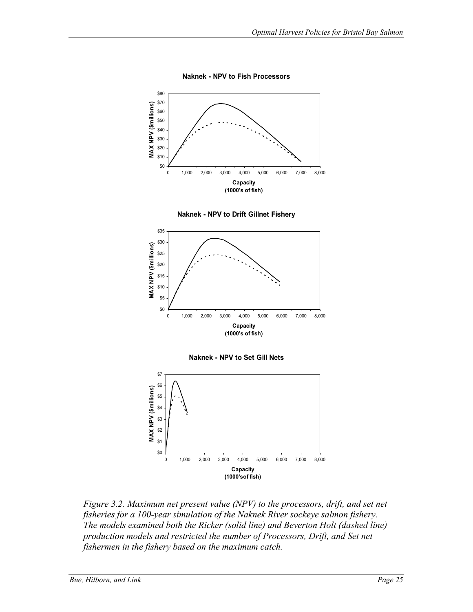

**Naknek - NPV to Fish Processors**







0 1,000 2,000 3,000 4,000 5,000 6,000 7,000 8,000 **Capacity (1000'sof fish)**

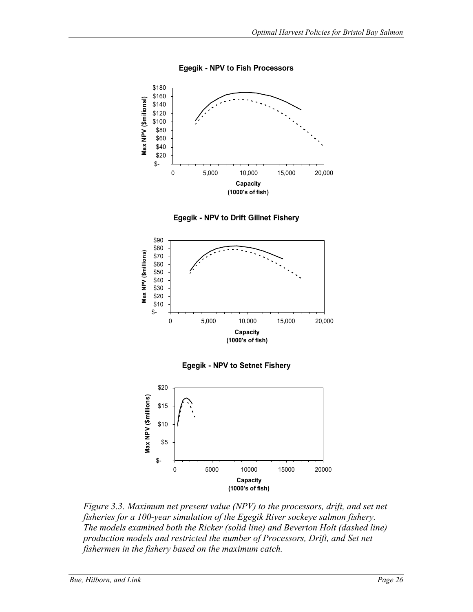

**Egegik - NPV to Fish Processors**





**Egegik - NPV to Setnet Fishery**



*Figure 3.3. Maximum net present value (NPV) to the processors, drift, and set net fisheries for a 100-year simulation of the Egegik River sockeye salmon fishery. The models examined both the Ricker (solid line) and Beverton Holt (dashed line) production models and restricted the number of Processors, Drift, and Set net fishermen in the fishery based on the maximum catch.*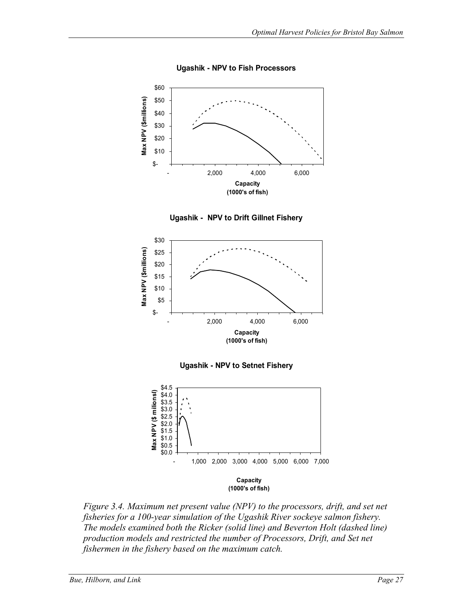

**Ugashik - NPV to Fish Processors**





**Ugashik - NPV to Setnet Fishery**



*Figure 3.4. Maximum net present value (NPV) to the processors, drift, and set net fisheries for a 100-year simulation of the Ugashik River sockeye salmon fishery. The models examined both the Ricker (solid line) and Beverton Holt (dashed line) production models and restricted the number of Processors, Drift, and Set net fishermen in the fishery based on the maximum catch.*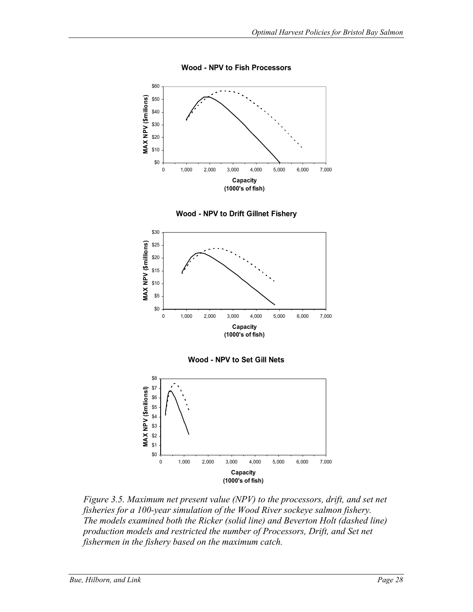

**Wood - NPV to Fish Processors**









*Figure 3.5. Maximum net present value (NPV) to the processors, drift, and set net fisheries for a 100-year simulation of the Wood River sockeye salmon fishery. The models examined both the Ricker (solid line) and Beverton Holt (dashed line) production models and restricted the number of Processors, Drift, and Set net fishermen in the fishery based on the maximum catch.*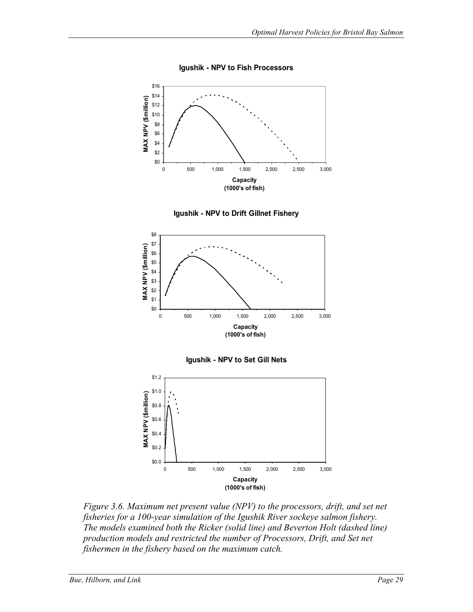

**Igushik - NPV to Fish Processors**









*Figure 3.6. Maximum net present value (NPV) to the processors, drift, and set net fisheries for a 100-year simulation of the Igushik River sockeye salmon fishery. The models examined both the Ricker (solid line) and Beverton Holt (dashed line) production models and restricted the number of Processors, Drift, and Set net fishermen in the fishery based on the maximum catch.*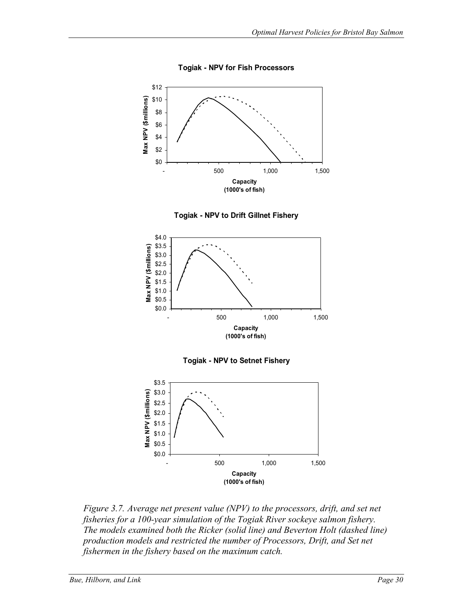











*Figure 3.7. Average net present value (NPV) to the processors, drift, and set net fisheries for a 100-year simulation of the Togiak River sockeye salmon fishery. The models examined both the Ricker (solid line) and Beverton Holt (dashed line) production models and restricted the number of Processors, Drift, and Set net fishermen in the fishery based on the maximum catch.*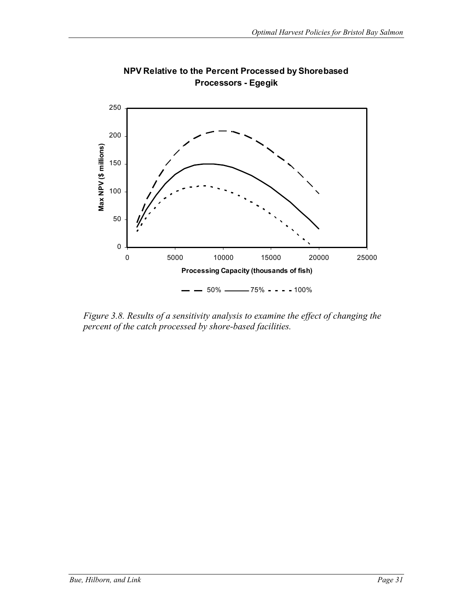

**NPV Relative to the Percent Processed by Shorebased Processors - Egegik**

*Figure 3.8. Results of a sensitivity analysis to examine the effect of changing the percent of the catch processed by shore-based facilities.*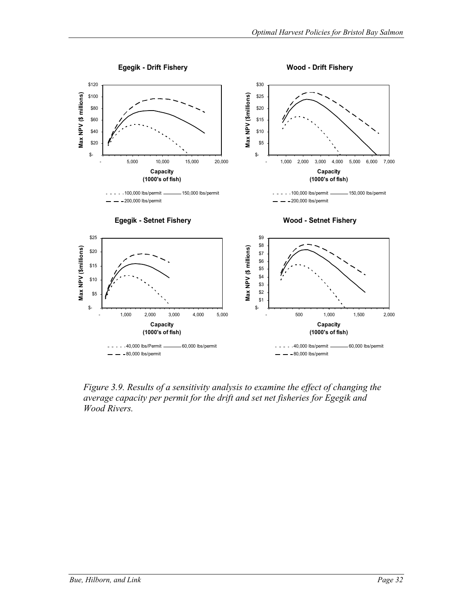

*Figure 3.9. Results of a sensitivity analysis to examine the effect of changing the average capacity per permit for the drift and set net fisheries for Egegik and Wood Rivers.*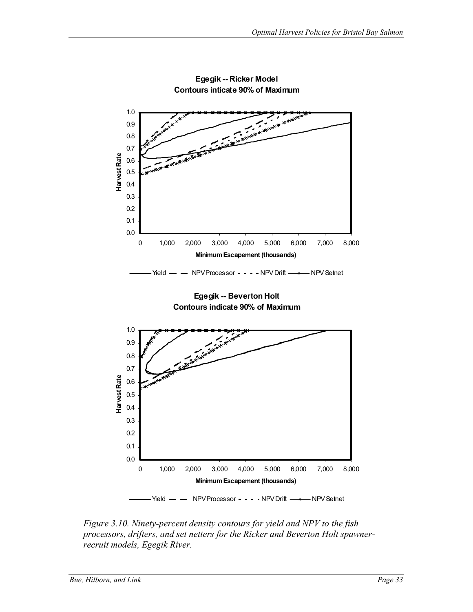

**Egegik -- Ricker Model Contours inticate 90% of Maximum**

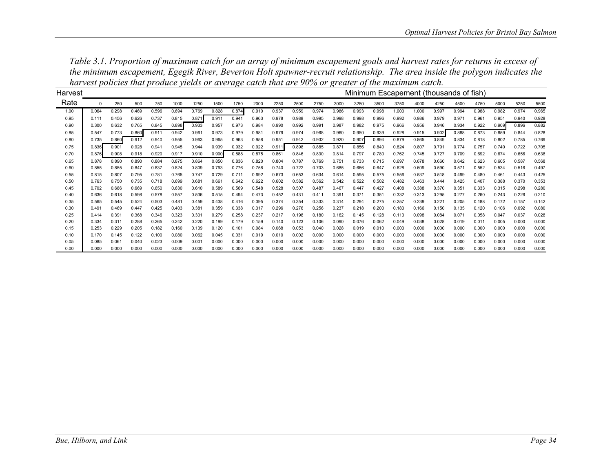| Harvest |          |       |       |       |       |       |       |       |       |       |       |       |       | Minimum Escapement (thousands of fish) |                |       |       |       |       |       |       |       |       |
|---------|----------|-------|-------|-------|-------|-------|-------|-------|-------|-------|-------|-------|-------|----------------------------------------|----------------|-------|-------|-------|-------|-------|-------|-------|-------|
| Rate    | $\Omega$ | 250   | 500   | 750   | 1000  | 1250  | 1500  | 1750  | 2000  | 2250  | 2500  | 2750  | 3000  | 3250                                   | 3500           | 3750  | 4000  | 4250  | 4500  | 4750  | 5000  | 5250  | 5500  |
| 1.00    | 0.064    | 0.298 | 0.469 | 0.596 | 0.694 | 0.769 | 0.828 | 0.874 | 0.910 | 0.937 | 0.959 | 0.974 | 0.986 | 0.993                                  | 0.998          | 1.000 | 1.000 | 0.997 | 0.994 | 0.988 | 0.982 | 0.974 | 0.965 |
| 0.95    | 0.111    | 0.456 | 0.626 | 0.737 | 0.815 | 0.871 | 0.911 | 0.941 | 0.963 | 0.978 | 0.988 | 0.995 | 0.998 | 0.998                                  | 0.996          | 0.992 | 0.986 | 0.979 | 0.971 | 0.961 | 0.951 | 0.940 | 0.928 |
| 0.90    | 0.300    | 0.632 | 0.765 | 0.845 | 0.898 | 0.933 | 0.957 | 0.973 | 0.984 | 0.990 | 0.992 | 0.991 | 0.987 | 0.982                                  | 0.975          | 0.966 | 0.956 | 0.946 | 0.934 | 0.922 | 0.909 | 0.896 | 0.882 |
| 0.85    | 0.547    | 0.773 | 0.860 | 0.911 | 0.942 | 0.961 | 0.973 | 0.979 | 0.981 | 0.979 | 0.974 | 0.968 | 0.960 | 0.950                                  | 0.939          | 0.928 | 0.915 | 0.902 | 0.888 | 0.873 | 0.859 | 0.844 | 0.828 |
| 0.80    | 0.735    | 0.860 | 0.912 | 0.940 | 0.955 | 0.963 | 0.965 | 0.963 | 0.958 | 0.951 | 0.942 | 0.932 | 0.920 | 0.907                                  | 0.894          | 0.879 | 0.865 | 0.849 | 0.834 | 0.818 | 0.802 | 0.785 | 0.769 |
| 0.75    | 0.836    | 0.901 | 0.928 | 0.941 | 0.945 | 0.944 | 0.939 | 0.932 | 0.922 | 0.91' | 0.898 | 0.885 | 0.871 | 0.856                                  | 0.840          | 0.824 | 0.807 | 0.791 | 0.774 | 0.757 | 0.740 | 0.722 | 0.705 |
| 0.70    | 0.876    | 0.908 | 0.918 | 0.920 | 0.917 | 0.910 | 0.900 | 0.888 | 0.875 | 0.861 | 0.846 | 0.830 | 0.814 | 0.797                                  | 0.780          | 0.762 | 0.745 | 0.727 | 0.709 | 0.692 | 0.674 | 0.656 | 0.638 |
| 0.65    | 0.878    | 0.890 | 0.890 | 0.884 | 0.875 | 0.864 | 0.850 | 0.836 | 0.820 | 0.804 | 0.787 | 0.769 | 0.751 | 0.733                                  | 0.715          | 0.697 | 0.678 | 0.660 | 0.642 | 0.623 | 0.605 | 0.587 | 0.568 |
| 0.60    | 0.855    | 0.855 | 0.847 | 0.837 | 0.824 | 0.809 | 0.793 | 0.776 | 0.758 | 0.740 | 0.722 | 0.703 | 0.685 | 0.666                                  | 0.647          | 0.628 | 0.609 | 0.590 | 0.571 | 0.552 | 0.534 | 0.516 | 0.497 |
| 0.55    | 0.815    | 0.807 | 0.795 | 0.781 | 0.765 | 0.747 | 0.729 | 0.711 | 0.692 | 0.673 | 0.653 | 0.634 | 0.614 | 0.595                                  | 0.575          | 0.556 | 0.537 | 0.518 | 0.499 | 0.480 | 0.461 | 0.443 | 0.425 |
| 0.50    | 0.763    | 0.750 | 0.735 | 0.718 | 0.699 | 0.681 | 0.661 | 0.642 | 0.622 | 0.602 | 0.582 | 0.562 | 0.542 | 0.522                                  | 0.502          | 0.482 | 0.463 | 0.444 | 0.425 | 0.407 | 0.388 | 0.370 | 0.353 |
| 0.45    | 0.702    | 0.686 | 0.669 | 0.650 | 0.630 | 0.610 | 0.589 | 0.569 | 0.548 | 0.528 | 0.507 | 0.487 | 0.467 | 0.447                                  | 0.427          | 0.408 | 0.388 | 0.370 | 0.351 | 0.333 | 0.315 | 0.298 | 0.280 |
| 0.40    | 0.636    | 0.618 | 0.598 | 0.578 | 0.557 | 0.536 | 0.515 | 0.494 | 0.473 | 0.452 | 0.431 | 0.411 | 0.391 | 0.37'                                  | $0.35^{\circ}$ | 0.332 | 0.313 | 0.295 | 0.277 | 0.260 | 0.243 | 0.226 | 0.210 |
| 0.35    | 0.565    | 0.545 | 0.524 | 0.503 | 0.481 | 0.459 | 0.438 | 0.416 | 0.395 | 0.374 | 0.354 | 0.333 | 0.314 | 0.294                                  | 0.275          | 0.257 | 0.239 | 0.221 | 0.205 | 0.188 | 0.172 | 0.157 | 0.142 |
| 0.30    | 0.491    | 0.469 | 0.447 | 0.425 | 0.403 | 0.381 | 0.359 | 0.338 | 0.317 | 0.296 | 0.276 | 0.256 | 0.237 | 0.218                                  | 0.200          | 0.183 | 0.166 | 0.150 | 0.135 | 0.120 | 0.106 | 0.092 | 0.080 |
| 0.25    | 0.414    | 0.391 | 0.368 | 0.346 | 0.323 | 0.301 | 0.279 | 0.258 | 0.237 | 0.217 | 0.198 | 0.180 | 0.162 | 0.145                                  | 0.128          | 0.113 | 0.098 | 0.084 | 0.071 | 0.058 | 0.047 | 0.037 | 0.028 |
| 0.20    | 0.334    | 0.311 | 0.288 | 0.265 | 0.242 | 0.220 | 0.199 | 0.179 | 0.159 | 0.140 | 0.123 | 0.106 | 0.090 | 0.076                                  | 0.062          | 0.049 | 0.038 | 0.028 | 0.019 | 0.011 | 0.005 | 0.000 | 0.000 |
| 0.15    | 0.253    | 0.229 | 0.205 | 0.182 | 0.160 | 0.139 | 0.120 | 0.101 | 0.084 | 0.068 | 0.053 | 0.040 | 0.028 | 0.019                                  | 0.010          | 0.003 | 0.000 | 0.000 | 0.000 | 0.000 | 0.000 | 0.000 | 0.000 |
| 0.10    | 0.170    | 0.145 | 0.122 | 0.100 | 0.080 | 0.062 | 0.045 | 0.031 | 0.019 | 0.010 | 0.002 | 0.000 | 0.000 | 0.000                                  | 0.000          | 0.000 | 0.000 | 0.000 | 0.000 | 0.000 | 0.000 | 0.000 | 0.000 |
| 0.05    | 0.085    | 0.061 | 0.040 | 0.023 | 0.009 | 0.001 | 0.000 | 0.000 | 0.000 | 0.000 | 0.000 | 0.000 | 0.000 | 0.000                                  | 0.000          | 0.000 | 0.000 | 0.000 | 0.000 | 0.000 | 0.000 | 0.000 | 0.000 |
| 0.00    | 0.000    | 0.000 | 0.000 | 0.000 | 0.000 | 0.000 | 0.000 | 0.000 | 0.000 | 0.000 | 0.000 | 0.000 | 0.000 | 0.000                                  | 0.000          | 0.000 | 0.000 | 0.000 | 0.000 | 0.000 | 0.000 | 0.000 | 0.000 |

*Table 3.1. Proportion of maximum catch for an array of minimum escapement goals and harvest rates for returns in excess of the minimum escapement, Egegik River, Beverton Holt spawner-recruit relationship. The area inside the polygon indicates the harvest policies that produce yields or average catch that are 90% or greater of the maximum catch.*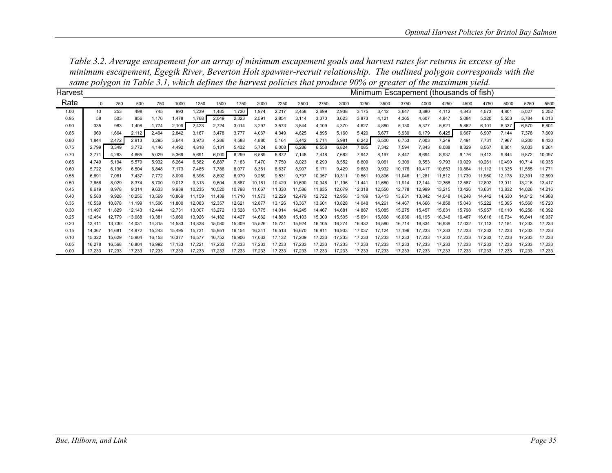|         | $\frac{1}{2}$ |        |        |        |        |        | on me I wore bill, minene wejnied me nam rede |        |        | ponence man pi oum |        |        |        | .                                      |        | $\mathbf{v}$ |        |        |        |        |        |        |        |
|---------|---------------|--------|--------|--------|--------|--------|-----------------------------------------------|--------|--------|--------------------|--------|--------|--------|----------------------------------------|--------|--------------|--------|--------|--------|--------|--------|--------|--------|
| Harvest |               |        |        |        |        |        |                                               |        |        |                    |        |        |        | Minimum Escapement (thousands of fish) |        |              |        |        |        |        |        |        |        |
| Rate    | $\Omega$      | 250    | 500    | 750    | 1000   | 1250   | 1500                                          | 1750   | 2000   | 2250               | 2500   | 2750   | 3000   | 3250                                   | 3500   | 3750         | 4000   | 4250   | 4500   | 4750   | 5000   | 5250   | 5500   |
| 1.00    | 13            | 253    | 498    | 745    | 993    | 1,239  | 1,485                                         | 1,730  | 1,974  | 2,217              | 2,458  | 2,699  | 2,938  | 3,175                                  | 3,412  | 3,647        | 3,880  | 4,112  | 4,343  | 4,573  | 4,801  | 5,027  | 5,252  |
| 0.95    | 58            | 503    | 856    | 1,176  | 1,478  | 1,768  | 2,049                                         | 2,323  | 2,591  | 2,854              | 3,114  | 3,370  | 3,623  | 3,873                                  | 4,121  | 4,365        | 4,607  | 4,847  | 5,084  | 5,320  | 5,553  | 5,784  | 6,013  |
| 0.90    | 335           | 983    | 1,408  | 1,774  | 2,109  | 2,423  | 2,724                                         | 3,014  | 3,297  | 3,573              | 3,844  | 4,109  | 4,370  | 4,627                                  | 4,880  | 5,130        | 5,377  | 5,621  | 5,862  | 6,101  | 6,337  | 6,570  | 6,801  |
| 0.85    | 969           | 1.664  | 2,112  | 2,494  | 2,842  | 3,167  | 3.478                                         | 3.777  | 4.067  | 4,349              | 4.625  | 4,895  | 5.160  | 5.420                                  | 5.677  | 5.930        | 6,179  | 6,425  | 6,667  | 6,907  | 7,144  | 7,378  | 7,609  |
| 0.80    | 1,844         | 2,472  | 2,913  | 3,295  | 3,644  | 3,973  | 4,286                                         | 4,588  | 4,880  | 5,164              | 5,442  | 5,714  | 5,981  | 6,242                                  | 6,500  | 6,753        | 7,003  | 7,249  | 7,491  | 7,731  | 7,967  | 8,200  | 8,430  |
| 0.75    | 2.799         | 3.349  | 3,772  | 4.146  | 4,492  | 4,818  | 5,131                                         | 5,432  | 5,724  | 6,008              | 6,286  | 6,558  | 6,824  | 7,085                                  | 7,342  | 7,594        | 7,843  | 8,088  | 8,329  | 8,567  | 8,801  | 9,033  | 9,261  |
| 0.70    | 3.771         | 4,263  | 4,665  | 5,029  | 5,369  | 5,691  | 6,000                                         | 6,299  | 6,589  | 6,872              | 7,148  | 7,418  | 7.682  | 7,942                                  | 8,197  | 8,447        | 8,694  | 8,937  | 9.176  | 9,412  | 9,644  | 9,872  | 10,097 |
| 0.65    | 4.749         | 5,194  | 5,579  | 5,932  | 6,264  | 6,582  | 6,887                                         | 7,183  | 7,470  | 7,750              | 8,023  | 8,290  | 8,552  | 8,809                                  | 9,061  | 9,309        | 9.553  | 9.793  | 10,029 | 10,26  | 10,490 | 10,714 | 10,935 |
| 0.60    | 5.722         | 6.136  | 6,504  | 6.848  | 7.173  | 7.485  | 7.786                                         | 8,077  | 8.361  | 8,637              | 8,907  | 9.171  | 9.429  | 9.683                                  | 9.932  | 10,176       | 10.417 | 10.653 | 10.884 | 11.112 | 11.335 | 11.555 | 11,771 |
| 0.55    | 6.691         | 7,081  | 7,437  | 7.772  | 8,090  | 8,396  | 8,692                                         | 8,979  | 9,259  | 9,531              | 9,797  | 10,057 | 10,31' | 10,561                                 | 10,806 | 11,046       | 11.281 | 11,512 | 11.739 | 11,960 | 12,178 | 12,391 | 12,599 |
| 0.50    | 7.656         | 8.029  | 8,374  | 8.700  | 9,012  | 9,313  | 9,604                                         | 9,887  | 10,161 | 10,429             | 10,690 | 10,946 | 11.196 | 11.441                                 | 11.680 | 11.914       | 12.144 | 12.368 | 12.587 | 12.802 | 13.011 | 13,216 | 13,417 |
| 0.45    | 8.619         | 8.978  | 9,314  | 9.633  | 9,939  | 10,235 | 10,520                                        | 10,798 | 11,067 | 11,330             | 11,586 | 11,835 | 12,079 | 12,318                                 | 12.550 | 12.778       | 12.999 | 13,215 | 13.426 | 13,631 | 13,832 | 14,026 | 14,216 |
| 0.40    | 9.580         | 9.928  | 10,256 | 10.569 | 10.869 | 11.159 | 11.439                                        | 11.710 | 11.973 | 12,229             | 12.479 | 12,722 | 12.958 | 13.189                                 | 13.413 | 13.631       | 13.842 | 14.048 | 14.248 | 14.442 | 14.630 | 14,812 | 14,988 |
| 0.35    | 10,539        | 10,878 | 11,199 | 11,506 | 11,800 | 12,083 | 12,357                                        | 12,621 | 12,877 | 13,126             | 13,367 | 13,601 | 13,828 | 14,048                                 | 14,261 | 14,467       | 14.666 | 14,858 | 15,043 | 15,222 | 15,395 | 15,560 | 15,720 |
| 0.30    | 11.497        | 11.829 | 12.143 | 12.444 | 12.731 | 13.007 | 13,272                                        | 13,528 | 13,775 | 14,014             | 14.245 | 14,467 | 14.681 | 14,887                                 | 15.085 | 15,275       | 15,457 | 15.631 | 15.798 | 15.957 | 16.110 | 16,256 | 16,392 |
| 0.25    | 12.454        | 12.779 | 13,088 | 13,38' | 13,660 | 13,926 | 14,182                                        | 14,427 | 14,662 | 14,888             | 15,103 | 15,309 | 15,505 | 15,691                                 | 15,868 | 16,036       | 16.195 | 16,346 | 16,487 | 16,616 | 16.734 | 16,84' | 16,937 |
| 0.20    | 13.411        | 13.730 | 14.031 | 14.315 | 14.583 | 14.838 | 15,080                                        | 15.309 | 15,526 | 15,731             | 15,924 | 16,105 | 16.274 | 16,432                                 | 16.580 | 16.714       | 16,834 | 16.939 | 17.032 | 17.113 | 17.184 | 17.233 | 17,233 |
| 0.15    | 14.367        | 14.681 | 14,972 | 15.243 | 15.495 | 15.731 | 15,951                                        | 16,154 | 16,341 | 16,513             | 16,670 | 16,81' | 16,933 | 17,037                                 | 17.124 | 17.196       | 17.233 | 17,233 | 17.233 | 17.233 | 17.233 | 17.233 | 17,233 |
| 0.10    | 15.322        | 15.629 | 15,904 | 16.153 | 16,377 | 16.577 | 16.752                                        | 16,906 | 17.033 | 17,132             | 17,209 | 17,233 | 17.233 | 17,233                                 | 17.233 | 17.233       | 17.233 | 17.233 | 17.233 | 17.233 | 17.233 | 17.233 | 17,233 |
| 0.05    | 16.278        | 16.568 | 16.804 | 16.992 | 17.133 | 17.221 | 17.233                                        | 17.233 | 17.233 | 17,233             | 17,233 | 17,233 | 17.233 | 17,233                                 | 17.233 | 17.233       | 17.233 | 17.233 | 17.233 | 17.233 | 17.233 | 17.233 | 17,233 |
| 0.00    | 17.233        | 17.233 | 17.233 | 17.233 | 17.233 | 17.233 | 17.233                                        | 17.233 | 17.233 | 17.233             | 17.233 | 17.233 | 17.233 | 17.233                                 | 17.233 | 17.233       | 17.233 | 17.233 | 17.233 | 17.233 | 17.233 | 17.233 | 17,233 |

*Table 3.2. Average escapement for an array of minimum escapement goals and harvest rates for returns in excess of the minimum escapement, Egegik River, Beverton Holt spawner-recruit relationship. The outlined polygon corresponds with the same polygon in Table 3.1, which defines the harvest policies that produce 90% or greater of the maximum yield.*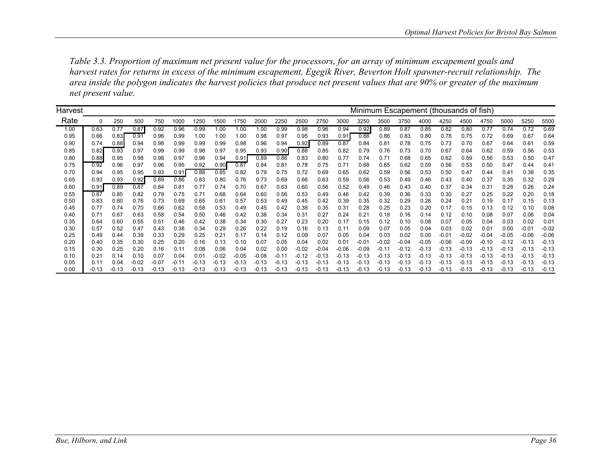*Table 3.3. Proportion of maximum net present value for the processors, for an array of minimum escapement goals and harvest rates for returns in excess of the minimum escapement, Egegik River, Beverton Holt spawner-recruit relationship. The area inside the polygon indicates the harvest policies that produce net present values that are 90% or greater of the maximum net present value.* 

| Harvest |         |         |         |         |         |         |         |         |         |         |         |         |         | Minimum Escapement (thousands of fish) |         |         |         |         |         |         |         |         |               |
|---------|---------|---------|---------|---------|---------|---------|---------|---------|---------|---------|---------|---------|---------|----------------------------------------|---------|---------|---------|---------|---------|---------|---------|---------|---------------|
| Rate    | 0       | 250     | 500     | 750     | 1000    | 1250    | 1500    | 1750    | 2000    | 2250    | 2500    | 2750    | 3000    | 3250                                   | 3500    | 3750    | 4000    | 4250    | 4500    | 4750    | 5000    | 5250    | 5500          |
| 1.00    | 0.63    | 0.77    | 0.87    | 0.92    | 0.96    | 0.99    | 1.00    | 1.00    | 1.00    | 0.99    | 0.98    | 0.96    | 0.94    | 0.92                                   | 0.89    | 0.87    | 0.85    | 0.82    | 0.80    | 0.77    | 0.74    | 0.72    | 0.69          |
| 0.95    | 0.66    | 0.83    | 0.91    | 0.96    | 0.99    | 1.00    | 1.00    | 1.00    | 0.98    | 0.97    | 0.95    | 0.93    | 0.91    | 0.88                                   | 0.86    | 0.83    | 0.80    | 0.78    | 0.75    | 0.72    | 0.69    | 0.67    | 0.64          |
| 0.90    | 0.74    | 0.88    | 0.94    | 0.98    | 0.99    | 0.99    | 0.99    | 0.98    | 0.96    | 0.94    | 0.92    | 0.89    | 0.87    | 0.84                                   | 0.81    | 0.78    | 0.75    | 0.73    | 0.70    | 0.67    | 0.64    | 0.61    | 0.59          |
| 0.85    | 0.82    | 0.93    | 0.97    | 0.99    | 0.99    | 0.98    | 0.97    | 0.95    | 0.93    | 0.90    | 0.88    | 0.85    | 0.82    | 0.79                                   | 0.76    | 0.73    | 0.70    | 0.67    | 0.64    | 0.62    | 0.59    | 0.56    | 0.53          |
| 0.80    | 0.88    | 0.95    | 0.98    | 0.98    | 0.97    | 0.96    | 0.94    | 0.91    | 0.89    | 0.86    | 0.83    | 0.80    | 0.77    | 0.74                                   | 0.71    | 0.68    | 0.65    | 0.62    | 0.59    | 0.56    | 0.53    | 0.50    | 0.47          |
| 0.75    | 0.92    | 0.96    | 0.97    | 0.96    | 0.95    | 0.92    | 0.90    | 0.87    | 0.84    | 0.81    | 0.78    | 0.75    | 0.71    | 0.68                                   | 0.65    | 0.62    | 0.59    | 0.56    | 0.53    | 0.50    | 0.47    | 0.44    | $0.4^{\circ}$ |
| 0.70    | 0.94    | 0.95    | 0.95    | 0.93    | 0.91    | 0.88    | 0.85    | 0.82    | 0.79    | 0.75    | 0.72    | 0.69    | 0.65    | 0.62                                   | 0.59    | 0.56    | 0.53    | 0.50    | 0.47    | 0.44    | 0.41    | 0.38    | 0.35          |
| 0.65    | 0.93    | 0.93    | 0.92    | 0.89    | 0.86    | 0.83    | 0.80    | 0.76    | 0.73    | 0.69    | 0.66    | 0.63    | 0.59    | 0.56                                   | 0.53    | 0.49    | 0.46    | 0.43    | 0.40    | 0.37    | 0.35    | 0.32    | 0.29          |
| 0.60    | 0.91    | 0.89    | 0.87    | 0.84    | 0.81    | 0.77    | 0.74    | 0.70    | 0.67    | 0.63    | 0.60    | 0.56    | 0.52    | 0.49                                   | 0.46    | 0.43    | 0.40    | 0.37    | 0.34    | 0.31    | 0.28    | 0.26    | 0.24          |
| 0.55    | 0.87    | 0.85    | 0.82    | 0.79    | 0.75    | 0.71    | 0.68    | 0.64    | 0.60    | 0.56    | 0.53    | 0.49    | 0.46    | 0.42                                   | 0.39    | 0.36    | 0.33    | 0.30    | 0.27    | 0.25    | 0.22    | 0.20    | 0.18          |
| 0.50    | 0.83    | 0.80    | 0.76    | 0.73    | 0.69    | 0.65    | 0.61    | 0.57    | 0.53    | 0.49    | 0.45    | 0.42    | 0.39    | 0.35                                   | 0.32    | 0.29    | 0.26    | 0.24    | 0.21    | 0.19    | 0.17    | 0.15    | 0.13          |
| 0.45    | 0.77    | 0.74    | 0.70    | 0.66    | 0.62    | 0.58    | 0.53    | 0.49    | 0.45    | 0.42    | 0.38    | 0.35    | 0.31    | 0.28                                   | 0.25    | 0.23    | 0.20    | 0.17    | 0.15    | 0.13    | 0.12    | 0.10    | 0.08          |
| 0.40    | 0.71    | 0.67    | 0.63    | 0.58    | 0.54    | 0.50    | 0.46    | 0.42    | 0.38    | 0.34    | 0.31    | 0.27    | 0.24    | 0.21                                   | 0.18    | 0.16    | 0.14    | 0.12    | 0.10    | 0.08    | 0.07    | 0.06    | 0.04          |
| 0.35    | 0.64    | 0.60    | 0.55    | 0.51    | 0.46    | 0.42    | 0.38    | 0.34    | 0.30    | 0.27    | 0.23    | 0.20    | 0.17    | 0.15                                   | 0.12    | 0.10    | 0.08    | 0.07    | 0.05    | 0.04    | 0.03    | 0.02    | 0.01          |
| 0.30    | 0.57    | 0.52    | 0.47    | 0.43    | 0.38    | 0.34    | 0.29    | 0.26    | 0.22    | 0.19    | 0.16    | 0.13    | 0.11    | 0.09                                   | 0.07    | 0.05    | 0.04    | 0.03    | 0.02    | 0.01    | 0.00    | $-0.01$ | $-0.02$       |
| 0.25    | 0.49    | 0.44    | 0.39    | 0.33    | 0.29    | 0.25    | 0.21    | 0.17    | 0.14    | 0.12    | 0.09    | 0.07    | 0.05    | 0.04                                   | 0.03    | 0.02    | 0.00    | $-0.01$ | $-0.02$ | $-0.04$ | $-0.05$ | $-0.06$ | $-0.06$       |
| 0.20    | 0.40    | 0.35    | 0.30    | 0.25    | 0.20    | 0.16    | 0.13    | 0.10    | 0.07    | 0.05    | 0.04    | 0.02    | 0.01    | $-0.01$                                | $-0.02$ | $-0.04$ | $-0.05$ | $-0.06$ | $-0.09$ | $-0.10$ | $-0.12$ | $-0.13$ | $-0.13$       |
| 0.15    | 0.30    | 0.25    | 0.20    | 0.16    | 0.11    | 0.08    | 0.06    | 0.04    | 0.02    | 0.00    | $-0.02$ | $-0.04$ | $-0.06$ | $-0.09$                                | $-0.11$ | $-0.12$ | $-0.13$ | $-0.13$ | $-0.13$ | $-0.13$ | $-0.13$ | $-0.13$ | $-0.13$       |
| 0.10    | 0.21    | 0.14    | 0.10    | 0.07    | 0.04    | 0.01    | $-0.02$ | $-0.05$ | $-0.08$ | $-0.11$ | $-0.12$ | $-0.13$ | $-0.13$ | $-0.13$                                | $-0.13$ | $-0.13$ | $-0.13$ | $-0.13$ | $-0.13$ | $-0.13$ | $-0.13$ | $-0.13$ | $-0.13$       |
| 0.05    | 0.11    | 0.04    | $-0.02$ | $-0.07$ | $-0.11$ | $-0.13$ | $-0.13$ | $-0.13$ | $-0.13$ | $-0.13$ | $-0.13$ | $-0.13$ | $-0.13$ | $-0.13$                                | $-0.13$ | $-0.13$ | $-0.13$ | $-0.13$ | $-0.13$ | $-0.13$ | $-0.13$ | $-0.13$ | $-0.13$       |
| 0.00    | $-0.13$ | $-0.13$ | $-0.13$ | $-0.13$ | $-0.13$ | $-0.13$ | $-0.13$ | $-0.13$ | $-0.13$ | $-0.13$ | $-0.13$ | $-0.13$ | $-0.13$ | $-0.13$                                | $-0.13$ | $-0.13$ | $-0.13$ | $-0.13$ | $-0.13$ | $-0.13$ | $-0.13$ | $-0.13$ | $-0.13$       |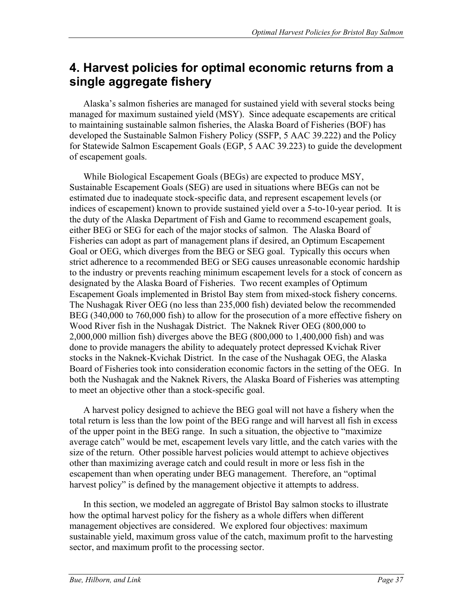## **4. Harvest policies for optimal economic returns from a single aggregate fishery**

Alaska's salmon fisheries are managed for sustained yield with several stocks being managed for maximum sustained yield (MSY). Since adequate escapements are critical to maintaining sustainable salmon fisheries, the Alaska Board of Fisheries (BOF) has developed the Sustainable Salmon Fishery Policy (SSFP, 5 AAC 39.222) and the Policy for Statewide Salmon Escapement Goals (EGP, 5 AAC 39.223) to guide the development of escapement goals.

While Biological Escapement Goals (BEGs) are expected to produce MSY, Sustainable Escapement Goals (SEG) are used in situations where BEGs can not be estimated due to inadequate stock-specific data, and represent escapement levels (or indices of escapement) known to provide sustained yield over a 5-to-10-year period. It is the duty of the Alaska Department of Fish and Game to recommend escapement goals, either BEG or SEG for each of the major stocks of salmon. The Alaska Board of Fisheries can adopt as part of management plans if desired, an Optimum Escapement Goal or OEG, which diverges from the BEG or SEG goal. Typically this occurs when strict adherence to a recommended BEG or SEG causes unreasonable economic hardship to the industry or prevents reaching minimum escapement levels for a stock of concern as designated by the Alaska Board of Fisheries. Two recent examples of Optimum Escapement Goals implemented in Bristol Bay stem from mixed-stock fishery concerns. The Nushagak River OEG (no less than 235,000 fish) deviated below the recommended BEG (340,000 to 760,000 fish) to allow for the prosecution of a more effective fishery on Wood River fish in the Nushagak District. The Naknek River OEG (800,000 to 2,000,000 million fish) diverges above the BEG (800,000 to 1,400,000 fish) and was done to provide managers the ability to adequately protect depressed Kvichak River stocks in the Naknek-Kvichak District. In the case of the Nushagak OEG, the Alaska Board of Fisheries took into consideration economic factors in the setting of the OEG. In both the Nushagak and the Naknek Rivers, the Alaska Board of Fisheries was attempting to meet an objective other than a stock-specific goal.

A harvest policy designed to achieve the BEG goal will not have a fishery when the total return is less than the low point of the BEG range and will harvest all fish in excess of the upper point in the BEG range. In such a situation, the objective to "maximize average catch" would be met, escapement levels vary little, and the catch varies with the size of the return. Other possible harvest policies would attempt to achieve objectives other than maximizing average catch and could result in more or less fish in the escapement than when operating under BEG management. Therefore, an "optimal harvest policy" is defined by the management objective it attempts to address.

In this section, we modeled an aggregate of Bristol Bay salmon stocks to illustrate how the optimal harvest policy for the fishery as a whole differs when different management objectives are considered. We explored four objectives: maximum sustainable yield, maximum gross value of the catch, maximum profit to the harvesting sector, and maximum profit to the processing sector.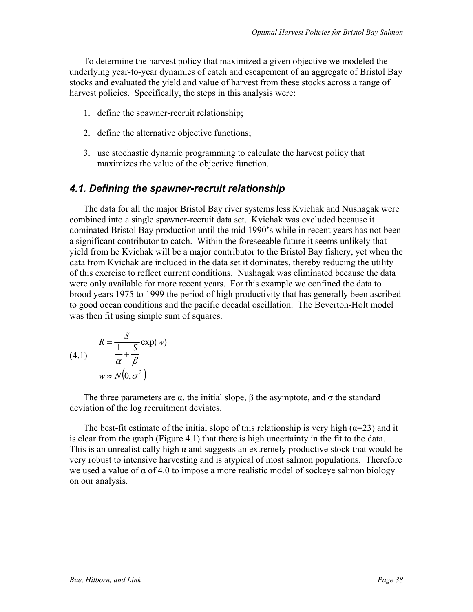To determine the harvest policy that maximized a given objective we modeled the underlying year-to-year dynamics of catch and escapement of an aggregate of Bristol Bay stocks and evaluated the yield and value of harvest from these stocks across a range of harvest policies. Specifically, the steps in this analysis were:

- 1. define the spawner-recruit relationship;
- 2. define the alternative objective functions;
- 3. use stochastic dynamic programming to calculate the harvest policy that maximizes the value of the objective function.

### *4.1. Defining the spawner-recruit relationship*

The data for all the major Bristol Bay river systems less Kvichak and Nushagak were combined into a single spawner-recruit data set. Kvichak was excluded because it dominated Bristol Bay production until the mid 1990's while in recent years has not been a significant contributor to catch. Within the foreseeable future it seems unlikely that yield from he Kvichak will be a major contributor to the Bristol Bay fishery, yet when the data from Kvichak are included in the data set it dominates, thereby reducing the utility of this exercise to reflect current conditions. Nushagak was eliminated because the data were only available for more recent years. For this example we confined the data to brood years 1975 to 1999 the period of high productivity that has generally been ascribed to good ocean conditions and the pacific decadal oscillation. The Beverton-Holt model was then fit using simple sum of squares.

(4.1) 
$$
R = \frac{S}{\frac{1}{\alpha} + \frac{S}{\beta}} \exp(w)
$$

$$
w \approx N(0, \sigma^2)
$$

The three parameters are  $\alpha$ , the initial slope,  $\beta$  the asymptote, and  $\sigma$  the standard deviation of the log recruitment deviates.

The best-fit estimate of the initial slope of this relationship is very high ( $\alpha$ =23) and it is clear from the graph (Figure 4.1) that there is high uncertainty in the fit to the data. This is an unrealistically high  $\alpha$  and suggests an extremely productive stock that would be very robust to intensive harvesting and is atypical of most salmon populations. Therefore we used a value of  $\alpha$  of 4.0 to impose a more realistic model of sockeye salmon biology on our analysis.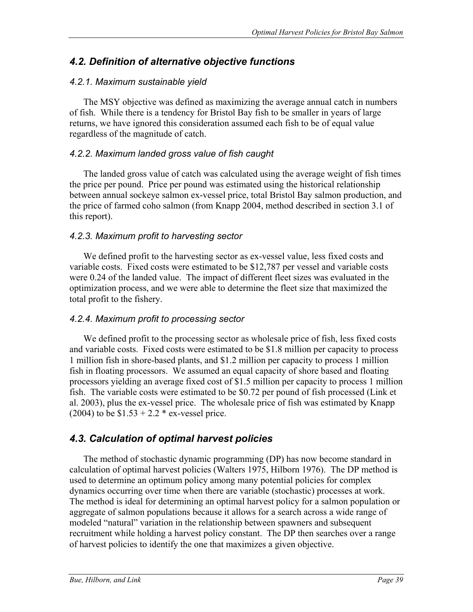### *4.2. Definition of alternative objective functions*

### *4.2.1. Maximum sustainable yield*

The MSY objective was defined as maximizing the average annual catch in numbers of fish. While there is a tendency for Bristol Bay fish to be smaller in years of large returns, we have ignored this consideration assumed each fish to be of equal value regardless of the magnitude of catch.

### *4.2.2. Maximum landed gross value of fish caught*

The landed gross value of catch was calculated using the average weight of fish times the price per pound. Price per pound was estimated using the historical relationship between annual sockeye salmon ex-vessel price, total Bristol Bay salmon production, and the price of farmed coho salmon (from Knapp 2004, method described in section 3.1 of this report).

### *4.2.3. Maximum profit to harvesting sector*

We defined profit to the harvesting sector as ex-vessel value, less fixed costs and variable costs. Fixed costs were estimated to be \$12,787 per vessel and variable costs were 0.24 of the landed value. The impact of different fleet sizes was evaluated in the optimization process, and we were able to determine the fleet size that maximized the total profit to the fishery.

### *4.2.4. Maximum profit to processing sector*

We defined profit to the processing sector as wholesale price of fish, less fixed costs and variable costs. Fixed costs were estimated to be \$1.8 million per capacity to process 1 million fish in shore-based plants, and \$1.2 million per capacity to process 1 million fish in floating processors. We assumed an equal capacity of shore based and floating processors yielding an average fixed cost of \$1.5 million per capacity to process 1 million fish. The variable costs were estimated to be \$0.72 per pound of fish processed (Link et al. 2003), plus the ex-vessel price. The wholesale price of fish was estimated by Knapp (2004) to be  $$1.53 + 2.2 * ex-vessel price$ .

## *4.3. Calculation of optimal harvest policies*

The method of stochastic dynamic programming (DP) has now become standard in calculation of optimal harvest policies (Walters 1975, Hilborn 1976). The DP method is used to determine an optimum policy among many potential policies for complex dynamics occurring over time when there are variable (stochastic) processes at work. The method is ideal for determining an optimal harvest policy for a salmon population or aggregate of salmon populations because it allows for a search across a wide range of modeled "natural" variation in the relationship between spawners and subsequent recruitment while holding a harvest policy constant. The DP then searches over a range of harvest policies to identify the one that maximizes a given objective.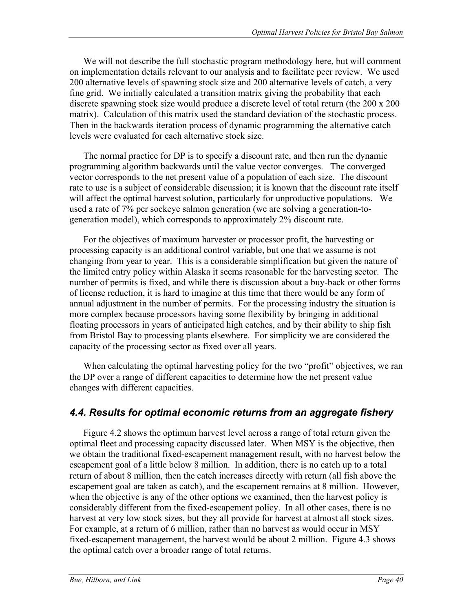We will not describe the full stochastic program methodology here, but will comment on implementation details relevant to our analysis and to facilitate peer review. We used 200 alternative levels of spawning stock size and 200 alternative levels of catch, a very fine grid. We initially calculated a transition matrix giving the probability that each discrete spawning stock size would produce a discrete level of total return (the 200 x 200 matrix). Calculation of this matrix used the standard deviation of the stochastic process. Then in the backwards iteration process of dynamic programming the alternative catch levels were evaluated for each alternative stock size.

The normal practice for DP is to specify a discount rate, and then run the dynamic programming algorithm backwards until the value vector converges. The converged vector corresponds to the net present value of a population of each size. The discount rate to use is a subject of considerable discussion; it is known that the discount rate itself will affect the optimal harvest solution, particularly for unproductive populations. We used a rate of 7% per sockeye salmon generation (we are solving a generation-togeneration model), which corresponds to approximately 2% discount rate.

For the objectives of maximum harvester or processor profit, the harvesting or processing capacity is an additional control variable, but one that we assume is not changing from year to year. This is a considerable simplification but given the nature of the limited entry policy within Alaska it seems reasonable for the harvesting sector. The number of permits is fixed, and while there is discussion about a buy-back or other forms of license reduction, it is hard to imagine at this time that there would be any form of annual adjustment in the number of permits. For the processing industry the situation is more complex because processors having some flexibility by bringing in additional floating processors in years of anticipated high catches, and by their ability to ship fish from Bristol Bay to processing plants elsewhere. For simplicity we are considered the capacity of the processing sector as fixed over all years.

When calculating the optimal harvesting policy for the two "profit" objectives, we ran the DP over a range of different capacities to determine how the net present value changes with different capacities.

### *4.4. Results for optimal economic returns from an aggregate fishery*

Figure 4.2 shows the optimum harvest level across a range of total return given the optimal fleet and processing capacity discussed later. When MSY is the objective, then we obtain the traditional fixed-escapement management result, with no harvest below the escapement goal of a little below 8 million. In addition, there is no catch up to a total return of about 8 million, then the catch increases directly with return (all fish above the escapement goal are taken as catch), and the escapement remains at 8 million. However, when the objective is any of the other options we examined, then the harvest policy is considerably different from the fixed-escapement policy. In all other cases, there is no harvest at very low stock sizes, but they all provide for harvest at almost all stock sizes. For example, at a return of 6 million, rather than no harvest as would occur in MSY fixed-escapement management, the harvest would be about 2 million. Figure 4.3 shows the optimal catch over a broader range of total returns.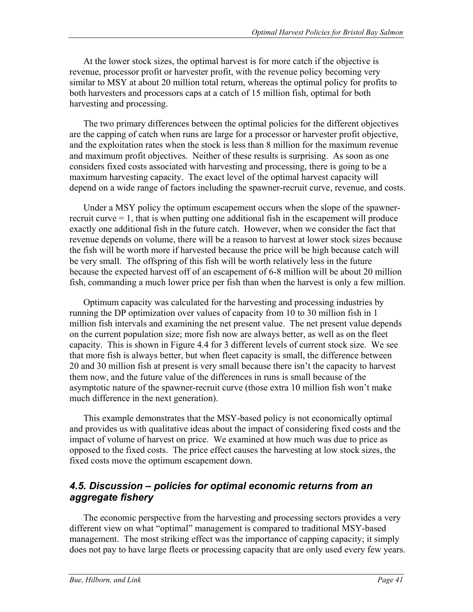At the lower stock sizes, the optimal harvest is for more catch if the objective is revenue, processor profit or harvester profit, with the revenue policy becoming very similar to MSY at about 20 million total return, whereas the optimal policy for profits to both harvesters and processors caps at a catch of 15 million fish, optimal for both harvesting and processing.

The two primary differences between the optimal policies for the different objectives are the capping of catch when runs are large for a processor or harvester profit objective, and the exploitation rates when the stock is less than 8 million for the maximum revenue and maximum profit objectives. Neither of these results is surprising. As soon as one considers fixed costs associated with harvesting and processing, there is going to be a maximum harvesting capacity. The exact level of the optimal harvest capacity will depend on a wide range of factors including the spawner-recruit curve, revenue, and costs.

Under a MSY policy the optimum escapement occurs when the slope of the spawnerrecruit curve  $= 1$ , that is when putting one additional fish in the escapement will produce exactly one additional fish in the future catch. However, when we consider the fact that revenue depends on volume, there will be a reason to harvest at lower stock sizes because the fish will be worth more if harvested because the price will be high because catch will be very small. The offspring of this fish will be worth relatively less in the future because the expected harvest off of an escapement of 6-8 million will be about 20 million fish, commanding a much lower price per fish than when the harvest is only a few million.

Optimum capacity was calculated for the harvesting and processing industries by running the DP optimization over values of capacity from 10 to 30 million fish in 1 million fish intervals and examining the net present value. The net present value depends on the current population size; more fish now are always better, as well as on the fleet capacity. This is shown in Figure 4.4 for 3 different levels of current stock size. We see that more fish is always better, but when fleet capacity is small, the difference between 20 and 30 million fish at present is very small because there isn't the capacity to harvest them now, and the future value of the differences in runs is small because of the asymptotic nature of the spawner-recruit curve (those extra 10 million fish won't make much difference in the next generation).

This example demonstrates that the MSY-based policy is not economically optimal and provides us with qualitative ideas about the impact of considering fixed costs and the impact of volume of harvest on price. We examined at how much was due to price as opposed to the fixed costs. The price effect causes the harvesting at low stock sizes, the fixed costs move the optimum escapement down.

### *4.5. Discussion – policies for optimal economic returns from an aggregate fishery*

The economic perspective from the harvesting and processing sectors provides a very different view on what "optimal" management is compared to traditional MSY-based management. The most striking effect was the importance of capping capacity; it simply does not pay to have large fleets or processing capacity that are only used every few years.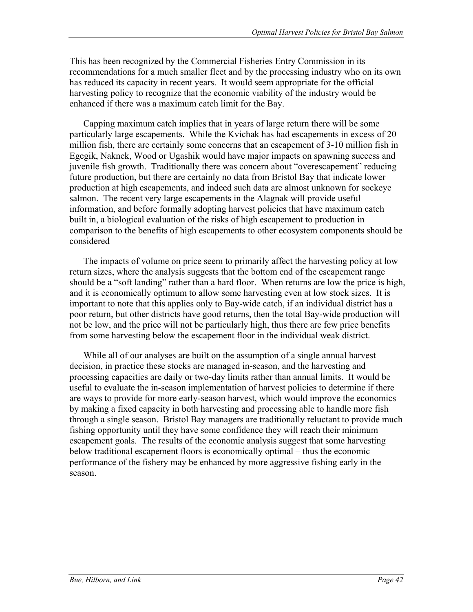This has been recognized by the Commercial Fisheries Entry Commission in its recommendations for a much smaller fleet and by the processing industry who on its own has reduced its capacity in recent years. It would seem appropriate for the official harvesting policy to recognize that the economic viability of the industry would be enhanced if there was a maximum catch limit for the Bay.

Capping maximum catch implies that in years of large return there will be some particularly large escapements. While the Kvichak has had escapements in excess of 20 million fish, there are certainly some concerns that an escapement of 3-10 million fish in Egegik, Naknek, Wood or Ugashik would have major impacts on spawning success and juvenile fish growth. Traditionally there was concern about "overescapement" reducing future production, but there are certainly no data from Bristol Bay that indicate lower production at high escapements, and indeed such data are almost unknown for sockeye salmon. The recent very large escapements in the Alagnak will provide useful information, and before formally adopting harvest policies that have maximum catch built in, a biological evaluation of the risks of high escapement to production in comparison to the benefits of high escapements to other ecosystem components should be considered

The impacts of volume on price seem to primarily affect the harvesting policy at low return sizes, where the analysis suggests that the bottom end of the escapement range should be a "soft landing" rather than a hard floor. When returns are low the price is high, and it is economically optimum to allow some harvesting even at low stock sizes. It is important to note that this applies only to Bay-wide catch, if an individual district has a poor return, but other districts have good returns, then the total Bay-wide production will not be low, and the price will not be particularly high, thus there are few price benefits from some harvesting below the escapement floor in the individual weak district.

While all of our analyses are built on the assumption of a single annual harvest decision, in practice these stocks are managed in-season, and the harvesting and processing capacities are daily or two-day limits rather than annual limits. It would be useful to evaluate the in-season implementation of harvest policies to determine if there are ways to provide for more early-season harvest, which would improve the economics by making a fixed capacity in both harvesting and processing able to handle more fish through a single season. Bristol Bay managers are traditionally reluctant to provide much fishing opportunity until they have some confidence they will reach their minimum escapement goals. The results of the economic analysis suggest that some harvesting below traditional escapement floors is economically optimal – thus the economic performance of the fishery may be enhanced by more aggressive fishing early in the season.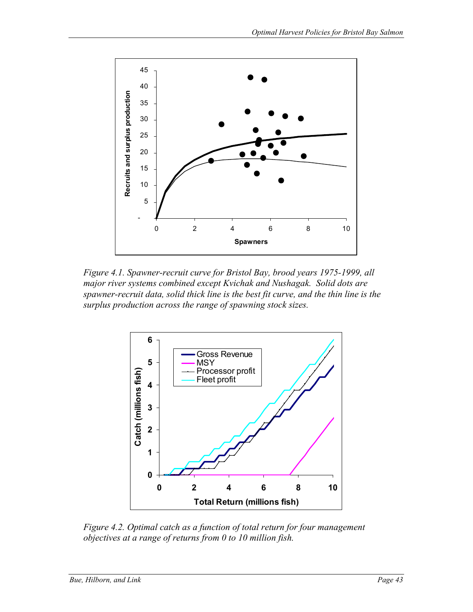

*Figure 4.1. Spawner-recruit curve for Bristol Bay, brood years 1975-1999, all major river systems combined except Kvichak and Nushagak. Solid dots are spawner-recruit data, solid thick line is the best fit curve, and the thin line is the surplus production across the range of spawning stock sizes.* 



*Figure 4.2. Optimal catch as a function of total return for four management objectives at a range of returns from 0 to 10 million fish.*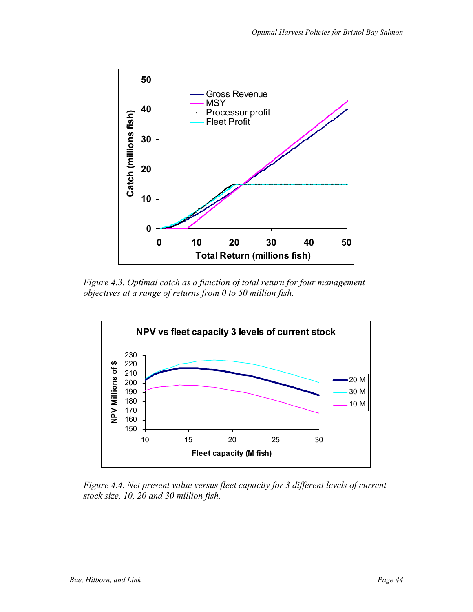

*Figure 4.3. Optimal catch as a function of total return for four management objectives at a range of returns from 0 to 50 million fish.* 



*Figure 4.4. Net present value versus fleet capacity for 3 different levels of current stock size, 10, 20 and 30 million fish.*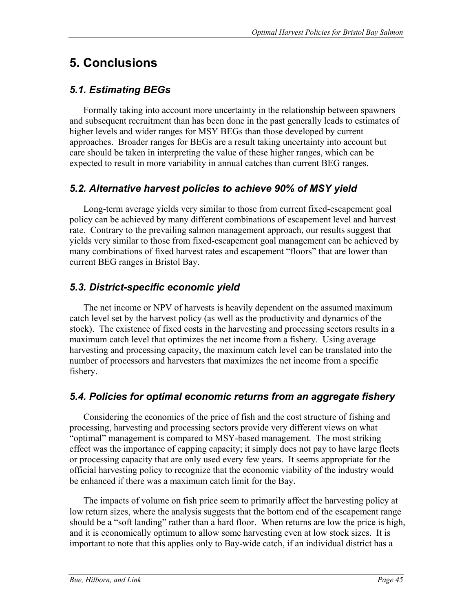# **5. Conclusions**

## *5.1. Estimating BEGs*

Formally taking into account more uncertainty in the relationship between spawners and subsequent recruitment than has been done in the past generally leads to estimates of higher levels and wider ranges for MSY BEGs than those developed by current approaches. Broader ranges for BEGs are a result taking uncertainty into account but care should be taken in interpreting the value of these higher ranges, which can be expected to result in more variability in annual catches than current BEG ranges.

## *5.2. Alternative harvest policies to achieve 90% of MSY yield*

Long-term average yields very similar to those from current fixed-escapement goal policy can be achieved by many different combinations of escapement level and harvest rate. Contrary to the prevailing salmon management approach, our results suggest that yields very similar to those from fixed-escapement goal management can be achieved by many combinations of fixed harvest rates and escapement "floors" that are lower than current BEG ranges in Bristol Bay.

## *5.3. District-specific economic yield*

The net income or NPV of harvests is heavily dependent on the assumed maximum catch level set by the harvest policy (as well as the productivity and dynamics of the stock). The existence of fixed costs in the harvesting and processing sectors results in a maximum catch level that optimizes the net income from a fishery. Using average harvesting and processing capacity, the maximum catch level can be translated into the number of processors and harvesters that maximizes the net income from a specific fishery.

## *5.4. Policies for optimal economic returns from an aggregate fishery*

Considering the economics of the price of fish and the cost structure of fishing and processing, harvesting and processing sectors provide very different views on what "optimal" management is compared to MSY-based management. The most striking effect was the importance of capping capacity; it simply does not pay to have large fleets or processing capacity that are only used every few years. It seems appropriate for the official harvesting policy to recognize that the economic viability of the industry would be enhanced if there was a maximum catch limit for the Bay.

The impacts of volume on fish price seem to primarily affect the harvesting policy at low return sizes, where the analysis suggests that the bottom end of the escapement range should be a "soft landing" rather than a hard floor. When returns are low the price is high, and it is economically optimum to allow some harvesting even at low stock sizes. It is important to note that this applies only to Bay-wide catch, if an individual district has a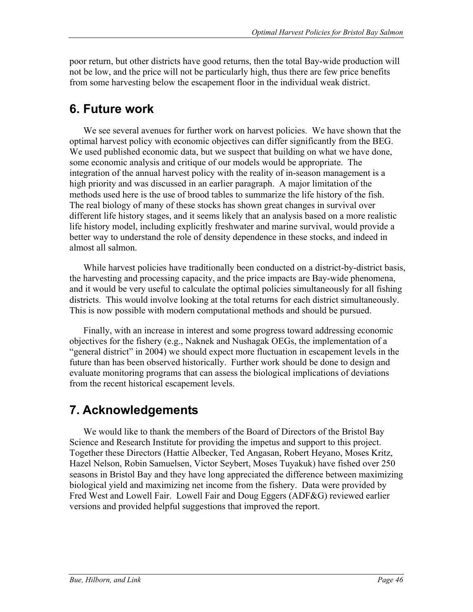poor return, but other districts have good returns, then the total Bay-wide production will not be low, and the price will not be particularly high, thus there are few price benefits from some harvesting below the escapement floor in the individual weak district.

# **6. Future work**

We see several avenues for further work on harvest policies. We have shown that the optimal harvest policy with economic objectives can differ significantly from the BEG. We used published economic data, but we suspect that building on what we have done, some economic analysis and critique of our models would be appropriate. The integration of the annual harvest policy with the reality of in-season management is a high priority and was discussed in an earlier paragraph. A major limitation of the methods used here is the use of brood tables to summarize the life history of the fish. The real biology of many of these stocks has shown great changes in survival over different life history stages, and it seems likely that an analysis based on a more realistic life history model, including explicitly freshwater and marine survival, would provide a better way to understand the role of density dependence in these stocks, and indeed in almost all salmon.

While harvest policies have traditionally been conducted on a district-by-district basis, the harvesting and processing capacity, and the price impacts are Bay-wide phenomena, and it would be very useful to calculate the optimal policies simultaneously for all fishing districts. This would involve looking at the total returns for each district simultaneously. This is now possible with modern computational methods and should be pursued.

Finally, with an increase in interest and some progress toward addressing economic objectives for the fishery (e.g., Naknek and Nushagak OEGs, the implementation of a "general district" in 2004) we should expect more fluctuation in escapement levels in the future than has been observed historically. Further work should be done to design and evaluate monitoring programs that can assess the biological implications of deviations from the recent historical escapement levels.

# **7. Acknowledgements**

We would like to thank the members of the Board of Directors of the Bristol Bay Science and Research Institute for providing the impetus and support to this project. Together these Directors (Hattie Albecker, Ted Angasan, Robert Heyano, Moses Kritz, Hazel Nelson, Robin Samuelsen, Victor Seybert, Moses Tuyakuk) have fished over 250 seasons in Bristol Bay and they have long appreciated the difference between maximizing biological yield and maximizing net income from the fishery. Data were provided by Fred West and Lowell Fair. Lowell Fair and Doug Eggers (ADF&G) reviewed earlier versions and provided helpful suggestions that improved the report.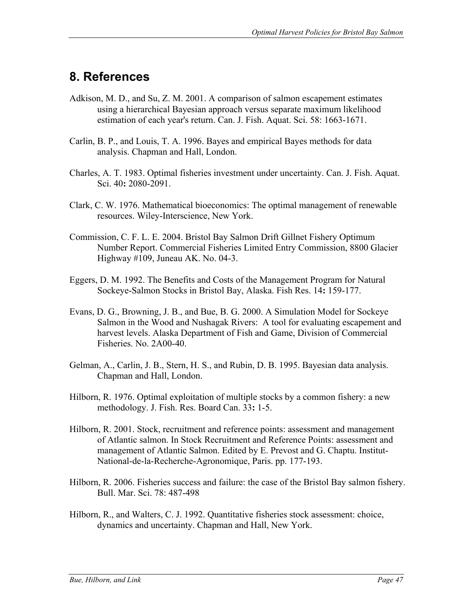# **8. References**

- Adkison, M. D., and Su, Z. M. 2001. A comparison of salmon escapement estimates using a hierarchical Bayesian approach versus separate maximum likelihood estimation of each year's return. Can. J. Fish. Aquat. Sci. 58: 1663-1671.
- Carlin, B. P., and Louis, T. A. 1996. Bayes and empirical Bayes methods for data analysis. Chapman and Hall, London.
- Charles, A. T. 1983. Optimal fisheries investment under uncertainty. Can. J. Fish. Aquat. Sci. 40**:** 2080-2091.
- Clark, C. W. 1976. Mathematical bioeconomics: The optimal management of renewable resources. Wiley-Interscience, New York.
- Commission, C. F. L. E. 2004. Bristol Bay Salmon Drift Gillnet Fishery Optimum Number Report. Commercial Fisheries Limited Entry Commission, 8800 Glacier Highway #109, Juneau AK. No. 04-3.
- Eggers, D. M. 1992. The Benefits and Costs of the Management Program for Natural Sockeye-Salmon Stocks in Bristol Bay, Alaska. Fish Res. 14**:** 159-177.
- Evans, D. G., Browning, J. B., and Bue, B. G. 2000. A Simulation Model for Sockeye Salmon in the Wood and Nushagak Rivers: A tool for evaluating escapement and harvest levels. Alaska Department of Fish and Game, Division of Commercial Fisheries. No. 2A00-40.
- Gelman, A., Carlin, J. B., Stern, H. S., and Rubin, D. B. 1995. Bayesian data analysis. Chapman and Hall, London.
- Hilborn, R. 1976. Optimal exploitation of multiple stocks by a common fishery: a new methodology. J. Fish. Res. Board Can. 33**:** 1-5.
- Hilborn, R. 2001. Stock, recruitment and reference points: assessment and management of Atlantic salmon. In Stock Recruitment and Reference Points: assessment and management of Atlantic Salmon. Edited by E. Prevost and G. Chaptu. Institut-National-de-la-Recherche-Agronomique, Paris. pp. 177-193.
- Hilborn, R. 2006. Fisheries success and failure: the case of the Bristol Bay salmon fishery. Bull. Mar. Sci. 78: 487-498
- Hilborn, R., and Walters, C. J. 1992. Quantitative fisheries stock assessment: choice, dynamics and uncertainty. Chapman and Hall, New York.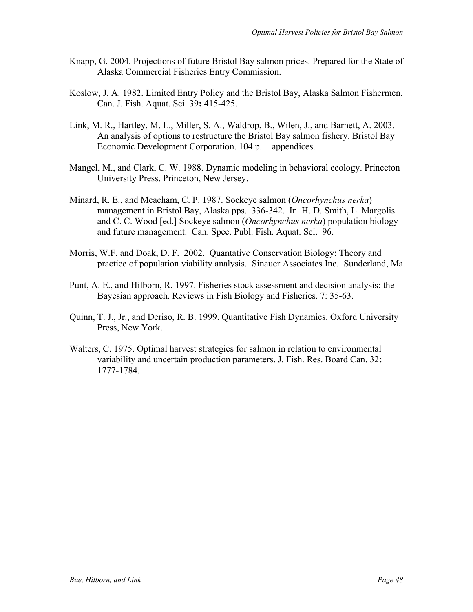- Knapp, G. 2004. Projections of future Bristol Bay salmon prices. Prepared for the State of Alaska Commercial Fisheries Entry Commission.
- Koslow, J. A. 1982. Limited Entry Policy and the Bristol Bay, Alaska Salmon Fishermen. Can. J. Fish. Aquat. Sci. 39**:** 415-425.
- Link, M. R., Hartley, M. L., Miller, S. A., Waldrop, B., Wilen, J., and Barnett, A. 2003. An analysis of options to restructure the Bristol Bay salmon fishery. Bristol Bay Economic Development Corporation. 104 p. + appendices.
- Mangel, M., and Clark, C. W. 1988. Dynamic modeling in behavioral ecology. Princeton University Press, Princeton, New Jersey.
- Minard, R. E., and Meacham, C. P. 1987. Sockeye salmon (*Oncorhynchus nerka*) management in Bristol Bay, Alaska pps. 336-342. In H. D. Smith, L. Margolis and C. C. Wood [ed.] Sockeye salmon (*Oncorhynchus nerka*) population biology and future management. Can. Spec. Publ. Fish. Aquat. Sci. 96.
- Morris, W.F. and Doak, D. F. 2002. Quantative Conservation Biology; Theory and practice of population viability analysis. Sinauer Associates Inc. Sunderland, Ma.
- Punt, A. E., and Hilborn, R. 1997. Fisheries stock assessment and decision analysis: the Bayesian approach. Reviews in Fish Biology and Fisheries. 7: 35-63.
- Quinn, T. J., Jr., and Deriso, R. B. 1999. Quantitative Fish Dynamics. Oxford University Press, New York.
- Walters, C. 1975. Optimal harvest strategies for salmon in relation to environmental variability and uncertain production parameters. J. Fish. Res. Board Can. 32**:**  1777-1784.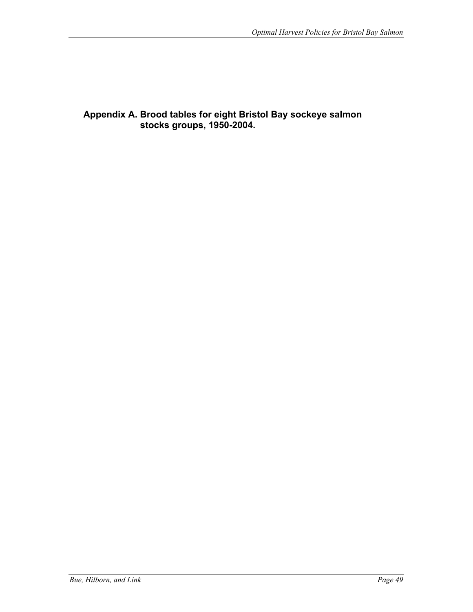**Appendix A. Brood tables for eight Bristol Bay sockeye salmon stocks groups, 1950-2004.**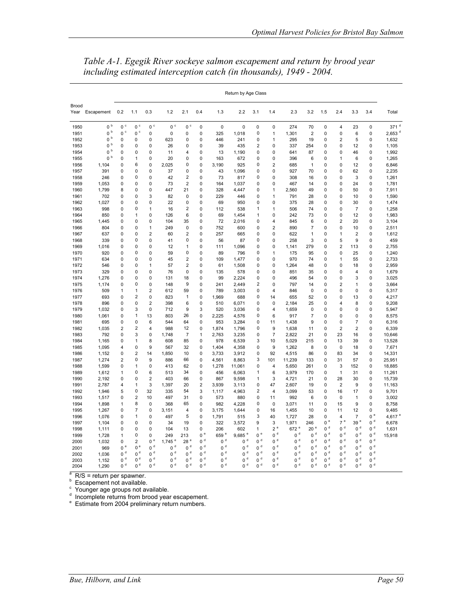|               |                |                         |                             |                         |                      |                |                            |                  | Return by Age Class |                         |                           |                  |                 |                |                  |                               |                |                      |
|---------------|----------------|-------------------------|-----------------------------|-------------------------|----------------------|----------------|----------------------------|------------------|---------------------|-------------------------|---------------------------|------------------|-----------------|----------------|------------------|-------------------------------|----------------|----------------------|
| Brood<br>Year | Escapement     | 0.2                     | 1.1                         | 0.3                     | 1.2                  | 2.1            | 0.4                        | 1.3              | 2.2                 | 3.1                     | 1.4                       | 2.3              | 3.2             | 1.5            | 2.4              | 3.3                           | 3.4            | Total                |
| 1950          | $0~^{\rm b}$   | $0~^{\circ}$            | 0 <sup>c</sup>              | 0 <sup>c</sup>          | $0c$                 | $0~^{\circ}$   | $\mathbf 0$                | $\mathbf 0$      | 0                   | $\mathbf 0$             | 0                         | 274              | 70              | $\mathbf 0$    | $\overline{4}$   | 23                            | 0              | 371 <sup>d</sup>     |
| 1951          | $0~^{\rm b}$   | c<br>0                  | $0~^{\circ}$                | 0                       | 0                    | 0              | $\mathbf 0$                | 325              | 1,018               | $\mathbf 0$             | 1                         | 1,301            | $\overline{2}$  | 0              | 0                | 6                             | $\mathbf 0$    | $2,653$ <sup>d</sup> |
| 1952          | $0~^{\rm b}$   | 0                       | 0                           | 0                       | 623                  | 0              | $\mathbf 0$                | 446              | 241                 | 0                       | 1                         | 295              | 19              | 0              | $\overline{2}$   | 5                             | 0              | 1,632                |
| 1953          | $0~^{\rm b}$   | 0                       | 0                           | 0                       | 26                   | 0              | $\mathbf 0$                | 39               | 435                 | 2                       | 0                         | 337              | 254             | 0              | 0                | 12                            | 0              | 1,105                |
| 1954          | 0 <sup>b</sup> | 0                       | 0                           | 0                       | 11                   | 4              | 0                          | 13               | 1,190               | 0                       | 0                         | 641              | 87              | 0              | 0                | 46                            | 0              | 1,992                |
| 1955          | 0 <sup>b</sup> | 0                       | 1                           | 0                       | 20                   | 0              | $\mathbf 0$                | 163              | 672                 | 0                       | 0                         | 396              | 6               | 0              | 1                | 6                             | 0              | 1,265                |
| 1956          | 1,104          | 0                       | 6                           | $\mathbf 0$             | 2,025                | 0              | $\mathbf 0$                | 3,190            | 925                 | 0                       | $\overline{2}$            | 685              | $\mathbf{1}$    | 0              | 0                | 12                            | 0              | 6,846                |
| 1957          | 391            | 0                       | 0                           | 0                       | 37                   | 0              | $\pmb{0}$                  | 43               | 1,096               | 0                       | 0                         | 927              | 70              | 0              | 0                | 62                            | 0              | 2,235                |
| 1958          | 246            | 0                       | $\pmb{0}$                   | 0                       | 42                   | $\overline{2}$ | $\mathbf 0$                | 73               | 817                 | 0                       | 0                         | 308              | 16              | 0              | 0                | 3                             | 0              | 1,261                |
| 1959          | 1,053          | 0                       | $\pmb{0}$                   | 0                       | 73                   | $\mathbf 2$    | $\mathbf 0$                | 164              | 1,037               | 0                       | 0                         | 467              | 14              | 0              | 0                | 24                            | 0              | 1,781                |
| 1960          | 1,799          | 8                       | 0                           | 0                       | 447                  | 21             | $\mathbf 0$                | 328              | 4,447               | 0                       | 1                         | 2,560            | 49              | 0              | 0                | 50                            | 0              | 7,911                |
| 1961          | 702            | 0                       | 0                           | 3                       | 82                   | 0              | 0                          | 229              | 446                 | 0                       | 1                         | 791              | 28              | 0              | 0                | 10                            | 0              | 1,590                |
| 1962          | 1,027          | 0                       | 0                           | 0                       | 22                   | $\mathbf 0$    | $\mathbf 0$                | 69               | 950                 | $\mathbf 0$             | $\mathbf 0$               | 375              | 28              | 0              | 0                | 30                            | 0              | 1,474                |
| 1963          | 998            | 0                       | 0                           | 1                       | 16                   | $\overline{2}$ | $\mathbf 0$                | 112              | 538                 | 1                       | 1                         | 506              | 74              | 0              | 0                | $\overline{7}$                | 0              | 1,258                |
| 1964          | 850            | 0                       | 1                           | 0                       | 126                  | 6              | 0                          | 69               | 1,454               | 1                       | 0                         | 242              | 73              | 0              | 0                | 12                            | 0              | 1,983                |
| 1965          | 1,445          | 0                       | 0                           | 0                       | 104                  | 35             | 0                          | 72               | 2,016               | 0                       | 4                         | 845              | 6               | 0              | $\overline{2}$   | 20                            | 0              | 3,104                |
| 1966          | 804            | 0                       | 0                           | 1                       | 249                  | 0              | 0                          | 752              | 600                 | 0                       | $\overline{2}$            | 890              | 7               | 0              | 0                | 10                            | 0              | 2,511                |
| 1967          | 637            | 0                       | 0                           | $\overline{\mathbf{c}}$ | 60                   | $\overline{2}$ | 0                          | 257              | 665                 | 0                       | 0                         | 622              | 1               | 0              | 1                | $\overline{2}$                | 0              | 1,612                |
| 1968          | 339            | 0                       | 0                           | 0                       | 41                   | 0              | 0                          | 56               | 87                  | 0                       | 0                         | 258              | 3               | 0              | 5                | 9                             | 0              | 459                  |
| 1969          | 1,016          | 0                       | 0                           | $\mathbf 0$             | 12                   | 1              | 0                          | 111              | 1,096               | 0                       | 0                         | 1,141            | 279             | 0              | $\overline{2}$   | 113                           | 0              | 2,755                |
| 1970          | 920            | 0                       | 0                           | 0                       | 59                   | 0              | 0                          | 89               | 796                 | 0                       | 1                         | 175              | 95              | 0              | 0                | 25                            | 0              | 1,240                |
| 1971          | 634            | 0                       | 0                           | 0                       | 45                   | $\overline{2}$ | 0                          | 109              | 1,477               | 0                       | 0                         | 970              | 74              | 0              | 1                | 55                            | $\mathbf 0$    | 2,733                |
| 1972          | 546            | 0                       | 0                           | 1                       | 57                   | $\overline{2}$ | $\mathbf 0$                | 61               | 1,508               | 0                       | 0                         | 1,264            | 48              | 0              | 0                | 18                            | 0              | 2,959                |
| 1973          | 329            | 0                       | $\mathbf 0$                 | 0                       | 76                   | $\mathbf 0$    | $\mathbf 0$                | 135              | 578                 | 0                       | 0                         | 851              | 35              | 0              | 0                | $\overline{4}$                | 0              | 1,679                |
| 1974          | 1,276          | 0                       | 0                           | 0                       | 131                  | 18             | $\mathbf 0$                | 99               | 2,224               | 0                       | 0                         | 496              | 54              | 0              | 0                | 3                             | 0              | 3,025                |
| 1975          | 1,174          | 0                       | $\mathbf 0$                 | 0                       | 148                  | 9              | $\mathbf 0$                | 241              | 2.449               | $\overline{2}$          | 0                         | 797              | 14              | 0              | $\overline{2}$   | 1                             | 0              | 3,664                |
| 1976          | 509            | $\mathbf{1}$            | $\mathbf{1}$                | $\overline{2}$          | 612                  | 59             | $\mathbf 0$                | 789              | 3,003               | 0                       | 4                         | 846              | $\mathbf 0$     | 0              | 0                | 0                             | 0              | 5,317                |
| 1977          | 693            | 0                       | $\overline{2}$              | 0                       | 823                  | 1              | $\mathbf 0$                | 1.969            | 688                 | 0                       | 14                        | 655              | 52              | 0              | 0                | 13                            | 0              | 4,217                |
| 1978          | 896            | 0                       | $\mathbf 0$                 | $\overline{2}$          | 398                  | 6              | $\mathbf 0$                | 510              | 6,071               | 0                       | 0                         | 2,184            | 25              | 0              | 4                | 8                             | 0              | 9,208                |
| 1979          | 1,032          | 0                       | 3                           | $\mathbf 0$             | 712                  | 9              | 3                          | 520              | 3,036               | 0                       | 4                         | 1,659            | 0               | 0              | 0                | $\mathsf 0$                   | 0              | 5,947                |
| 1980          | 1,061          | 0<br>0                  | $\mathbf{1}$<br>$\mathsf 0$ | 13<br>6                 | 803<br>544           | 26<br>64       | $\mathbf 0$<br>$\mathbf 0$ | 2,225            | 4,576               | 0<br>0                  | 6<br>11                   | 917              | 7<br>9          | 0<br>0         | 0<br>$\mathbf 0$ | $\mathbf 0$<br>$\overline{7}$ | 0<br>0         | 8,575                |
| 1981          | 695<br>1,035   | $\overline{2}$          | $\overline{2}$              | $\overline{\mathbf{4}}$ | 988                  | 12             | $\mathbf 0$                | 953<br>1,874     | 3,284<br>1,796      | 0                       | 9                         | 1,438<br>1,638   | 11              | 0              | $\overline{2}$   | $\overline{2}$                | 0              | 6,316<br>6,339       |
| 1982          | 792            | 0                       | 3                           | 0                       |                      | 7              | 1                          | 2,763            | 3,235               | 0                       | $\overline{\mathfrak{c}}$ |                  | 21              | 0              | 23               |                               | 0              |                      |
| 1983          |                | 0                       | $\mathbf{1}$                | 8                       | 1,748<br>608         | 85             | $\mathbf 0$                | 978              | 6,539               | 3                       | 10                        | 2,822<br>5,029   | 215             | 0              | 13               | 16<br>39                      | $\mathbf 0$    | 10,646<br>13,528     |
| 1984<br>1985  | 1,165<br>1,095 | 4                       | 0                           | 9                       | 567                  | 32             | 0                          | 1,404            | 4,358               | 0                       | 9                         | 1,262            | 8               | 0              | $\mathbf 0$      | 18                            | 0              | 7,671                |
| 1986          | 1,152          | 0                       | $\overline{2}$              | 14                      | 1,850                | 10             | $\mathbf 0$                | 3,733            | 3,912               | 0                       | 92                        | 4,515            | 86              | 0              | 83               | 34                            | 0              | 14,331               |
| 1987          | 1,274          | $\overline{\mathbf{c}}$ | 0                           | 9                       | 886                  | 66             | $\mathbf 0$                | 4,561            | 8,863               | 3                       | 101                       | 11,239           | 133             | 0              | 31               | 57                            | 0              | 25,951               |
| 1988          | 1,599          | 0                       | 1                           | 0                       | 413                  | 62             | 0                          | 1,278            | 11,061              | 0                       | 4                         | 5,650            | 261             | 0              | 3                | 152                           | 0              | 18,885               |
| 1989          | 1,612          | 1                       | 0                           | 6                       | 513                  | 34             | 0                          | 456              | 6,063               | 1                       | 6                         | 3,979            | 170             | 0              | 1                | 31                            | 0              | 11,261               |
| 1990          | 2,192          | 0                       | 0                           | $\overline{2}$          | 403                  | 66             | 0                          | 867              | 9,598               | 1                       | 3                         | 4,721            | 21              | 0              | 28               | 30                            | 0              | 15,739               |
| 1991          | 2,787          | 4                       | 1                           | 3                       | 1,397                | 20             | $\overline{2}$             | 3,939            | 3,113               | 0                       | 47                        | 2,607            | 19              | 0              | $\overline{2}$   | 9                             | 0              | 11,163               |
| 1992          | 1,946          | 5                       | 0                           | 32                      | 335                  | 54             | 3                          | 1,117            | 4,963               | $\overline{\mathbf{c}}$ | 4                         | 3,099            | 53              | 0              | 16               | 17                            | 0              | 9,701                |
| 1993          | 1,517          | 0                       | $\overline{2}$              | 10                      | 497                  | 31             | $\mathbf 0$                | 573              | 880                 | 0                       | 11                        | 992              | 6               | 0              | $\mathbf 0$      | $\mathbf{1}$                  | 0              | 3,002                |
| 1994          | 1,898          | 1                       | 8                           | 0                       | 368                  | 65             | $\mathbf 0$                | 982              | 4,228               | 0                       | 0                         | 3,071            | 11              | 0              | 15               | 9                             | 0              | 8,758                |
| 1995          | 1,267          | 0                       | 7                           | 0                       | 3,151                | $\overline{4}$ | $\mathbf 0$                | 3,175            | 1,644               | 0                       | 16                        | 1,455            | 10              | 0              | 11               | 12                            | 0              | 9,485                |
| 1996          | 1,076          | 0                       | $\mathbf{1}$                | 0                       | 497                  | 5              | $\mathbf 0$                | 1,791            | 515                 | 3                       | 40                        | 1,727            | 28              | 0              | 4                | 7                             | $0^{\circ}$    | 4,617                |
| 1997          | 1,104          | 0                       | 0                           | 0                       | 34                   | 19             | $\mathbf 0$                | 322              | 3,572               | 9                       | 3                         | 1,971            | 246             | 0e             | 7e               | 39 <sup>e</sup>               | $0d$           | 6,678                |
| 1998          | 1,111          | 0                       | $\mathbf 0$                 | 0                       | 104                  | 13             | $\mathbf 0$                | 206              | 602                 | 1                       | $2^e$                     | 672 <sup>e</sup> | 20 <sup>e</sup> | 0 <sup>d</sup> | 0 <sup>d</sup>   | $0d$                          | $0d$           |                      |
| 1999          | 1,728          | 1                       | $\mathbf 0$                 | 0                       | 249                  | 213            | $0$ $^{\rm e}$             | 659 <sup>e</sup> | $9,685$ $^{\rm e}$  | $0^{\circ}$             | $0d$                      | $0d$             | $0d$            | $0d$           | 0 <sup>d</sup>   | $0d$                          | $0d$           | 1,631<br>15,918      |
| 2000          | 1,032          | 0                       | $\overline{2}$              | $0^e$                   | $1,745$ <sup>e</sup> | $28\,^{\rm e}$ | $0d$                       | 0 <sup>d</sup>   | $0d$                | $0d$                    | $0d$                      | $0d$             | $0d$            | $0d$           | $0d$             | $0d$                          | $0d$           |                      |
| 2001          | 969            | $0^{\circ}$             | $0^e$                       | 0 <sup>d</sup>          | $0d$                 | 0 <sup>d</sup> | $0d$                       | $0d$             | $0d$                | 0 <sup>d</sup>          | $0d$                      | $0d$             | $0d$            | $0d$           | 0 <sup>d</sup>   | $0d$                          | $0d$           |                      |
| 2002          | 1,036          | $0d$                    | $0d$                        | $0d$                    | $0d$                 | $0d$           | 0 <sup>d</sup>             | 0 <sup>d</sup>   | $0d$                | $0d$                    | $0d$                      | $0d$             | 0 <sup>d</sup>  | $0d$           | 0 <sup>d</sup>   | $0d$                          | 0 <sup>d</sup> |                      |
| 2003          | 1,152          | $0d$                    | $0d$                        | $0d$                    | $0d$                 | $0d$           | $0d$                       | $0d$             | $0d$                | $0d$                    | 0 <sup>d</sup>            | $0d$             | $0d$            | $0d$           | 0 <sup>d</sup>   | $0d$                          | $0d$           |                      |
| 2004          | 1,290          | $0d$                    | $0d$                        | 0 <sup>d</sup>          | $0d$                 | $0d$           | $0d$                       | $0d$             | $0d$                | $0d$                    | $0d$                      | $0d$             | $0d$            | 0 <sup>d</sup> | 0 <sup>d</sup>   | $0d$                          | $0d$           |                      |

*Table A-1. Egegik River sockeye salmon escapement and return by brood year including estimated interception catch (in thousands), 1949 - 2004.* 

<sup>a</sup> R/S = return per spawner.<br>
<sup>b</sup> Escapement not available.<br>
<sup>d</sup> Incomplete returns from brood year escapement.<br>
<sup>e</sup> Estimate from 2004 preliminary return numbers.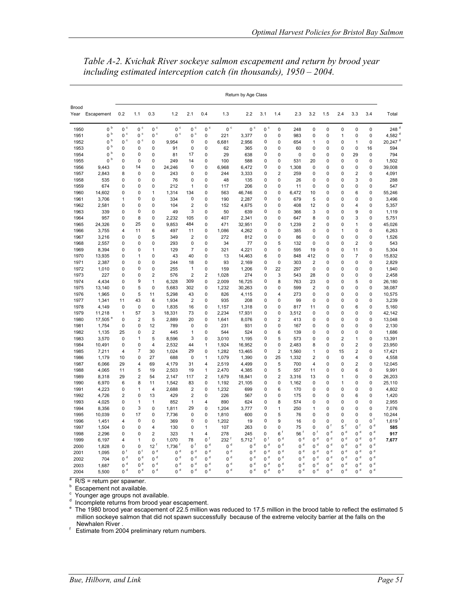| Return by Age Class |                 |                |                         |                                  |                        |                |                  |                  |                        |                |                         |                |                         |                |                                  |                |                  |                       |
|---------------------|-----------------|----------------|-------------------------|----------------------------------|------------------------|----------------|------------------|------------------|------------------------|----------------|-------------------------|----------------|-------------------------|----------------|----------------------------------|----------------|------------------|-----------------------|
| Brood               | Year Escapement | 0.2            | 1.1                     | 0.3                              | 1.2                    | 2.1            | 0.4              | 1.3              | 2.2                    | 3.1            | 1.4                     | 2.3            | 3.2                     | 1.5            | 2.4                              | 3.3            | 3.4              | Total                 |
| 1950                | 0 <sup>b</sup>  | $0~^{\circ}$   | $0~^{\circ}$            | $0~^{\circ}$                     | $0~^{\circ}$           | $0~^{\circ}$   | $0\,$ $^{\circ}$ | $0\,$ $^{\circ}$ | $0~^{\circ}$           | $0~^{\circ}$   | 0                       | 248            | 0                       | 0              | 0                                | $\mathbf 0$    | $\mathbf 0$      | 248 <sup>d</sup>      |
| 1951                | $0~^{\rm b}$    | $0~^{\circ}$   | $0\ ^{\circ}$           | $0~^{\circ}$                     | 0 <sup>c</sup>         | $0\ ^{\circ}$  | 0                | 221              | 3.377                  | 0              | $\mathbf 0$             | 983            | 0                       | 0              | 1                                | $\mathbf 0$    | $\mathbf 0$      | 4.582 $°$             |
| 1952                | $0~^{\rm b}$    | $0~^{\circ}$   | $0~^{\circ}$            | 0                                | 9,954                  | 0              | 0                | 6,681            | 2,956                  | 0              | 0                       | 654            | 1                       | 0              | 0                                | 1              | $\pmb{0}$        | $20,247$ <sup>d</sup> |
| 1953                | $0~^{\rm b}$    | 0              | 0                       | 0                                | 91                     | 0              | 0                | 62               | 365                    | 0              | $\mathbf 0$             | 60             | 0                       | 0              | 0                                | $\mathbf 0$    | 16               | 594                   |
| 1954                | $0~^{\rm b}$    | 0              | 0                       | 0                                | 81                     | 17             | 0                | 29               | 638                    | 0              | 0                       | $\mathbf 0$    | 0                       | 0              | 0                                | 29             | $\pmb{0}$        | 794                   |
| 1955                | $0~^{\rm b}$    | 0              | 0                       | 0                                | 249                    | 14             | 0                | 100              | 588                    | 0              | $\mathbf 0$             | 531            | 20                      | 0              | 0                                | $\mathbf 0$    | 0                | 1,502                 |
| 1956                | 9,443           | 0              | 14                      | $\Omega$                         | 24.246                 | $\mathbf 0$    | 0                | 6.968            | 6,472                  | 0              | 0                       | 1,308          | 0                       | 0              | $\Omega$                         | $\Omega$       | $\mathbf 0$      | 39.008                |
| 1957                | 2,843           | 8              | 0                       | 0                                | 243                    | 0              | 0                | 244              | 3,333                  | 0              | $\overline{\mathbf{c}}$ | 259            | 0                       | $\mathbf 0$    | 0                                | $\overline{2}$ | $\mathbf 0$      | 4,091                 |
| 1958                | 535             | 0              | 0                       | 0                                | 76                     | 0<br>1         | 0                | 48               | 135                    | 0              | 0                       | 26             | 0                       | 0              | 0                                | 3              | $\mathbf 0$      | 288                   |
| 1959                | 674             | 0              | 0                       | 0                                | 212                    |                | 0                | 117              | 206                    | 0              | 0                       | 11             | 0                       | 0<br>0         | 0                                | 0<br>6         | 0<br>$\mathbf 0$ | 547                   |
| 1960                | 14,602          | 0              | 0<br>0                  | 1                                | 1,314                  | 134<br>0       | 0                | 563              | 46,746                 | 0<br>0         | 0                       | 6,472          | 10                      |                | 0                                |                |                  | 55,246                |
| 1961                | 3,706           | 1<br>0         | $\overline{0}$          | 0<br>$\mathbf 0$                 | 334<br>104             | $\overline{2}$ | 0<br>$\mathsf 0$ | 190              | 2,287                  | $\mathsf 0$    | 0<br>0                  | 679            | 5<br>12                 | 0<br>0         | 0<br>0                           | 0<br>4         | 0<br>$\pmb{0}$   | 3,496                 |
| 1962<br>1963        | 2,581<br>339    | 0              | 0                       | 0                                | 49                     | 3              | 0                | 152<br>50        | 4,675<br>639           | 0              | $\mathbf 0$             | 408<br>366     | 3                       | 0              | $\Omega$                         | 9              | $\mathbf 0$      | 5,357<br>1,119        |
| 1964                | 957             | 0              | 8                       | 0                                | 2,232                  | 105            | 0                | 407              | 2,341                  | 0              | 0                       | 647            | 8                       | 0              | 0                                | 3              | $\mathbf 0$      | 5,751                 |
| 1965                | 24,326          | 0              | 25                      | 0                                | 9,853                  | 484            | 0                | 471              | 32,951                 | 0              | 0                       | 1,239          | $\overline{2}$          | 0              | 0                                | 1              | $\mathbf 0$      | 45,026                |
| 1966                | 3,755           | 4              | 11                      | 6                                | 497                    | 11             | 0                | 1,086            | 4,262                  | 0              | 0                       | 385            | 0                       | 0              | 1                                | 0              | 0                | 6,263                 |
| 1967                | 3,216           | 0              | 0                       | 5                                | 349                    | $\overline{2}$ | $\mathsf 0$      | 272              | 812                    | 0              | 0                       | 86             | 0                       | 0              | 0                                | $\mathbf 0$    | $\pmb{0}$        | 1,526                 |
| 1968                | 2,557           | 0              | 0                       | 0                                | 293                    | $\mathbf 0$    | 0                | 34               | 77                     | 0              | 5                       | 132            | 0                       | 0              | 0                                | $\overline{2}$ | $\mathbf 0$      | 543                   |
| 1969                | 8,394           | 0              | 0                       | 1                                | 129                    | 7              | $\mathsf 0$      | 321              | 4,221                  | 0              | 0                       | 595            | 19                      | 0              | 0                                | 11             | $\pmb{0}$        | 5,304                 |
| 1970                | 13,935          | 0              | 1                       | 0                                | 43                     | 40             | 0                | 13               | 14,463                 | 6              | 0                       | 848            | 412                     | 0              | 0                                | $\overline{7}$ | 0                | 15,832                |
| 1971                | 2,387           | $\Omega$       | 0                       | $\mathbf 0$                      | 244                    | 18             | $\mathsf 0$      | 93               | 2,169                  | 0              | 0                       | 303            | $\overline{\mathbf{c}}$ | $\mathbf 0$    | 0                                | $\mathbf 0$    | $\mathbf 0$      | 2,829                 |
| 1972                | 1,010           | $\mathbf 0$    | 0                       | $\mathbf 0$                      | 255                    | $\mathbf{1}$   | $\mathsf 0$      | 159              | 1,206                  | 0              | 22                      | 297            | 0                       | $\mathbf 0$    | 0                                | $\mathbf 0$    | $\mathbf 0$      | 1,940                 |
| 1973                | 227             | $\Omega$       | 0                       | $\overline{2}$                   | 576                    | $\overline{2}$ | $\overline{2}$   | 1.028            | 274                    | 0              | 3                       | 543            | 28                      | $\Omega$       | $\Omega$                         | $\Omega$       | $\mathbf 0$      | 2.458                 |
| 1974                | 4,434           | 0              | 9                       | 1                                | 6,328                  | 309            | 0                | 2,009            | 16,725                 | 0              | 8                       | 763            | 23                      | 0              | $\Omega$                         | 5              | 0                | 26,180                |
| 1975                | 13,140          | 0              | 5                       | $\mathbf 0$                      | 5,683                  | 302            | 0                | 1,232            | 30,263                 | 0              | 0                       | 599            | $\overline{\mathbf{c}}$ | 0              | 0                                | 0              | 0                | 38,087                |
| 1976                | 1,965           | 0              | 5                       | 11                               | 5,298                  | 43             | 0                | 826              | 4,115                  | 0              | 4                       | 273            | 0                       | 0              | 0                                | $\mathbf 0$    | 0                | 10,575                |
| 1977                | 1,341           | 11             | 43                      | 6                                | 1,934                  | $\overline{2}$ | $\mathsf 0$      | 935              | 208                    | 0              | 0                       | 99             | 0                       | 0              | 0                                | $\mathbf 0$    | $\pmb{0}$        | 3,239                 |
| 1978                | 4,149           | 0              | 0                       | $\mathbf 0$                      | 1,835                  | 16             | 0                | 1,157            | 1,318                  | 0              | 0                       | 817            | 11                      | 0              | 0                                | 6              | $\mathbf 0$      | 5,160                 |
| 1979                | 11,218          | 1              | 57                      | 3                                | 18,331                 | 73             | $\mathsf 0$      | 2,234            | 17,931                 | 0              | 0                       | 3,512          | 0                       | $\mathbf 0$    | 0                                | $\mathbf 0$    | $\pmb{0}$        | 42,142                |
| 1980                | 17.505          | 0              | $\overline{2}$          | 5                                | 2,889                  | 20             | 0                | 1,641            | 8,076                  | 0              | $\overline{\mathbf{c}}$ | 413            | 0                       | 0              | 0                                | $\mathbf 0$    | $\mathbf 0$      | 13,048                |
| 1981                | 1,754           | $\mathbf 0$    | 0                       | 12                               | 789                    | 0              | 0                | 231              | 931                    | 0              | 0                       | 167            | 0                       | 0              | $\mathbf 0$                      | $\mathbf 0$    | 0                | 2,130                 |
| 1982                | 1,135           | 25             | 0                       | 2                                | 445                    | 1              | 0                | 544              | 524                    | 0              | 6                       | 139            | 0                       | 0              | 0                                | 0              | 0                | 1,686                 |
| 1983                | 3,570           | 0              | 1                       | 5                                | 8,596                  | 3              | 0                | 3.010            | 1,195                  | 0              | 5                       | 573            | 0                       | 0              | 2                                | 1              | $\mathbf 0$      | 13,391                |
| 1984                | 10,491          | 0              | 0                       | 4                                | 2,532                  | 44             | $\mathbf{1}$     | 1,924            | 16,952                 | 0              | 0                       | 2,483          | 8                       | 0              | 0                                | $\overline{2}$ | $\pmb{0}$        | 23,950                |
| 1985                | 7,211           | $\overline{4}$ | 7                       | 30                               | 1,024                  | 29             | 0                | 1,282            | 13,465                 | 0              | $\overline{\mathbf{c}}$ | 1,560          | 1                       | 0              | 15                               | $\overline{2}$ | 0                | 17,421                |
| 1986                | 1,179           | 10             | 0                       | 27                               | 688                    | $\mathbf 0$    | $\mathbf{1}$     | 1,079            | 1,390                  | 0              | 25                      | 1,332          | $\overline{\mathbf{c}}$ | $\mathbf 0$    | $\Omega$                         | 4              | $\pmb{0}$        | 4,558                 |
| 1987                | 6,066           | 29             | 4                       | 69                               | 4,179                  | 31             | 4                | 2,519            | 4,499                  | $\mathbf 0$    | 5                       | 700            | $\overline{\mathbf{4}}$ | $\mathbf 0$    | 0                                | $\overline{2}$ | $\mathbf 0$      | 12,045                |
| 1988                | 4,065           | 11             | 5                       | 19                               | 2,503                  | 19             | $\mathbf{1}$     | 2,470            | 4,385                  | 0              | 5                       | 557            | 11                      | 0              | $\Omega$                         | 6              | $\mathbf 0$      | 9,991                 |
| 1989                | 8,318           | 29             | $\overline{\mathbf{c}}$ | 54                               | 2,147                  | 117            | $\overline{2}$   | 1,679            | 18,841                 | 0              | $\overline{\mathbf{c}}$ | 3,316          | 13                      | 0              | 1                                | $\mathbf 0$    | $\mathbf 0$      | 26,203                |
| 1990                | 6,970           | 6              | 8                       | 11                               | 1.542                  | 83             | 0                | 1,192            | 21,105                 | 0              | 0                       | 1,162          | 0                       | 0              | 1                                | $\mathbf 0$    | $\mathbf 0$      | 25,110                |
| 1991                | 4,223           | 0              | 1                       | 4                                | 2,688                  | $\overline{2}$ | 0                | 1,232            | 699                    | 0              | 6                       | 170            | 0                       | 0              | 0                                | 0              | 0                | 4,802                 |
| 1992                | 4,726           | $\overline{c}$ | 0                       | 13                               | 429                    | $\overline{2}$ | $\mathsf 0$      | 226              | 567                    | $\mathsf 0$    | 0                       | 175            | 0                       | 0              | 0                                | 6              | $\pmb{0}$        | 1,420                 |
| 1993                | 4,025           | 0              | 1                       | 1                                | 852                    | 1              | 4                | 890              | 624                    | 0              | 8                       | 574            | 0                       | 0              | 0                                | $\mathbf 0$    | $\mathsf 0$      | 2,955                 |
| 1994                | 8,356           | $\mathbf 0$    | 3                       | $\mathbf 0$                      | 1,811                  | 29             | $\mathsf 0$      | 1,204            | 3,777                  | $\mathbf 0$    | $\mathbf{1}$            | 250            | 1                       | $\mathbf 0$    | 0                                | $\mathbf 0$    | $\pmb{0}$        | 7,076                 |
| 1995                | 10,039          | 0              | 17                      | 0                                | 7,736                  | $\mathbf 0$    | 0                | 1,810            | 600                    | 0              | 5                       | 76             | 0                       | 0              | 0                                | $\mathbf 0$    | 0                | 10,244                |
| 1996                | 1,451           | 4              | 0                       | 0                                | 369                    | 0              | 0                | 1,202            | 19                     | 0              | 9                       | 16             | 0                       | 0              | 0                                | 0              | 0 <sup>f</sup>   | 1,619                 |
| 1997                | 1,504           | 0              | 0                       | 4                                | 130                    | 0              | $\mathbf{1}$     | 107              | 263                    | 0              | 0                       | 75             | 0                       | 0 <sup>f</sup> | 5 <sup>f</sup>                   | 0 <sup>f</sup> | $0d$             | 585                   |
| 1998                | 2.296           | 0              | 0                       | $\overline{2}$                   | 323                    | 1              | $\overline{4}$   | 278              | 245                    | 0              | 6 <sup>f</sup>          | 56<br>d        | 0 <sup>f</sup>          | 0 <sup>d</sup> | 0 <sup>d</sup>                   | 0 <sup>d</sup> | $0d$             | 917                   |
| 1999                | 6,197           | 4              | 1                       | 0                                | 1,070                  | 78             | 0                | 232<br>d         | $5,712$ <sup>f</sup>   | 0 <sup>f</sup> | $0d$                    | 0              | $0d$                    | $0d$           | $0^{\,d}$                        | $0^{\,d}$      | $0d$             | 7,677                 |
| 2000                | 1,828           | 0              | 0                       | 12 <sup>f</sup>                  | 1.736                  | $0^{\dagger}$  | 0 <sup>d</sup>   | $\mathbf 0$      | $0^{\,d}$              | $0d$           | $0^{\,d}$               | $0d$           | $0d$                    | $0d$           | $0d$                             | $0d$           | $0d$             |                       |
| 2001                | 1,095           | 0 <sup>1</sup> | 0'                      | 0 <sup>d</sup>                   | 0 <sup>d</sup>         | 0 <sup>d</sup> | 0 <sup>d</sup>   | 0 <sup>d</sup>   | $0d$                   | 0 <sup>d</sup> | 0 <sup>d</sup>          | 0 <sup>d</sup> | $0d$                    | 0 <sup>d</sup> | 0 <sup>d</sup>                   | 0 <sup>d</sup> | $0d$             |                       |
| 2002                | 704             | 0 <sup>d</sup> | 0 <sup>d</sup>          | $0d$                             | $0d$                   | 0 <sup>d</sup> | $0d$             | 0 <sup>d</sup>   | $0d$                   | $0d$           | 0 <sup>d</sup>          | 0 <sup>d</sup> | $0d$                    | $0d$           | 0 <sup>d</sup>                   | $0d$           | $0d$             |                       |
| 2003                | 1.687           | 0 <sup>d</sup> | $0d$                    | 0 <sup>d</sup><br>0 <sup>d</sup> | $0d$<br>0 <sup>d</sup> | $0d$           | $0d$<br>$0d$     | $0d$             | $0d$<br>0 <sup>d</sup> | $0d$           | $0d$                    | $0d$<br>$0d$   | $0d$                    | 0 <sup>d</sup> | 0 <sup>d</sup><br>0 <sup>d</sup> | $0d$           | 0 <sup>d</sup>   |                       |
| 2004                | 5,500           | 0 <sup>d</sup> | $0d$                    |                                  |                        | $0d$           |                  | 0 <sup>d</sup>   |                        | $0d$           | $0d$                    |                | $0d$                    | $0d$           |                                  | $0d$           | $0d$             |                       |

*Table A-2. Kvichak River sockeye salmon escapement and return by brood year including estimated interception catch (in thousands), 1950 – 2004.* 

 $\sqrt{a}$  R/S = return per spawner.

**Escapement not available.** 

<sup>c</sup> Younger age groups not available.

d Incomplete returns from brood year escapement.

<sup>e</sup> The 1980 brood year escapement of 22.5 million was reduced to 17.5 million in the brood table to reflect the estimated 5 million sockeye salmon that did not spawn successfully because of the extreme velocity barrier at the falls on the Newhalen River.

Estimate from 2004 preliminary return numbers.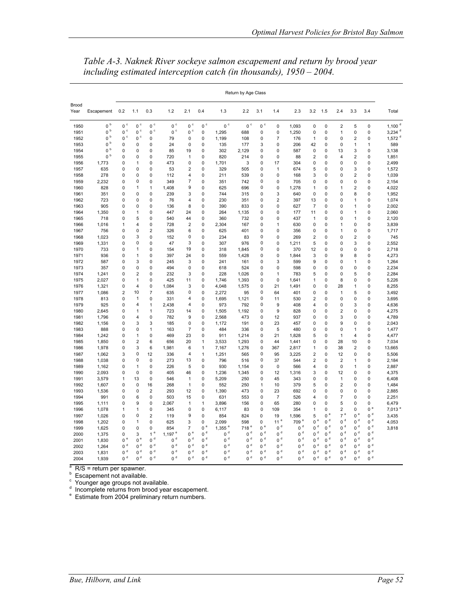|               |                |                        |                        |                                  |                        |                |                        |                                        | Return by Age Class      |                        |                         |                        |                         |                        |                         |                         |                  |                      |
|---------------|----------------|------------------------|------------------------|----------------------------------|------------------------|----------------|------------------------|----------------------------------------|--------------------------|------------------------|-------------------------|------------------------|-------------------------|------------------------|-------------------------|-------------------------|------------------|----------------------|
| Brood<br>Year | Escapement     | 0.2                    | 1.1                    | 0.3                              | 1.2                    | 2.1            | 0.4                    | 1.3                                    | 2.2                      | 3.1                    | 1.4                     | 2.3                    | 3.2                     | 1.5                    | 2.4                     | 3.3                     | 3.4              | Total                |
| 1950          | 0 <sup>b</sup> | 0 <sup>c</sup>         | 0 <sup>c</sup>         | 0 <sup>c</sup>                   | 0 <sup>c</sup>         | 0 <sup>c</sup> | 0 <sup>c</sup>         | $0^{\circ}$                            | 0 <sup>c</sup>           | 0 <sup>c</sup>         | 0                       | 1,093                  | $\mathbf 0$             | 0                      | $\overline{\mathbf{c}}$ | 5                       | 0                | $1,100$ <sup>d</sup> |
| 1951          | $0~^{\rm b}$   | $0\ ^{\circ}$          | $0~^{\circ}$           | $0~^{\circ}$                     | $0~^{\circ}$           | $0\ ^{\circ}$  | 0                      | 1,295                                  | 688                      | 0                      | $\mathbf 0$             | 1,250                  | $\mathbf 0$             | $\pmb{0}$              | 1                       | 0                       | 0                | $3,234$ <sup>d</sup> |
| 1952          | $0~^{\rm b}$   | $0\ ^{\circ}$          | 0 <sup>c</sup>         | 0                                | 79                     | 0              | 0                      | 1,199                                  | 108                      | 0                      | $\overline{7}$          | 176                    | 1                       | 0                      | 0                       | $\overline{2}$          | 0                | 1,572 $d$            |
| 1953          | 0 <sup>b</sup> | 0                      | 0                      | 0                                | 24                     | 0              | 0                      | 135                                    | 177                      | 3                      | 0                       | 206                    | 42                      | 0                      | 0                       | 1                       | 1                | 589                  |
| 1954          | $0~^{\rm b}$   | 0                      | 0                      | 0                                | 85                     | 19             | 0                      | 302                                    | 2,129                    | 0                      | 0                       | 587                    | $\mathbf 0$             | 0                      | 13                      | 3                       | 0                | 3,138                |
| 1955          | b<br>0         | 0                      | 0                      | 0                                | 720                    | 1              | 0                      | 820                                    | 214                      | 0                      | $\mathbf 0$             | 88                     | $\overline{2}$          | 0                      | 4                       | $\overline{\mathbf{c}}$ | $\mathbf 0$      | 1,851                |
| 1956          | 1,773          | 0                      | $\mathbf{1}$           | 0                                | 473                    | 0              | 0                      | 1,701                                  | 3                        | 0                      | 17                      | 304                    | 0                       | 0                      | 0                       | 0                       | 0                | 2,499                |
| 1957          | 635            | 0                      | 0                      | 0                                | 53                     | $\overline{2}$ | 0                      | 329                                    | 505                      | 0                      | $\mathbf{1}$            | 674                    | 5                       | $\mathbf 0$            | $\mathbf 0$             | 3                       | $\mathbf 0$      | 1,572                |
| 1958          | 278            | 0                      | 0                      | 0                                | 112                    | 4              | 0                      | 211                                    | 539                      | 0                      | $\mathbf 0$             | 168                    | 3                       | 0                      | 0                       | $\overline{\mathbf{c}}$ | 0                | 1,039                |
| 1959          | 2,232          | 0                      | 0                      | 0                                | 349                    | $\overline{7}$ | 0                      | 351                                    | 742                      | 0                      | $\mathbf 0$             | 705                    | $\mathbf 0$             | 0                      | 0                       | 0                       | 0                | 2,154                |
| 1960          | 828            | 0                      | 1                      | $\mathbf{1}$                     | 1,408                  | 9              | 0                      | 625                                    | 696                      | 0                      | $\mathbf 0$             | 1,278                  | 1                       | 0                      | 1                       | $\overline{\mathbf{c}}$ | 0                | 4,022                |
| 1961          | 351            | 0                      | 0                      | 0                                | 239                    | 3              | 0                      | 744                                    | 315                      | 0                      | 3                       | 640                    | 0                       | 0                      | 0                       | 8                       | 0                | 1,952                |
| 1962          | 723            | 0                      | 0                      | 0                                | 76                     | 4              | 0                      | 230                                    | 351                      | 0                      | $\overline{\mathbf{c}}$ | 397                    | 13                      | 0                      | $\mathbf 0$             | $\overline{1}$          | 0                | 1,074                |
| 1963          | 905            | 0                      | 0                      | 0                                | 136                    | 8              | 0                      | 390                                    | 833                      | 0                      | 0                       | 627                    | $\overline{7}$          | 0                      | 0                       | 1                       | 0                | 2,002                |
| 1964          | 1,350          | 0                      | 1                      | 0                                | 447                    | 24             | 0                      | 264                                    | 1,135                    | 0                      | 0                       | 177                    | 11                      | 0                      | 0                       | 1                       | 0                | 2,060                |
| 1965          | 718            | 0                      | 5                      | 0                                | 540                    | 44             | 0                      | 360                                    | 732                      | 0                      | 0                       | 437                    | 1                       | 0                      | 0                       | 1                       | 0                | 2,120                |
| 1966          | 1,016          | 1                      | 4                      | 0                                | 728                    | 2              | 0                      | 2,304                                  | 167                      | 0                      | 1                       | 630                    | $\mathbf 0$             | 0                      | 1                       | 0                       | 0                | 3,839                |
| 1967          | 756            | 0                      | 0                      | $\overline{\mathbf{c}}$          | 326                    | 6              | $\overline{0}$         | 625                                    | 401                      | 0                      | $\mathbf 0$             | 356                    | $\mathbf 0$             | 0                      | 1                       | 0                       | 0                | 1,717                |
| 1968          | 1,023          | 0                      | 3                      | 0                                | 152                    | 0              | 0                      | 234                                    | 83                       | 0                      | $\mathbf 0$             | 269                    | $\overline{2}$          | $\mathbf 0$            | 0                       | $\overline{\mathbf{c}}$ | $\mathbf 0$      | 745                  |
| 1969          | 1,331          | 0                      | 0                      | 0                                | 47                     | 3              | 0                      | 307                                    | 976                      | 0                      | 0                       | 1,211                  | 5                       | 0                      | 0                       | 3                       | 0                | 2,552                |
| 1970          | 733            | 0                      | 1                      | 0                                | 154                    | 19             | 0                      | 318                                    | 1,845                    | 0                      | $\mathbf 0$             | 370                    | 12                      | 0                      | $\mathbf 0$             | 0                       | 0                | 2,718                |
| 1971          | 936            | 0                      | 1                      | 0                                | 397                    | 24             | 0                      | 559                                    | 1,428                    | 0                      | $\mathbf 0$             | 1,844                  | 3                       | 0                      | 9                       | 8                       | 0                | 4,273                |
| 1972          | 587            | 0                      | 3                      | 0                                | 245                    | 3              | 0                      | 241                                    | 161                      | 0                      | 3                       | 599                    | 9                       | 0                      | 0                       | 1                       | 0                | 1,264                |
| 1973          | 357            | 0                      | 0                      | 0                                | 494                    | 0              | 0                      | 618                                    | 524                      | 0                      | 0                       | 598                    | $\mathbf 0$             | 0                      | $\mathbf 0$             | 0                       | 0                | 2,234                |
| 1974          | 1,241          | 0                      | 2                      | 0                                | 232                    | 3              | 0                      | 228                                    | 1,026                    | 0                      | 1                       | 783                    | 5                       | 0                      | 0                       | 5                       | 0                | 2,284                |
| 1975          | 2,027          | 0                      | 1                      | 0                                | 425                    | 11             | 0                      | 1.746                                  | 1,393                    | 0                      | $\mathbf 0$             | 1.641                  | 1                       | 0                      | 8                       | 0                       | 0                | 5,226                |
| 1976          | 1,321          | 0                      | 4                      | 0                                | 1,084                  | 3              | 0                      | 4,048                                  | 1,575                    | 0                      | 21                      | 1,491                  | 0                       | 0                      | 28                      | 1                       | 0                | 8,255                |
| 1977          | 1,086          | $\overline{2}$         | 10                     | 7                                | 635                    | 0              | 0                      | 2,272                                  | 95                       | 0                      | 64                      | 401                    | 0                       | 0                      | 1                       | 5                       | 0                | 3,492                |
| 1978          | 813            | 0                      | $\mathbf{1}$           | 0                                | 331                    | 4              | 0                      | 1,695                                  | 1,121                    | 0                      | 11                      | 530                    | $\overline{2}$          | 0                      | $\mathbf 0$             | 0                       | $\mathbf 0$      | 3,695                |
| 1979          | 925            | 0                      | 4                      | 1                                | 2,438                  | 4              | 0                      | 973                                    | 792                      | 0                      | 9                       | 408                    | $\overline{4}$          | 0                      | $\mathbf 0$             | 3                       | $\mathbf 0$      | 4,636                |
| 1980          | 2,645          | 0                      | $\mathbf{1}$           | $\mathbf{1}$                     | 723                    | 14             | 0                      | 1,505                                  | 1,192                    | 0                      | 9                       | 828                    | $\mathbf 0$             | 0                      | $\overline{2}$          | $\mathbf 0$             | $\Omega$         | 4,275                |
| 1981          | 1,796          | 0                      | 4                      | 0                                | 782                    | 9              | 0                      | 2,568                                  | 473                      | 0                      | 12                      | 937                    | $\mathbf 0$             | 0                      | 3                       | $\mathbf 0$             | 0                | 4,789                |
| 1982          | 1,156          | 0                      | 3                      | 3                                | 185                    | 0              | 0                      | 1,172                                  | 191                      | 0                      | 23                      | 457                    | 0                       | 0                      | 9                       | 0                       | 0                | 2,043                |
| 1983          | 888            | 0                      | 0                      | $\mathbf{1}$                     | 163                    | $\overline{7}$ | 0                      | 484                                    | 336                      | 0                      | 5                       | 480                    | $\mathbf 0$             | 0                      | $\mathbf 0$             | $\mathbf{1}$            | 0                | 1.477                |
| 1984          | 1,242          | 0                      | 1                      | 0                                | 469                    | 23             | 0                      | 911                                    | 1,214                    | 0                      | 21                      | 1,828                  | 5                       | 0                      | 1                       | 4                       | 0                | 4,477                |
| 1985          | 1,850          | 0                      | 2                      | 6                                | 656                    | 20             | 1                      | 3,533                                  | 1,293                    | 0                      | 44                      | 1,441                  | 0                       | 0                      | 28                      | 10                      | 0                | 7,034                |
| 1986          | 1,978          | 0                      | 3                      | 6                                | 1,981                  | 6              | $\mathbf{1}$           | 7,167                                  | 1,276                    | 0                      | 367                     | 2,817                  | 1                       | 0                      | 38                      | $\overline{2}$          | 0                | 13,665               |
| 1987          | 1,062          | 3                      | 0                      | 12                               | 336                    | 4              | 1                      | 1,251                                  | 565                      | 0                      | 95                      | 3,225                  | $\overline{2}$          | 0                      | 12                      | 0                       | 0                | 5,506                |
| 1988          | 1,038          | 0                      | 0                      | 0                                | 273                    | 13             | 0                      | 796                                    | 516                      | 0                      | 37                      | 544                    | $\overline{\mathbf{c}}$ | $\overline{0}$         | $\overline{\mathbf{c}}$ | $\mathbf{1}$            | 0                | 2,184                |
| 1989          | 1,162          | 0                      | $\mathbf{1}$           | 0                                | 226                    | 5              | 0                      | 930                                    | 1,154                    | 0                      | $\pmb{0}$               | 566                    | $\overline{4}$          | 0                      | 0                       | $\mathbf{1}$            | 0                | 2,887                |
| 1990          | 2,093          | 0                      | 0                      | 0                                | 405                    | 46             | 0                      | 1,236                                  | 1,345                    | 0                      | 12                      | 1,316                  | 3                       | 0                      | 12                      | 0                       | 0                | 4,375                |
| 1991          | 3,579          | 1                      | 13                     | 0                                | 546                    | $\mathbf{1}$   | 0                      | 5,209                                  | 250                      | 0                      | 45                      | 343                    | $\mathbf 0$             | $\mathbf 0$            | $\mathbf{1}$            | $\mathbf 0$             | $\mathbf 0$      | 6,408                |
| 1992          | 1,607          | 0                      | 0                      | 16                               | 268                    | 1              | 0                      | 552                                    | 250                      | 1                      | 10                      | 379                    | 5                       | 0                      | $\overline{2}$          | 0                       | 0                | 1,484                |
| 1993          | 1,536          | 0                      | 0                      | 2                                | 293                    | 12             | 0                      | 1,390                                  | 473                      | 0                      | 23                      | 692                    | 0                       | 0                      | 0                       | 0                       | 0                | 2,885                |
| 1994          | 991            | 0                      | 6                      | 0                                | 503                    | 15             | 0                      | 631                                    | 553                      | 0                      | $\overline{7}$          | 526                    | $\overline{4}$          | 0                      | $\overline{7}$          | 0                       | 0                | 2,251                |
| 1995          | 1,111          | 0                      | 9                      | 0                                | 2,067                  | 1              | 1                      | 3,896                                  | 156                      | 0                      | 65                      | 280                    | 0                       | 0                      | 5<br>$\overline{2}$     | 0                       | 0<br>$0^{\circ}$ | 6,479                |
| 1996          | 1,078          | 1                      | $\mathbf{1}$           | 0<br>$\overline{\mathbf{c}}$     | 345                    | 0              | 0                      | 6,117                                  | 83                       | 0                      | 109                     | 354                    | 1                       | 0<br>0 <sup>e</sup>    | 7 <sup>e</sup>          | 0<br>0 <sup>e</sup>     | 0 <sup>d</sup>   | 7,013                |
| 1997          | 1,026          | 0                      | 0                      |                                  | 119                    | 9              | 0                      | 854                                    | 824                      | 0                      | 19                      | 1,596                  | 5                       | 0 <sup>d</sup>         |                         | 0 <sup>d</sup>          | 0 <sup>d</sup>   | 3,435                |
| 1998          | 1,202          | 0                      | 1                      | 0                                | 625                    | 3              | 0                      | 2,099                                  | 598                      | 0<br>0 <sup>e</sup>    | 11 <sup>e</sup><br>$0d$ | 709 <sup>e</sup>       | 0 °                     |                        | 0 <sup>d</sup>          |                         | $0d$             | 4,053                |
| 1999          | 1,625          | 0                      | 0                      | 0                                | 854                    | 7              | 0 <sup>e</sup><br>$0d$ | $1,355$ <sup>e</sup><br>0 <sup>d</sup> | 718 <sup>e</sup><br>$0d$ | $0d$                   | $0d$                    | 0 <sup>d</sup>         | $0d$<br>$0d$            | $0d$<br>$0d$           | 0 <sup>d</sup><br>$0d$  | $0d$<br>$0d$            | $0d$             | 3,818                |
| 2000          | 1,375          | 0                      | 3<br>0 <sup>e</sup>    | 1 <sup>e</sup><br>0 <sup>d</sup> | 1,197 $e$              | 0 <sup>e</sup> | $0d$                   | 0 <sup>d</sup>                         |                          | 0 <sup>d</sup>         |                         | 0 <sup>d</sup>         | 0 <sup>d</sup>          | 0 <sup>d</sup>         |                         |                         | $0d$             |                      |
| 2001          | 1,830          | 0 <sup>e</sup><br>$0d$ | 0 <sup>d</sup>         | $0d$                             | 0 <sup>d</sup>         | $0d$<br>$0d$   | $0d$                   | $0d$                                   | 0 <sup>d</sup>           |                        | 0 <sup>d</sup>          | 0 <sup>d</sup>         | $0d$                    | 0 <sup>d</sup>         | 0 <sup>d</sup><br>$0d$  | 0 <sup>d</sup><br>$0d$  | $0d$             |                      |
| 2002          | 1,264          | $0d$                   |                        | $0d$                             | $0d$                   | $0d$           | $0d$                   | $0d$                                   | $0d$<br>$0d$             | $0d$<br>0 <sup>d</sup> | $0d$<br>$0d$            | 0 <sup>d</sup>         | $0d$                    |                        |                         | $0d$                    | $0d$             |                      |
| 2003          | 1,831          | $0d$                   | $0d$<br>0 <sup>d</sup> | $0d$                             | $0d$<br>0 <sup>d</sup> | 0 <sup>d</sup> |                        | 0 <sup>d</sup>                         | $0d$                     | 0 <sup>d</sup>         | $0d$                    | $0d$<br>0 <sup>d</sup> | 0 <sup>d</sup>          | $0d$<br>0 <sup>d</sup> | $0d$<br>0 <sup>d</sup>  | $0d$                    | $0d$             |                      |
| 2004          | 1,939          |                        |                        |                                  |                        |                | 0 <sup>d</sup>         |                                        |                          |                        |                         |                        |                         |                        |                         |                         |                  |                      |

*Table A-3. Naknek River sockeye salmon escapement and return by brood year including estimated interception catch (in thousands), 1950 – 2004.* 

<sup>a</sup> R/S = return per spawner.<br><sup>b</sup> Escapement not available.

<sup>c</sup> Younger age groups not available.<br><sup>d</sup> Incomplete returns from brood year escapement.<br><sup>e</sup> Estimate from 2004 preliminary return numbers.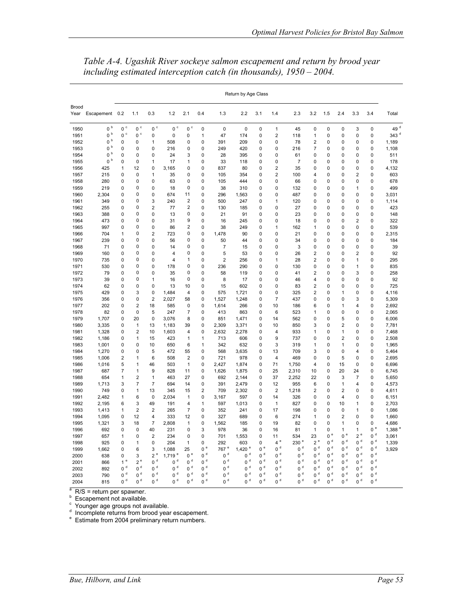|               |                |                |                |                     |                |                                                    |                |                  | Return by Age Class  |             |                  |                  |                         |             |                |                         |                |                 |
|---------------|----------------|----------------|----------------|---------------------|----------------|----------------------------------------------------|----------------|------------------|----------------------|-------------|------------------|------------------|-------------------------|-------------|----------------|-------------------------|----------------|-----------------|
| Brood<br>Year | Escapement     | 0.2            | 1.1            | 0.3                 | 1.2            | 2.1                                                | 0.4            | 1.3              | 2.2                  | 3.1         | 1.4              | 2.3              | 3.2                     | 1.5         | 2.4            | 3.3                     | 3.4            | Total           |
| 1950          | $0~^{\rm b}$   | $0~^{\circ}$   | $0~^{\circ}$   | $0~^{\circ}$        | $0\ ^{\circ}$  | $0~^{\circ}$                                       | $\mathbf 0$    | $\mathbf 0$      | $\mathbf 0$          | 0           | $\mathbf{1}$     | 45               | 0                       | 0           | $\mathbf 0$    | 3                       | 0              | 49 <sup>d</sup> |
| 1951          | $0~^{\rm b}$   | $0~^{\circ}$   | $0~^{\circ}$   | 0                   | 0              | 0                                                  | 1              | 47               | 174                  | 0           | $\overline{2}$   | 118              | 1                       | 0           | 0              | 0                       | 0              | 343 $d$         |
| 1952          | $0~^{\rm b}$   | 0              | 0              | $\mathbf{1}$        | 508            | 0                                                  | 0              | 391              | 209                  | 0           | $\mathbf 0$      | 78               | 2                       | 0           | 0              | 0                       | 0              | 1,189           |
| 1953          | 0 <sup>b</sup> | 0              | 0              | 0                   | 216            | 0                                                  | 0              | 249              | 420                  | 0           | $\mathbf 0$      | 216              | $\overline{7}$          | 0           | 0              | 0                       | 0              | 1,108           |
| 1954          | $0~^{\rm b}$   | 0              | 0              | 0                   | 24             | 3                                                  | 0              | 28               | 395                  | 0           | $\mathbf 0$      | 61               | 0                       | 0           | 0              | 0                       | 0              | 511             |
| 1955          | $0~^{\rm b}$   | 0              | 0              | 1                   | 17             | 1                                                  | 0              | 33               | 118                  | 0           | $\mathbf 0$      | 7                | 0                       | 0           | 0              | 0                       | 0              | 178             |
| 1956          | 425            | 1              | 12             | 0                   | 3,165          | 0                                                  | 0              | 837              | 80                   | 0           | $\overline{c}$   | 35               | 0                       | 0           | 0              | 0                       | 0              | 4,132           |
| 1957          | 215            | $\mathbf 0$    | 0              | $\mathbf{1}$        | 35             | 0                                                  | 0              | 105              | 354                  | 0           | $\overline{2}$   | 100              | 4                       | 0           | 0              | $\overline{\mathbf{c}}$ | 0              | 603             |
| 1958          | 280            | 0              | 0              | 0                   | 63             | 0                                                  | 0              | 105              | 444                  | 0           | $\mathbf 0$      | 66               | 0                       | 0           | 0              | 0                       | 0              | 678             |
| 1959          | 219            | 0              | 0              | 0                   | 18             | 0                                                  | 0              | 38               | 310                  | 0           | $\mathbf 0$      | 132              | 0                       | 0           | 0              | 1                       | 0              | 499             |
| 1960          | 2,304          | 0              | 0              | 0                   | 674            | 11                                                 | 0              | 296              | 1,563                | 0           | 0                | 487              | 0                       | 0           | 0              | 0                       | 0              | 3,031           |
| 1961          | 349            | 0              | 0              | 3<br>$\overline{2}$ | 240            | $\overline{\mathbf{c}}$<br>$\overline{\mathbf{c}}$ | 0              | 500              | 247                  | 0           | 1                | 120              | 0                       | 0           | 0              | 0<br>0                  | 0<br>0         | 1,114           |
| 1962          | 255            | 0              | 0              | 0                   | 77             | 0                                                  | 0<br>0         | 130              | 185                  | 0           | 0<br>$\mathbf 0$ | 27               | 0                       | 0           | 0              | 0                       | 0              | 423             |
| 1963          | 388            | 0              | 0<br>0         | 0                   | 13             | 9                                                  | 0              | 21<br>16         | 91                   | 0           | $\mathbf 0$      | 23               | 0<br>0                  | 0<br>0      | 0              | $\overline{2}$          | 0              | 148<br>322      |
| 1964          | 473<br>997     | 0<br>0         | 0              | 0                   | 31<br>86       | $\overline{\mathbf{c}}$                            | 0              | 38               | 245<br>249           | 0<br>0      | 1                | 18<br>162        | 1                       | 0           | 0<br>0         | 0                       | 0              | 539             |
| 1965<br>1966  | 704            | 1              | 0              | $\overline{2}$      | 723            | 0                                                  | 0              | 1,478            | 90                   | 0           | $\mathbf 0$      | 21               | 0                       | 0           | 0              | 0                       | 0              | 2,315           |
| 1967          | 239            | 0              | 0              | 0                   | 56             | 0                                                  | 0              | 50               | 44                   | 0           | 0                | 34               | 0                       | 0           | 0              | 0                       | 0              | 184             |
| 1968          | 71             | 0              | 0              | 0                   | 14             | 0                                                  | 0              | $\overline{7}$   | 15                   | 0           | $\mathbf 0$      | 3                | 0                       | 0           | 0              | 0                       | 0              | 39              |
| 1969          | 160            | 0              | 0              | 0                   | 4              | 0                                                  | 0              | 5                | 53                   | 0           | 0                | 26               | 2                       | 0           | $\Omega$       | $\overline{\mathbf{c}}$ | 0              | 92              |
| 1970          | 735            | 0              | 0              | 0                   | 4              | 1                                                  | 0              | $\overline{2}$   | 256                  | 0           | 1                | 28               | 2                       | 0           | $\Omega$       | 1                       | 0              | 295             |
| 1971          | 530            | 0              | 0              | 0                   | 178            | 0                                                  | 0              | 236              | 290                  | 0           | 0                | 130              | 0                       | 0           | 0              | 1                       | 0              | 835             |
| 1972          | 79             | 0              | 0              | 0                   | 35             | 0                                                  | 0              | 58               | 119                  | 0           | 0                | 41               | $\overline{2}$          | 0           | 0              | 3                       | 0              | 258             |
| 1973          | 39             | 0              | 0              | 1                   | 16             | 0                                                  | 0              | 8                | 17                   | 0           | $\mathbf 0$      | 46               | 4                       | 0           | 0              | 0                       | 0              | 92              |
| 1974          | 62             | 0              | 0              | 0                   | 13             | 10                                                 | 0              | 15               | 602                  | 0           | $\pmb{0}$        | 83               | $\overline{\mathbf{c}}$ | 0           | 0              | 0                       | 0              | 725             |
| 1975          | 429            | 0              | 3              | 0                   | 1,484          | 4                                                  | 0              | 575              | 1,721                | 0           | $\mathbf 0$      | 325              | $\overline{2}$          | 0           | 1              | $\mathbf 0$             | 0              | 4,116           |
| 1976          | 356            | 0              | 0              | $\overline{2}$      | 2,027          | 58                                                 | 0              | 1,527            | 1,248                | 0           | $\overline{7}$   | 437              | 0                       | 0           | 0              | 3                       | 0              | 5,309           |
| 1977          | 202            | $\Omega$       | $\overline{2}$ | 18                  | 585            | $\mathbf 0$                                        | 0              | 1,614            | 266                  | $\Omega$    | 10               | 186              | 6                       | 0           | 1              | 4                       | 0              | 2,692           |
| 1978          | 82             | 0              | 0              | 5                   | 247            | $\overline{7}$                                     | 0              | 413              | 863                  | 0           | 6                | 523              | 1                       | 0           | 0              | 0                       | 0              | 2,065           |
| 1979          | 1,707          | 0              | 20             | 0                   | 3,076          | 8                                                  | 0              | 851              | 1,471                | 0           | 14               | 562              | 0                       | 0           | 5              | 0                       | 0              | 6,006           |
| 1980          | 3,335          | 0              | $\mathbf{1}$   | 13                  | 1,183          | 39                                                 | 0              | 2,309            | 3,371                | 0           | 10               | 850              | 3                       | 0           | $\overline{2}$ | 0                       | 0              | 7,781           |
| 1981          | 1,328          | 0              | $\overline{2}$ | 10                  | 1,603          | 4                                                  | 0              | 2,632            | 2,278                | 0           | 4                | 933              | 1                       | 0           | 1              | 0                       | 0              | 7,468           |
| 1982          | 1,186          | 0              | 1              | 15                  | 423            | 1                                                  | 1              | 713              | 606                  | 0           | 9                | 737              | 0                       | 0           | 2              | 0                       | 0              | 2,508           |
| 1983          | 1,001          | 0              | 0              | 10                  | 650            | 6                                                  | 1              | 342              | 632                  | 0           | 3                | 319              | 1                       | 0           | 1              | 0                       | 0              | 1,965           |
| 1984          | 1,270          | 0              | 0              | 5                   | 472            | 55                                                 | 0              | 568              | 3,635                | 0           | 13               | 709              | 3                       | 0           | 0              | 4                       | 0              | 5,464           |
| 1985          | 1,006          | 2              | $\mathbf{1}$   | 6                   | 508            | 2                                                  | 0              | 721              | 978                  | 0           | $\overline{4}$   | 469              | $\mathbf 0$             | 0           | 5              | $\mathbf 0$             | 0              | 2,695           |
| 1986          | 1,016          | 5              | 1              | 46                  | 503            | $\mathbf{1}$                                       | 0              | 2.427            | 1,874                | 0           | 71               | 1.750            | 4                       | 0           | 15             | $\Omega$                | 0              | 6,696           |
| 1987          | 687            | 7              | 1              | 9                   | 828            | 11                                                 | 0              | 1,626            | 1,875                | 0           | 25               | 2,310            | 10                      | 0           | 20             | 24                      | 0              | 6,745           |
| 1988          | 654            | 1              | $\overline{2}$ | $\mathbf{1}$        | 463            | 27                                                 | 0              | 692              | 2.144                | 0           | 37               | 2,252            | 22                      | 0           | 3              | $\overline{7}$          | 0              | 5.650           |
| 1989          | 1,713          | 3              | $\overline{7}$ | $\overline{7}$      | 694            | 14                                                 | 0              | 391              | 2,479                | 0           | 12               | 955              | 6                       | $\mathbf 0$ | 1              | 4                       | 0              | 4,573           |
| 1990          | 749            | 0              | $\mathbf{1}$   | 13                  | 345            | 15                                                 | $\overline{2}$ | 709              | 2,302                | 0           | $\overline{2}$   | 1,218            | 2                       | 0           | $\overline{2}$ | 0                       | 0              | 4,611           |
| 1991          | 2,482          | 1              | 6              | 0                   | 2,034          | 1                                                  | 0              | 3,167            | 597                  | 0           | 14               | 326              | 0                       | 0           | 4              | 0                       | 0              | 6,151           |
| 1992          | 2,195          | 6              | 3              | 49                  | 191            | 4                                                  | 1              | 597              | 1,013                | 0           | $\mathbf{1}$     | 827              | 0                       | 0           | 10             | 1                       | 0              | 2,703           |
| 1993          | 1,413          | 1              | $\overline{2}$ | $\overline{2}$      | 265            | $\overline{7}$                                     | 0              | 352              | 241                  | 0           | 17               | 198              | 0                       | 0           | $\mathbf 0$    | 1                       | 0              | 1,086           |
| 1994          | 1,095          | 0              | 12             | $\overline{4}$      | 333            | 12                                                 | 0              | 327              | 689                  | 0           | 6                | 274              | $\mathbf{1}$            | 0           | $\overline{c}$ | 0                       | 0              | 1,660           |
| 1995          | 1,321          | 3              | 18             | $\overline{7}$      | 2,808          | 1                                                  | 0              | 1,562            | 185                  | 0           | 19               | 82               | $\mathbf 0$             | 0           | 1              | 0                       | 0              | 4,686           |
| 1996          | 692            | 0              | 0              | 40                  | 231            | 0                                                  | 3              | 978              | 36                   | 0           | 16               | 81               | 1                       | 0           | 1              | $\mathbf{1}$            | 0e             | 1,388 $e$       |
| 1997          | 657            | 1              | 0              | $\overline{2}$      | 234            | $\mathbf 0$                                        | 0              | 701              | 1,553                | 0           | 11               | 534              | 23                      | $0^{\circ}$ | $0^e$          | $2e$                    | $0d$           | 3,061           |
| 1998          | 925            | 0              | $\mathbf{1}$   | 0                   | 204            | 1                                                  | 0              | 292              | 603                  | 0           | $4$ $^{\rm e}$   | 230 <sup>e</sup> | 2e                      | $0d$        | $0d$           | $0d$                    | $0d$           | 1,339           |
| 1999          | 1,662          | 0              | 6              | 3                   | 1,088          | 25                                                 | $0^{\circ}$    | 767 <sup>e</sup> | $1,420$ <sup>e</sup> | $0^{\circ}$ | $0d$             | $0d$             | $0d$                    | $0d$        | $0d$           | $0d$                    | $0d$           | 3,929           |
| 2000          | 638            | 0              | 3              | $2e$                | 1,719e         | 0 <sup>e</sup>                                     | $0d$           | 0 <sup>d</sup>   | $0d$                 | $0d$        | $0d$             | $0d$             | $0d$                    | $0d$        | $0d$           | $0d$                    | $0d$           |                 |
| 2001          | 866            | 1 <sup>e</sup> | $2^e$          | $0d$                | $0d$           | $0d$                                               | $0d$           | $0d$             | $0d$                 | $0d$        | $0d$             | $0d$             | $0d$                    | $0d$        | $0d$           | $0d$                    | 0 <sup>d</sup> |                 |
| 2002          | 892            | $0d$           | $0d$           | $0d$                | $0d$           | $0d$                                               | $0d$           | $0d$             | 0 <sup>d</sup>       | $0d$        | $0d$             | $0d$             | $0d$                    | $0d$        | $0d$           | $0d$                    | $0d$           |                 |
| 2003          | 790            | $0d$           | $0d$           | $0d$                | 0 <sup>d</sup> | 0 <sup>d</sup>                                     | $0d$           | $0d$             | $0d$                 | $0d$        | $0d$             | 0 <sup>d</sup>   | $0d$                    | $0d$        | 0 <sup>d</sup> | 0 <sup>d</sup>          | $0d$           |                 |
| 2004          | 815            | $0d$           | $0d$           | $0d$                | 0 <sup>d</sup> | $0d$                                               | 0 <sup>d</sup> | $0d$             | $0d$                 | $0d$        | $0d$             | $0d$             | $0d$                    | $0d$        | 0 <sup>d</sup> | 0 <sup>d</sup>          | $0d$           |                 |

*Table A-4. Ugashik River sockeye salmon escapement and return by brood year including estimated interception catch (in thousands), 1950 – 2004.* 

<sup>a</sup> R/S = return per spawner.<br>
<sup>b</sup> Escapement not available.<br>
<sup>d</sup> Incomplete returns from brood year escapement.<br>
<sup>e</sup> Estimate from 2004 preliminary return numbers.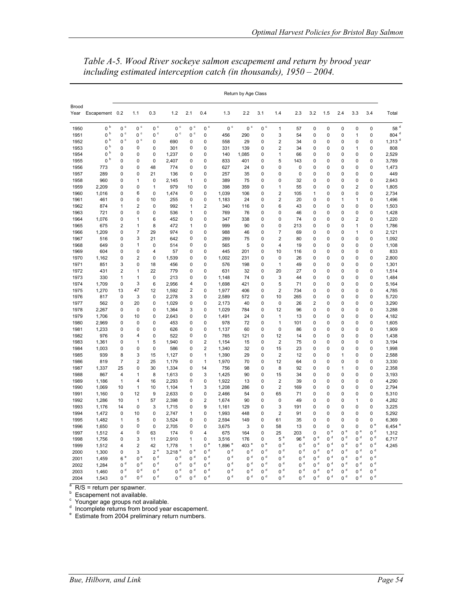|                      |                   | Return by Age Class |                |                |                  |                |                |              |             |                |                  |                 |                |                  |                |                     |                |                      |
|----------------------|-------------------|---------------------|----------------|----------------|------------------|----------------|----------------|--------------|-------------|----------------|------------------|-----------------|----------------|------------------|----------------|---------------------|----------------|----------------------|
| <b>Brood</b><br>Year | Escapement 0.2    |                     | 1.1            | 0.3            | 1.2              | 2.1            | 0.4            | 1.3          | 2.2         | 3.1            | 1.4              | 2.3             | 3.2            | 1.5              | 2.4            | 3.3                 | 3.4            | Total                |
| 1950                 | $0~^{\rm b}$      | $0~^{\circ}$        | $0~^{\circ}$   | $0~^{\circ}$   | $0~^{\circ}$     | $0~^{\circ}$   | $0~^\circ$     | $0~^{\circ}$ | $0^{\circ}$ | $0~^{\circ}$   | $\mathbf{1}$     | 57              | $\mathbf 0$    | 0                | 0              | $\mathbf 0$         | $\pmb{0}$      | $58$ $^{\rm d}$      |
| 1951                 | $0~^{\rm b}$      | $0~^{\circ}$        | $0~^{\circ}$   | $0~^{\circ}$   | $0~^{\circ}$     | $0~^{\circ}$   | 0              | 456          | 290         | 0              | 3                | 54              | 0              | 0                | $\Omega$       | $\mathbf{1}$        | 0              | 804 <sup>d</sup>     |
| 1952                 | $0~^{\rm b}$<br>b | $0~^{\circ}$        | $0~^{\circ}$   | $\Omega$       | 690              | 0              | $\Omega$       | 558          | 29          | $\Omega$       | $\overline{2}$   | 34              | 0              | $\mathbf 0$      | 0              | 0                   | 0              | 1,313 $d$            |
| 1953                 | $\mathbf 0$<br>b  | 0                   | 0              | 0              | 301              | 0              | 0              | 331          | 139         | 0              | $\overline{2}$   | 34              | 0              | $\overline{0}$   | 0              | 1                   | $\mathbf 0$    | 808                  |
| 1954                 | 0<br>b            | 0                   | 0              | 0              | 1,237            | $\Omega$       | 0              | 140          | 1,085       | 0              | $\mathbf{1}$     | 66              | 0              | 0                | 0              | 0                   | 0              | 2,529                |
| 1955                 | 0                 | 0                   | 0              | 0              | 2,407            | 0              | 0              | 833          | 401         | 0              | 5                | 143             | 0              | 0                | 0              | 0                   | 0              | 3,789                |
| 1956                 | 773               | 0                   | 0              | 48             | 774              | 0              | 0              | 627          | 24          | 0              | $\mathbf 0$      | $\mathbf 0$     | 0              | $\mathbf 0$      | 0              | 0                   | 0              | 1,473                |
| 1957                 | 289               | 0                   | 0              | 21             | 136              | 0              | 0              | 257          | 35          | $\mathbf 0$    | 0                | 0               | 0              | 0                | 0              | $\mathbf 0$         | $\mathbf 0$    | 449                  |
| 1958                 | 960               | 0                   | 1              | $\pmb{0}$      | 2,145            | 1              | 0              | 389          | 75          | 0              | $\mathbf 0$      | 32              | 0              | 0                | 0              | $\mathbf 0$         | $\mathbf 0$    | 2,643                |
| 1959                 | 2,209             | 0                   | 0              | $\mathbf{1}$   | 979              | 10             | 0              | 398          | 359         | 0              | 1                | 55              | 0              | 0                | 0              | $\overline{2}$      | 0              | 1,805                |
| 1960                 | 1,016             | 0                   | 6              | $\mathbf 0$    | 1,474            | $\mathbf 0$    | 0              | 1,039        | 106         | $\mathbf 0$    | $\overline{2}$   | 105             | 1              | 0                | 0              | 0                   | 0              | 2,734                |
| 1961                 | 461               | $\mathbf 0$         | 0              | 10             | 255              | $\mathbf 0$    | 0              | 1,183        | 24          | $\mathbf 0$    | $\overline{2}$   | 20              | $\mathbf 0$    | 0                | 1              | 1                   | $\mathbf 0$    | 1,496                |
| 1962                 | 874               | 1                   | $\overline{2}$ | $\mathbf 0$    | 992              | 1              | $\overline{2}$ | 340          | 116         | $\mathbf 0$    | 6                | 43              | 0              | 0                | 0<br>O         | 0                   | 0              | 1,503                |
| 1963                 | 721               | 0<br>0              | 0<br>1         | 0<br>6         | 536<br>452       | 1<br>0         | 0<br>0         | 769<br>347   | 76<br>338   | 0              | 0<br>$\mathbf 0$ | 46<br>74        | 0<br>0         | 0<br>$\mathbf 0$ |                | 0<br>$\overline{2}$ | 0<br>0         | 1,428                |
| 1964<br>1965         | 1,076<br>675      | $\overline{2}$      | 1              | 8              | 472              | 1              | 0              | 999          | 90          | 0<br>0         | $\mathbf 0$      | 213             | 0              | $\mathbf 0$      | 0<br>0         | 1                   | 0              | 1,220<br>1,786       |
| 1966                 | 1,209             | 0                   | 7              | 29             | 974              | 0              | 0              | 988          | 46          | 0              | $\overline{7}$   | 69              | 0              | 0                | 0              | 1                   | 0              | 2,121                |
| 1967                 | 516               | 0                   | 3              | 21             | 642              | 0              | 0              | 269          | 75          | 0              | $\overline{2}$   | 80              | 0              | 0                | 0              | $\mathbf 0$         | 0              | 1,092                |
| 1968                 | 649               | 0                   | 1              | 0              | 514              | 0              | 0              | 565          | 5           | $\mathbf 0$    | $\overline{4}$   | 19              | 0              | 0                | 0              | 0                   | 0              | 1,108                |
| 1969                 | 604               | $\mathbf 0$         | 0              | $\overline{4}$ | 57               | $\mathbf 0$    | 0              | 445          | 201         | $\mathbf 0$    | 10               | 116             | $\mathbf 0$    | $\mathbf 0$      | 0              | $\mathbf 0$         | $\mathbf 0$    | 833                  |
| 1970                 | 1,162             | 0                   | $\overline{2}$ | $\pmb{0}$      | 1,539            | 0              | 0              | 1,002        | 231         | 0              | $\mathbf 0$      | 26              | 0              | 0                | 0              | $\mathbf 0$         | $\mathbf 0$    | 2,800                |
| 1971                 | 851               | 3                   | 0              | 18             | 456              | $\Omega$       | 0              | 576          | 198         | $\Omega$       | $\mathbf{1}$     | 49              | 0              | 0                | $\Omega$       | 0                   | 0              | 1,301                |
| 1972                 | 431               | $\overline{2}$      | 1              | 22             | 779              | 0              | 0              | 631          | 32          | $\mathbf 0$    | 20               | 27              | 0              | 0                | 0              | 0                   | 0              | 1,514                |
| 1973                 | 330               | 1                   | 1              | $\mathbf 0$    | 213              | 0              | 0              | 1,148        | 74          | 0              | 3                | 44              | 0              | 0                | 0              | $\mathbf 0$         | $\mathbf 0$    | 1,484                |
| 1974                 | 1,709             | 0                   | 3              | 6              | 2,956            | 4              | 0              | 1,698        | 421         | 0              | 5                | 71              | 0              | 0                | 0              | 0                   | 0              | 5,164                |
| 1975                 | 1,270             | 13                  | 47             | 12             | 1,592            | $\overline{2}$ | 0              | 1,977        | 406         | 0              | $\overline{2}$   | 734             | 0              | 0                | 0              | 0                   | 0              | 4,785                |
| 1976                 | 817               | $\mathbf 0$         | 3              | $\mathbf 0$    | 2,278            | 3              | 0              | 2,589        | 572         | 0              | 10               | 265             | 0              | 0                | 0              | 0                   | $\mathbf 0$    | 5,720                |
| 1977                 | 562               | 0                   | 20             | $\pmb{0}$      | 1,029            | 0              | 0              | 2,173        | 40          | 0              | 0                | 26              | $\overline{c}$ | 0                | 0              | 0                   | 0              | 3,290                |
| 1978                 | 2,267             | 0                   | 0              | $\pmb{0}$      | 1,364            | 3              | 0              | 1,029        | 784         | 0              | 12               | 96              | 0              | 0                | 0              | $\mathbf 0$         | $\mathbf 0$    | 3,288                |
| 1979                 | 1,706             | 0                   | 10             | $\mathbf 0$    | 2,643            | $\mathbf 0$    | 0              | 1,491        | 24          | 0              | $\mathbf{1}$     | 13              | 0              | $\mathbf 0$      | 0              | $\mathbf 0$         | $\mathbf 0$    | 4,182                |
| 1980                 | 2,969             | $\mathbf 0$         | $\mathbf 0$    | $\mathbf 0$    | 453              | $\mathbf 0$    | 0              | 978          | 72          | $\mathbf 0$    | $\mathbf{1}$     | 101             | $\mathbf 0$    | $\mathbf 0$      | 0              | $\mathbf 0$         | $\mathbf 0$    | 1,605                |
| 1981                 | 1,233             | 0                   | 0              | $\mathbf 0$    | 626              | 0              | 0              | 1,137        | 60          | $\mathbf 0$    | $\mathbf 0$      | 86              | 0              | 0                | 0              | 0                   | $\mathbf 0$    | 1,909                |
| 1982                 | 976               | 0                   | 4              | $\pmb{0}$      | 522              | 0              | 0              | 765          | 121         | $\mathbf 0$    | 12               | 14              | 0              | 0                | 0              | 0                   | 0              | 1,438                |
| 1983                 | 1,361             | 0                   | 1              | 5              | 1.940            | 0              | $\overline{2}$ | 1.154        | 15          | 0              | $\overline{2}$   | 75              | 0              | 0                | 0              | 0                   | 0              | 3,194                |
| 1984                 | 1,003             | 0                   | 0              | $\pmb{0}$      | 586              | 0              | $\overline{2}$ | 1,340        | 32          | 0              | 15               | 23              | 0              | 0                | 0              | 0                   | $\mathbf 0$    | 1,998                |
| 1985                 | 939               | 8                   | 3              | 15             | 1,127            | 0              | $\mathbf{1}$   | 1,390        | 29          | $\mathbf 0$    | $\overline{2}$   | 12              | 0              | 0                | 1              | $\mathbf 0$         | $\mathbf 0$    | 2,588                |
| 1986                 | 819               | $\overline{7}$      | $\overline{c}$ | 25             | 1,179            | 0              | $\mathbf{1}$   | 1,970        | 70          | 0              | 12               | 64              | 0              | 0                | 0              | 0                   | 0              | 3,330                |
| 1987                 | 1,337             | 25                  | 0              | 30             | 1,334            | 0              | 14             | 756          | 98          | $\mathbf 0$    | 8                | 92              | 0              | $\mathbf 0$      | 1              | $\mathbf 0$         | $\mathbf 0$    | 2,358                |
| 1988                 | 867               | 4                   | 1              | 8              | 1,613            | $\mathbf 0$    | 3              | 1,425        | 90          | 0              | 15               | 34              | 0              | 0                | 0              | $\mathbf 0$         | $\mathbf 0$    | 3,193                |
| 1989                 | 1,186             | $\mathbf{1}$        | 4              | 16             | 2,293            | $\mathbf 0$    | 0              | 1,922        | 13          | $\mathbf 0$    | $\overline{2}$   | 39              | $\mathbf 0$    | $\mathbf 0$      | 0              | $\mathbf 0$         | $\mathbf 0$    | 4,290                |
| 1990                 | 1,069             | 10                  | 1              | 10             | 1,104            | 1              | 3              | 1,208        | 286         | $\Omega$       | $\overline{2}$   | 169             | 0              | 0                | 0              | 0                   | 0              | 2,794                |
| 1991                 | 1,160             | $\mathbf 0$         | 12             | 9              | 2,633            | 0              | 0              | 2.466        | 54          | $\mathbf 0$    | 65               | 71              | 0              | 0                | $\Omega$       | 0                   | $\mathbf 0$    | 5,310                |
| 1992                 | 1,286             | 10                  | 1              | 57             | 2,398            | 0              | $\overline{2}$ | 1,674        | 90          | 0              | $\mathbf 0$      | 49              | 0              | 0                | 0              | 1                   | $\mathbf 0$    | 4,282                |
| 1993                 | 1,176             | 14                  | 0              | 3              | 1,715            | 0              | 9              | 1,161        | 129         | 0              | 3                | 191             | 0              | 0                | 0              | 0                   | 0              | 3,225                |
| 1994                 | 1,472             | 0                   | 10             | 0              | 2,747            | 1              | 0              | 1,993        | 448         | 0              | $\overline{2}$   | 91              | 0              | 0                | 0              | 0                   | 0              | 5,292                |
| 1995                 | 1,482             | 1                   | 5              | $\mathbf 0$    | 3,524            | 0              | 0              | 2,594        | 149         | 0              | 61               | 35              | 0              | 0                | 0              | 0                   | 0              | 6,369                |
| 1996                 | 1,650             | 0                   | 0              | $\pmb{0}$      | 2,705            | 0              | 0              | 3,675        | 3           | 0              | 58               | 13              | 0              | 0                | 0              | 0                   | $0^e$          | $6,454$ <sup>e</sup> |
| 1997                 | 1,512             | 4                   | 0              | 63             | 174              | 0              | 4              | 675          | 164         | 0              | 25               | 203             | 0              | $0^e$            | 0 <sup>e</sup> | $0^e$               | $0d$           | 1,312                |
| 1998                 | 1,756             | 0                   | 3              | 11             | 2,910            | 1              | 0              | 3,516        | 176         | $\Omega$       | $5~^{\rm e}$     | 96 <sup>e</sup> | 0 <sup>e</sup> | $0d$             | 0 <sup>d</sup> | $0^{\,d}$           | $0d$           | 6,717                |
| 1999                 | 1,512             | 4                   | 2              | 42             | 1,778            | $\mathbf{1}$   | 0 <sup>e</sup> | 1.896 $e$    | 403 $e$     | 0 <sup>e</sup> | $0d$             | 0 <sup>d</sup>  | 0 <sup>d</sup> | $0d$             | 0 <sup>d</sup> | 0 <sup>d</sup>      | $0d$           | 4,245                |
| 2000                 | 1,300             | 0                   | 3              | 2 <sup>e</sup> | 3,218 $^{\circ}$ | 0 <sup>e</sup> | $0d$           | $0d$         | $0d$        | 0 <sup>d</sup> | $0d$             | $0d$            | 0 <sup>d</sup> | $0d$             | $0d$           | $0d$                | $0d$           |                      |
| 2001                 | 1,459             | 6                   | $0$ $^{\rm e}$ | $0d$           | $0d$             | $0d$           | $0d$           | $0d$         | $0d$        | $0d$           | $0d$             | $0d$            | $0d$           | $0d$             | $0d$           | $0d$                | $0d$           |                      |
| 2002                 | 1,284             | $0d$                | 0 <sup>d</sup> | $0d$           | $0d$             | $0d$           | $0d$           | $0d$         | $0d$        | 0 <sup>d</sup> | $0d$             | 0 <sup>d</sup>  | 0 <sup>d</sup> | 0 <sup>d</sup>   | 0 <sup>d</sup> | $0d$                | 0 <sup>d</sup> |                      |
| 2003                 | 1.460             | $0d$                | $0d$           | $0d$           | $0d$             | $0d$           | $0d$           | $0d$         | $0^{\,d}$   | $0d$           | $0d$             | d<br>0          | $0d$           | d<br>0           | $0d$           | $0^{\,d}$           | 0 <sup>d</sup> |                      |
| 2004                 | 1,543             | $0d$                | $0d$           | $0d$           | $0d$             | $0d$           | $0d$           | $0d$         | $0d$        | 0 <sup>d</sup> | $0d$             | $0d$            | $0d$           | $0d$             | $0d$           | $0d$                | $0d$           |                      |

*Table A-5. Wood River sockeye salmon escapement and return by brood year including estimated interception catch (in thousands), 1950 – 2004.* 

<sup>a</sup> R/S = return per spawner.<br>
<sup>b</sup> Escapement not available.<br>
<sup>d</sup> Incomplete returns from brood year escapement.<br>
<sup>e</sup> Estimate from 2004 preliminary return numbers.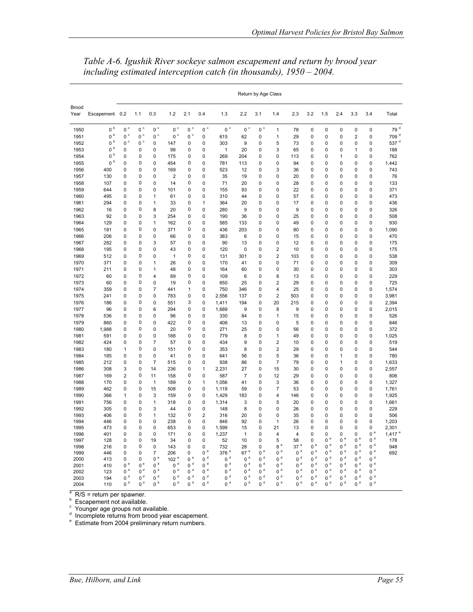|                      |                |                            |                  |                                  |                         |                |                                  |                                    |                         | Return by Age Class        |                              |                |                                  |                                  |              |                            |                        |                      |
|----------------------|----------------|----------------------------|------------------|----------------------------------|-------------------------|----------------|----------------------------------|------------------------------------|-------------------------|----------------------------|------------------------------|----------------|----------------------------------|----------------------------------|--------------|----------------------------|------------------------|----------------------|
| <b>Brood</b><br>Year | Escapement 0.2 |                            | 1.1              | 0.3                              | 1.2                     | 2.1            | 0.4                              | 1.3                                | 2.2                     | 3.1                        | 1.4                          | 2.3            | 3.2                              | 1.5                              | 2.4          | 3.3                        | 3.4                    | Total                |
| 1950                 | $0~^{\rm b}$   | 0 <sup>c</sup>             | $0~^{\circ}$     | 0 <sup>c</sup>                   | $0^{\circ}$             | $0~^{\circ}$   | $0~^{\circ}$                     | $0~^{\circ}$                       | $0^{\circ}$             | $0~^{\circ}$               | $\mathbf{1}$                 | 78             | 0                                | 0                                | 0            | 0                          | 0                      | 79 $d$               |
| 1951                 | $0~^{\rm b}$   | $0~^{\circ}$               | $0\,$ $^{\circ}$ | $0~^{\circ}$                     | 0 <sup>c</sup>          | $0~^{\circ}$   | 0                                | 615                                | 62                      | 0                          | 1                            | 29             | 0                                | 0                                | 0            | $\overline{\mathbf{c}}$    | 0                      | 709 <sup>d</sup>     |
| 1952                 | $0~^{\rm b}$   | 0 <sup>c</sup>             | 0 <sup>c</sup>   | 0                                | 147                     | 0              | 0                                | 303                                | 9                       | 0                          | 5                            | 73             | 0                                | 0                                | 0            | 0                          | 0                      | 537 <sup>d</sup>     |
| 1953                 | $0~^{\rm b}$   | 0                          | 0                | 0                                | 98                      | 0              | 0                                | 1                                  | 20                      | 0                          | 3                            | 65             | 0                                | 0                                | 0            | 1                          | 0                      | 188                  |
| 1954                 | b<br>0         | 0                          | 0                | 0                                | 175                     | 0              | 0                                | 269                                | 204                     | 0                          | 0                            | 113            | 0                                | 0                                | 1            | 0                          | 0                      | 762                  |
| 1955                 | b<br>0         | 0                          | 0                | 0                                | 454                     | 0              | 0                                | 781                                | 113                     | 0                          | 0                            | 94             | 0                                | 0                                | 0            | 0                          | 0                      | 1,442                |
| 1956                 | 400            | 0                          | 0                | $\mathbf 0$                      | 169                     | 0              | $\mathbf 0$                      | 523                                | 12                      | 0                          | 3                            | 36             | 0                                | $\overline{0}$                   | 0            | $\mathbf 0$                | 0                      | 743                  |
| 1957                 | 130            | 0                          | 0                | 0                                | $\overline{\mathbf{c}}$ | 0              | 0                                | 35                                 | 19                      | 0                          | 0                            | 20             | 0                                | $\overline{0}$                   | 0            | 0                          | 0                      | 76                   |
| 1958<br>1959         | 107            | $\mathbf 0$<br>0           | 0<br>0           | $\mathbf 0$<br>0                 | 14<br>101               | 0<br>0         | $\mathbf 0$<br>0                 | 71<br>155                          | 20<br>93                | 0<br>0                     | 0<br>0                       | 28<br>22       | 0<br>0                           | $\overline{0}$<br>$\overline{0}$ | 0<br>0       | $\mathbf 0$<br>0           | 0<br>0                 | 133<br>371           |
| 1960                 | 644<br>495     | $\mathbf 0$                | 0                | 1                                | 61                      | 0              | $\mathbf 0$                      | 310                                | 44                      | 0                          | 0                            | 57             | 0                                | $\overline{0}$                   | 0            | $\mathbf 0$                | 0                      | 473                  |
| 1961                 | 294            | $\pmb{0}$                  | 0                | 1                                | 33                      | 0              | 1                                | 364                                | 20                      | 0                          | 0                            | 17             | 0                                | 0                                | 0            | $\pmb{0}$                  | 0                      | 436                  |
| 1962                 | 16             | $\mathbf 0$                | 0                | 8                                | 20                      | 0              | $\mathbf 0$                      | 280                                | 9                       | 0                          | 0                            | 9              | 0                                | $\overline{0}$                   | 0            | $\mathbf 0$                | $\mathbf 0$            | 326                  |
| 1963                 | 92             | $\mathbf 0$                | 0                | 3                                | 254                     | 0              | 0                                | 190                                | 36                      | $\mathbf 0$                | 0                            | 25             | 0                                | $\overline{0}$                   | 0            | $\mathbf 0$                | 0                      | 508                  |
| 1964                 | 129            | $\pmb{0}$                  | 0                | 1                                | 162                     | 0              | 0                                | 585                                | 133                     | 0                          | 0                            | 49             | 0                                | $\overline{0}$                   | 0            | $\mathbf 0$                | 0                      | 930                  |
| 1965                 | 181            | $\mathbf 0$                | 0                | 0                                | 371                     | 0              | 0                                | 436                                | 203                     | $\mathbf 0$                | 0                            | 80             | 0                                | $\overline{0}$                   | 0            | $\mathbf 0$                | 0                      | 1,090                |
| 1966                 | 206            | $\mathbf 0$                | 0                | $\mathbf 0$                      | 66                      | 0              | $\mathbf 0$                      | 383                                | 6                       | $\mathbf 0$                | 0                            | 15             | 0                                | $\overline{0}$                   | 0            | $\mathbf 0$                | 0                      | 470                  |
| 1967                 | 282            | $\mathbf 0$                | 0                | 3                                | 57                      | 0              | 0                                | 90                                 | 13                      | $\mathbf 0$                | 0                            | 12             | 0                                | $\overline{0}$                   | 0            | 0                          | 0                      | 175                  |
| 1968                 | 195            | $\mathbf 0$<br>$\mathbf 0$ | 0<br>0           | $\mathbf 0$<br>$\mathbf 0$       | 43                      | 0<br>0         | $\mathbf 0$                      | 120                                | 0<br>301                | $\mathbf 0$<br>$\mathbf 0$ | $\overline{\mathbf{c}}$      | 10             | 0<br>0                           | $\overline{0}$<br>$\overline{0}$ | 0<br>0       | $\mathbf 0$<br>$\mathbf 0$ | 0<br>0                 | 175                  |
| 1969<br>1970         | 512<br>371     | $\mathbf 0$                | 0                | $\mathbf{1}$                     | $\mathbf{1}$<br>26      | 0              | 0<br>0                           | 131<br>170                         | 41                      | $\mathbf 0$                | $\overline{\mathbf{c}}$<br>0 | 103<br>71      | 0                                | $\overline{0}$                   | 0            | $\mathbf 0$                | 0                      | 538<br>309           |
| 1971                 | 211            | $\mathbf 0$                | 0                | 1                                | 48                      | 0              | 0                                | 164                                | 60                      | $\mathbf 0$                | 0                            | 30             | 0                                | $\overline{0}$                   | 0            | $\mathbf 0$                | 0                      | 303                  |
| 1972                 | 60             | $\mathbf 0$                | 0                | 4                                | 89                      | 0              | $\mathbf 0$                      | 109                                | 6                       | $\mathbf 0$                | 8                            | 13             | 0                                | $\overline{0}$                   | 0            | $\mathbf 0$                | 0                      | 229                  |
| 1973                 | 60             | $\mathbf 0$                | 0                | 0                                | 19                      | 0              | 0                                | 650                                | 25                      | $\mathbf 0$                | $\overline{\mathbf{c}}$      | 29             | 0                                | 0                                | 0            | $\mathbf 0$                | 0                      | 725                  |
| 1974                 | 359            | $\mathbf 0$                | 0                | $\overline{7}$                   | 441                     | 1              | 0                                | 750                                | 346                     | $\mathbf 0$                | 4                            | 25             | 0                                | $\overline{0}$                   | 0            | $\mathbf 0$                | 0                      | 1,574                |
| 1975                 | 241            | $\mathbf 0$                | 0                | 0                                | 783                     | 0              | 0                                | 2,556                              | 137                     | 0                          | $\overline{\mathbf{c}}$      | 503            | 0                                | 0                                | 0            | 0                          | 0                      | 3,981                |
| 1976                 | 186            | $\mathbf 0$                | 0                | $\mathbf 0$                      | 551                     | 3              | $\mathbf 0$                      | 1,411                              | 194                     | $\mathbf 0$                | 20                           | 215            | 0                                | $\overline{0}$                   | 0            | $\mathbf 0$                | 0                      | 2,394                |
| 1977                 | 96             | $\mathbf 0$                | 0                | 6                                | 294                     | 0              | 0                                | 1,689                              | 9                       | 0                          | 8                            | 9              | 0                                | $\overline{0}$                   | 0            | 0                          | 0                      | 2,015                |
| 1978                 | 536            | $\mathbf 0$                | 0                | $\mathbf 0$                      | 96                      | 0              | 0                                | 330                                | 84                      | 0                          | $\mathbf{1}$                 | 15             | 0                                | $\overline{0}$                   | 0            | 0                          | 0                      | 526                  |
| 1979                 | 860            | 0                          | 0                | $\mathbf 0$                      | 422                     | 0              | $\mathbf 0$                      | 406                                | 13                      | 0                          | 0                            | 5              | 0                                | $\overline{0}$                   | 0            | 0                          | 0                      | 846                  |
| 1980                 | 1,988          | 0<br>$\mathbf 0$           | 0<br>0           | $\mathbf 0$<br>0                 | 20                      | 0<br>0         | 0<br>0                           | 271<br>779                         | 25                      | 0<br>0                     | 0<br>$\mathbf{1}$            | 56<br>49       | 0<br>0                           | $\overline{0}$<br>$\overline{0}$ | 0<br>0       | 0<br>$\mathbf 0$           | 0<br>0                 | 372<br>1,025         |
| 1981<br>1982         | 591<br>424     | 0                          | 0                | $\overline{7}$                   | 188<br>57               | 0              | $\mathbf 0$                      | 434                                | 8<br>9                  | 0                          | $\overline{\mathbf{c}}$      | 10             | 0                                | $\overline{0}$                   | 0            | $\mathbf 0$                | 0                      | 519                  |
| 1983                 | 180            | 1                          | 0                | 0                                | 151                     | 0              | 0                                | 353                                | 8                       | 0                          | $\overline{\mathbf{c}}$      | 29             | 0                                | $\overline{0}$                   | 0            | 0                          | 0                      | 544                  |
| 1984                 | 185            | 0                          | 0                | 0                                | 41                      | 0              | $\mathbf 0$                      | 641                                | 56                      | 0                          | 5                            | 36             | 0                                | 0                                | 1            | 0                          | 0                      | 780                  |
| 1985                 | 212            | $\mathbf 0$                | 0                | $\overline{7}$                   | 515                     | 0              | $\mathbf 0$                      | 938                                | 86                      | 0                          | $\overline{7}$               | 79             | 0                                | 0                                | 1            | 0                          | 0                      | 1,633                |
| 1986                 | 308            | 3                          | 0                | 14                               | 236                     | 0              | 1                                | 2,231                              | 27                      | 0                          | 15                           | 30             | 0                                | 0                                | 0            | 0                          | 0                      | 2,557                |
| 1987                 | 169            | $\overline{2}$             | 0                | 11                               | 158                     | 0              | 0                                | 587                                | $\overline{7}$          | $\mathbf 0$                | 12                           | 29             | 0                                | 0                                | 0            | 0                          | 0                      | 806                  |
| 1988                 | 170            | $\mathbf 0$                | 0                | $\mathbf{1}$                     | 189                     | 0              | 1                                | 1,056                              | 41                      | 0                          | 3                            | 36             | 0                                | 0                                | 0            | 0                          | 0                      | 1,327                |
| 1989                 | 462            | 0                          | 0                | 15                               | 508                     | 0              | 0                                | 1,119                              | 59                      | 0                          | $\overline{7}$               | 53             | 0                                | 0                                | 0            | 0                          | 0                      | 1,761                |
| 1990                 | 366            | 1                          | 0                | 3                                | 159                     | 0              | 0                                | 1,429                              | 183                     | 0                          | 4                            | 146            | 0                                | 0                                | 0            | 0                          | 0                      | 1,925                |
| 1991                 | 756            | 0                          | 0                | 1                                | 318                     | 0              | 0                                | 1,314                              | 3                       | 0                          | 5                            | 20             | 0                                | 0                                | 0            | 0                          | 0                      | 1,661                |
| 1992<br>1993         | 305<br>406     | 0<br>0                     | 0<br>0           | 3<br>1                           | 44<br>132               | 0<br>0         | 0<br>$\overline{2}$              | 148<br>316                         | 8<br>20                 | 0<br>0                     | 0<br>0                       | 26<br>35       | 0<br>0                           | 0<br>0                           | 0<br>0       | 0<br>0                     | 0<br>0                 | 229<br>506           |
| 1994                 | 446            | 0                          | 0                | 0                                | 238                     | 0              | 0                                | 846                                | 92                      | 0                          | $\mathbf{1}$                 | 26             | 0                                | 0                                | 0            | 0                          | 0                      | 1,203                |
| 1995                 | 473            | 0                          | 0                | 0                                | 653                     | 0              | 0                                | 1,599                              | 15                      | 0                          | 21                           | 13             | 0                                | 0                                | 0            | 0                          | 0                      | 2,301                |
| 1996                 | 401            | 0                          | 0                | 0                                | 171                     | 0              | 0                                | 1,237                              | 1                       | 0                          | 4                            | 4              | 0                                | 0                                | 0            | 0                          | 0 <sup>e</sup>         | $1,417$ <sup>e</sup> |
| 1997                 | 128            | 0                          | 0                | 19                               | 34                      | 0              | 0                                | 52                                 | 10                      | 0                          | 5                            | 58             | 0                                | $0^e$                            | $0^{\circ}$  | $0^{\circ}$                | $0d$                   | 178                  |
| 1998                 | 216            | 0                          | 0                | 0                                | 143                     | 0              | 0                                | 732                                | 28                      | 0                          | e<br>8<br>$0d$               | 37e            | 0 <sup>e</sup><br>0 <sup>d</sup> | $0d$<br>$0d$                     | $0d$<br>$0d$ | d<br>$\Omega$<br>$0d$      | $0d$<br>0 <sup>d</sup> | 948                  |
| 1999<br>2000         | 446<br>413     | $\mathbf 0$<br>0           | 0<br>0           | $\overline{7}$<br>0 <sup>e</sup> | 206<br>102 <sup>e</sup> | 0<br>0e        | $0$ $^{\rm e}$<br>0 <sup>d</sup> | 376 <sup>e</sup><br>0 <sup>d</sup> | 67 <sup>e</sup><br>$0d$ | 0 <sup>e</sup><br>$0d$     | 0 <sup>d</sup>               | $0d$<br>$0d$   | 0 <sup>d</sup>                   | 0 <sup>d</sup>                   | $0d$         | $0d$                       | 0 <sup>d</sup>         | 692                  |
| 2001                 | 410            | 0 <sup>e</sup>             | 0 <sup>e</sup>   | 0 <sup>d</sup>                   | 0 <sup>d</sup>          | $0d$           | 0 <sup>d</sup>                   | $0d$                               | $0d$                    | $0d$                       | $0d$                         | $0d$           | $0d$                             | $0d$                             | $0d$         | d<br>$\mathbf 0$           | d<br>0                 |                      |
| 2002                 | 123            | $0d$                       | 0 <sup>d</sup>   | $0d$                             | $0d$                    | 0 <sup>d</sup> | 0 <sup>d</sup>                   | $0d$                               | $0d$                    | $0d$                       | $0d$                         | 0 <sup>d</sup> | $0d$                             | 0 <sup>d</sup>                   | $0d$         | $0d$                       | d<br>0                 |                      |
| 2003                 | 194            | $0d$                       | $0d$             | $0d$                             | $0d$                    | 0 <sup>d</sup> | $0d$                             | $0d$                               | $0d$                    | $0d$                       | $0d$                         | $0d$           | $0d$                             | $0d$                             | $0d$         | $0d$                       | d<br>0                 |                      |
| 2004                 | 110            | 0 <sup>d</sup>             | $0d$             | 0 <sup>d</sup>                   | 0 <sup>d</sup>          | 0 <sup>d</sup> | 0 <sup>d</sup>                   | 0 <sup>d</sup>                     | $0d$                    | 0 <sup>d</sup>             | 0 <sup>d</sup>               | 0 <sup>d</sup> | 0 <sup>d</sup>                   | 0 <sup>d</sup>                   | $0d$         | 0 <sup>d</sup>             | d<br>0                 |                      |

*Table A-6. Igushik River sockeye salmon escapement and return by brood year including estimated interception catch (in thousands), 1950 – 2004.* 

<sup>a</sup> R/S = return per spawner.<br><sup>b</sup> Escapement not available.

<sup>c</sup> Younger age groups not available.<br><sup>d</sup> Incomplete returns from brood year escapement.<br><sup>e</sup> Estimate from 2004 preliminary return numbers.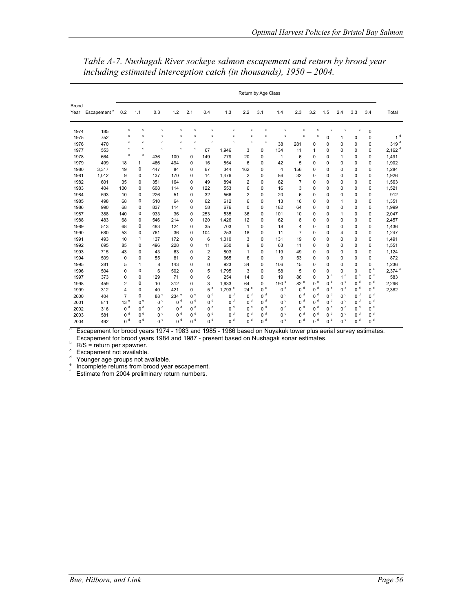|               |                         | Return by Age Class |                |                 |                  |                |                |                |                |                |               |                  |                |                |                         |                |                |                      |
|---------------|-------------------------|---------------------|----------------|-----------------|------------------|----------------|----------------|----------------|----------------|----------------|---------------|------------------|----------------|----------------|-------------------------|----------------|----------------|----------------------|
| Brood<br>Year | Escapement <sup>a</sup> | 0.2                 | 1.1            | 0.3             | 1.2              | 2.1            | 0.4            | 1.3            | 2.2            | 3.1            | 1.4           | 2.3              | 3.2            | 1.5            | 2.4                     | 3.3            | 3.4            | Total                |
| 1974          | 185                     | c                   | c              | c               | c                | c              | ċ              | c              | c              | c              | c             | $\mathbf{c}$     | c              | c              | $\mathbf{c}$            | $\mathbf c$    | $\mathsf 0$    |                      |
| 1975          | 752                     | c                   | c              | c               | c                | c              | Ċ              | c              | c              | c              | c             | c                | c              | $\Omega$       | 1                       | 0              | 0              | 1 <sup>d</sup>       |
| 1976          | 470                     | c                   | c              | c               | c                | c              | c              | Ċ              | $\mathbf c$    | $\mathbf c$    | 38            | 281              | $\mathbf 0$    | 0              | $\Omega$                | $\mathbf 0$    | 0              | 319 $d$              |
| 1977          | 553                     | c                   | c              | c.              | c                | $\mathbf c$    | 67             | 1,946          | 3              | $\mathbf 0$    | 134           | 11               | 1              | 0              | 0                       | 0              | 0              | $2,162$ <sup>d</sup> |
| 1978          | 664                     | $\mathbf{c}$        | c              | 436             | 100              | 0              | 149            | 779            | 20             | $\mathbf 0$    | $\mathbf{1}$  | 6                | 0              | 0              | 1                       | 0              | 0              | 1,491                |
| 1979          | 499                     | 18                  | 1              | 466             | 494              | 0              | 16             | 854            | 6              | 0              | 42            | 5                | $\Omega$       | 0              | $\Omega$                | 0              | 0              | 1,902                |
| 1980          | 3,317                   | 19                  | $\mathbf 0$    | 447             | 84               | 0              | 67             | 344            | 162            | $\Omega$       | 4             | 156              | $\Omega$       | 0              | 0                       | 0              | 0              | 1,284                |
| 1981          | 1,012                   | 9                   | 0              | 137             | 170              | 0              | 14             | 1,476          | $\overline{2}$ | 0              | 86            | 32               | 0              | 0              | 0                       | 0              | 0              | 1,926                |
| 1982          | 601                     | 35                  | 0              | 351             | 164              | 0              | 49             | 894            | $\overline{2}$ | 0              | 62            | $\overline{7}$   | 0              | 0              | 0                       | 0              | 0              | 1,563                |
| 1983          | 404                     | 100                 | 0              | 608             | 114              | 0              | 122            | 553            | 6              | 0              | 16            | 3                | 0              | 0              | 0                       | 0              | 0              | 1,521                |
| 1984          | 593                     | 10                  | 0              | 226             | 51               | 0              | 32             | 566            | $\overline{2}$ | 0              | 20            | 6                | 0              | 0              | $\mathbf 0$             | 0              | 0              | 912                  |
| 1985          | 498                     | 68                  | 0              | 510             | 64               | 0              | 62             | 612            | 6              | 0              | 13            | 16               | 0              | 0              | 1                       | 0              | 0              | 1,351                |
| 1986          | 990                     | 68                  | 0              | 837             | 114              | 0              | 58             | 676            | 0              | 0              | 182           | 64               | $\mathbf 0$    | 0              | $\mathbf 0$             | 0              | 0              | 1,999                |
| 1987          | 388                     | 140                 | 0              | 933             | 36               | 0              | 253            | 535            | 36             | 0              | 101           | 10               | $\mathbf 0$    | 0              | 1                       | 0              | 0              | 2,047                |
| 1988          | 483                     | 68                  | $\mathbf 0$    | 546             | 214              | 0              | 120            | 1,426          | 12             | $\mathbf 0$    | 62            | 8                | $\mathbf 0$    | 0              | $\mathbf 0$             | $\mathbf 0$    | 0              | 2,457                |
| 1989          | 513                     | 68                  | $\mathbf 0$    | 483             | 124              | 0              | 35             | 703            | $\mathbf{1}$   | $\mathbf 0$    | 18            | $\overline{4}$   | 0              | 0              | 0                       | 0              | 0              | 1,436                |
| 1990          | 680                     | 53                  | $\mathbf 0$    | 761             | 36               | $\Omega$       | 104            | 253            | 18             | $\mathbf 0$    | 11            | $\overline{7}$   | $\mathbf 0$    | 0              | 4                       | $\mathbf 0$    | 0              | 1,247                |
| 1991          | 493                     | 10                  | 1              | 137             | 172              | 0              | 6              | 1,010          | 3              | 0              | 131           | 19               | 0              | 0              | 0                       | 0              | 0              | 1,491                |
| 1992          | 695                     | 85                  | 0              | 496             | 228              | $\Omega$       | 11             | 650            | 9              | 0              | 63            | 11               | 0              | 0              | 0                       | 0              | 0              | 1,551                |
| 1993          | 715                     | 43                  | 0              | 43              | 63               | $\Omega$       | $\overline{2}$ | 803            | 1              | $\Omega$       | 119           | 49               | 0              | 0              | 0                       | 0              | 0              | 1,124                |
| 1994          | 509                     | 0                   | $\mathbf 0$    | 55              | 81               | $\Omega$       | $\overline{2}$ | 665            | 6              | 0              | 9             | 53               | 0              | 0              | $\Omega$                | 0              | 0              | 872                  |
| 1995          | 281                     | 5                   | 1              | 8               | 143              | 0              | $\mathbf 0$    | 923            | 34             | $\mathbf 0$    | 106           | 15               | 0              | 0              | 0                       | 0              | 0              | 1.236                |
| 1996          | 504                     | 0                   | 0              | 6               | 502              | 0              | 5              | 1,795          | 3              | $\mathbf 0$    | 58            | 5                | 0              | 0              | 0                       | 0              | e<br>0         | 2,374 <sup>e</sup>   |
| 1997          | 373                     | 0                   | 0              | 129             | 71               | $\Omega$       | 6              | 254            | 14             | 0              | 19            | 86               | $\Omega$       | $3e$           | $\mathbf e$<br>1        | e<br>0         | d<br>0         | 583                  |
| 1998          | 459                     | $\overline{2}$      | $\mathbf 0$    | 10              | 312              | $\Omega$       | 3              | 1,633          | 64             | $\Omega$       | e<br>190      | 82 <sup>e</sup>  | $0^e$          | $0d$           | d<br>$\Omega$           | d<br>0         | $0d$           | 2,296                |
| 1999          | 312                     | 4                   | $\mathbf 0$    | 40              | 421              | 0              | 5e             | 1.793 $e$      | e<br>24        | 0 <sup>e</sup> | d<br>0        | d<br>$\mathbf 0$ | 0 <sup>d</sup> | $0d$           | $\mathbf d$<br>0        | d<br>0         | 0 <sup>d</sup> | 2,382                |
| 2000          | 404                     | $\overline{7}$      | 0              | 88 <sup>e</sup> | 234 <sup>e</sup> | 0 <sup>e</sup> | 0 <sup>d</sup> | 0 <sup>d</sup> | d<br>0         | 0 <sup>d</sup> | d<br>0        | d<br>0           | $0d$           | $0d$           | $\mathbf d$<br>$\Omega$ | d<br>0         | d<br>0         |                      |
| 2001          | 811                     | 13 <sup>e</sup>     | 0 <sup>e</sup> | 0 <sup>d</sup>  | 0 <sup>d</sup>   | 0 <sup>d</sup> | 0 <sup>d</sup> | 0 <sup>d</sup> | 0 <sup>d</sup> | 0 <sup>d</sup> | d<br>0        | d<br>0           | 0 <sup>d</sup> | $0d$           | 0 <sup>d</sup>          | d<br>0         | d<br>0         |                      |
| 2002          | 316                     | 0 <sup>d</sup>      | 0 <sup>d</sup> | 0 <sup>d</sup>  | 0 <sup>d</sup>   | 0 <sup>d</sup> | 0 <sup>d</sup> | 0 <sup>d</sup> | 0 <sup>d</sup> | 0 <sup>d</sup> | d<br>0        | d<br>0           | 0 <sup>d</sup> | $0d$           | 0 <sup>d</sup>          | 0 <sup>d</sup> | d<br>0         |                      |
| 2003          | 581                     | 0 <sup>d</sup>      | 0 <sup>d</sup> | $0d$            | $0d$             | 0 <sup>d</sup> | 0 <sup>d</sup> | 0 <sup>d</sup> | 0 <sup>d</sup> | 0 <sup>d</sup> | d<br>$\Omega$ | d<br>0           | 0 <sup>d</sup> | $0d$           | d<br>$\Omega$           | d<br>0         | d<br>0         |                      |
| 2004          | 492                     | 0 <sup>d</sup>      | 0 <sup>d</sup> | 0 <sup>d</sup>  | 0 <sup>d</sup>   | 0 <sup>d</sup> | 0 <sup>d</sup> | 0 <sup>d</sup> | 0 <sup>d</sup> | 0 <sup>d</sup> | d<br>$\Omega$ | d<br>$\Omega$    | d<br>$\Omega$  | 0 <sup>d</sup> | d<br>$\Omega$           | d<br>0         | d<br>0         |                      |

*Table A-7. Nushagak River sockeye salmon escapement and return by brood year including estimated interception catch (in thousands), 1950 – 2004.* 

a Escapement for brood years 1974 - 1983 and 1985 - 1986 based on Nuyakuk tower plus aerial survey estimates. Escapement for brood years 1984 and 1987 - present based on Nushagak sonar estimates.<br>b BIC = reture nor enounce

 $R/S$  = return per spawner.<br>  $S_{\text{S}}$  Escapement not available.

<sup>a</sup> Younger age groups not available.<br><sup>e</sup> Incomplete returns from brood year escapement.

f Estimate from 2004 preliminary return numbers.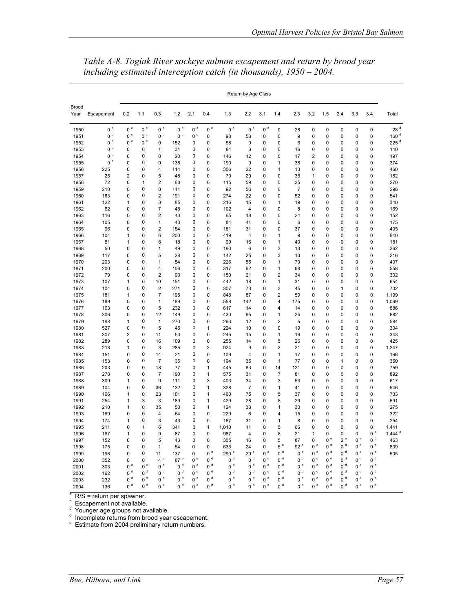|               |                              | Return by Age Class    |                                  |                         |                        |                  |                         |                  |                         |                            |                        |                 |                             |              |              |                            |                        |                                   |
|---------------|------------------------------|------------------------|----------------------------------|-------------------------|------------------------|------------------|-------------------------|------------------|-------------------------|----------------------------|------------------------|-----------------|-----------------------------|--------------|--------------|----------------------------|------------------------|-----------------------------------|
| Brood<br>Year | Escapement                   | 0.2                    | 1.1                              | 0.3                     | 1.2                    | 2.1              | 0.4                     | 1.3              | 2.2                     | 3.1                        | 1.4                    | 2.3             | 3.2                         | 1.5          | 2.4          | 3.3                        | 3.4                    | Total                             |
| 1950          | $0~^{\rm b}$                 | $0~^{\circ}$           | $0~^{\circ}$                     | $0\,$ $^{\circ}$        | $0~^{\circ}$           | $0\,$ $^{\circ}$ | $0~^{\circ}$            | $0~^{\circ}$     | $0~^{\circ}$            | $0~^{\circ}$               | 0                      | 28              | $\mathbf 0$                 | 0            | 0            | $\mathbf 0$                | $\mathbf 0$            | 28 <sup>d</sup>                   |
| 1951          | $0\,$ $^{\rm b}$             | $0\,$ $^{\circ}$       | $0\,$ $^{\circ}$                 | $0\,$ $^{\circ}$        | 0 <sup>c</sup>         | $0~^{\circ}$     | 0                       | 98               | 53                      | 0                          | 0                      | 9               | 0                           | 0            | 0            | 0                          | 0                      | 160 <sup>d</sup>                  |
| 1952          | $0~^{\rm b}$                 | $0\,$ $^{\circ}$       | $0~^{\circ}$                     | 0                       | 152                    | 0                | 0                       | 58               | 9                       | 0                          | 0                      | 6               | 0                           | 0            | 0            | 0                          | 0                      | 225 <sup>d</sup>                  |
| 1953          | $0^{\,b}$                    | 0                      | 0                                | 1                       | 31                     | 0                | 0                       | 84               | 8                       | $\mathbf 0$                | 0                      | 16              | $\mathbf 0$                 | 0            | 0            | 0                          | 0                      | 140                               |
| 1954          | $0~^{\rm b}$<br>$0~^{\rm b}$ | 0                      | 0<br>0                           | 0                       | 20                     | 0<br>0           | 0                       | 146              | 12                      | $\mathbf 0$                | 0                      | 17              | $\overline{2}$              | 0            | 0            | 0                          | 0                      | 197                               |
| 1955          |                              | 0                      | 0                                | $\mathbf 0$             | 136                    |                  | $\mathbf 0$             | 190              | $\boldsymbol{9}$        | $\mathbf 0$                | 1                      | 38              | $\mathbf 0$                 | 0            | 0            | $\mathbf 0$                | 0                      | 374                               |
| 1956<br>1957  | 225<br>25                    | 0<br>$\overline{2}$    | 0                                | $\overline{4}$<br>5     | 114<br>48              | 0<br>0           | 0<br>0                  | 306<br>70        | 22<br>20                | $\mathbf 0$<br>$\mathbf 0$ | 1<br>0                 | 13<br>36        | $\mathbf 0$<br>$\mathbf{1}$ | 0<br>0       | 0<br>0       | $\mathbf 0$<br>$\mathbf 0$ | 0<br>0                 | 460<br>182                        |
| 1958          | 72                           | 0                      | 1                                | $\overline{2}$          | 68                     | 0                | 0                       | 115              | 59                      | $\mathbf 0$                | 0                      | 25              | $\mathbf 0$                 | 0            | 0            | $\mathbf 0$                | 0                      | 270                               |
| 1959          | 210                          | 0                      | 0                                | 0                       | 141                    | 0                | 0                       | 92               | 56                      | $\mathbf 0$                | 0                      | $\overline{7}$  | $\mathbf 0$                 | 0            | 0            | $\mathbf 0$                | 0                      | 296                               |
| 1960          | 163                          | 0                      | 0                                | $\overline{2}$          | 191                    | 0                | 0                       | 274              | 22                      | 0                          | 0                      | 52              | 0                           | 0            | 0            | 0                          | 0                      | 541                               |
| 1961          | 122                          | 1                      | 0                                | 3                       | 85                     | 0                | 0                       | 216              | 15                      | 0                          | 1                      | 19              | 0                           | 0            | 0            | 0                          | 0                      | 340                               |
| 1962          | 62                           | 0                      | 0                                | $\overline{7}$          | 48                     | 0                | 0                       | 102              | $\overline{4}$          | $\mathbf 0$                | 0                      | 8               | $\mathbf 0$                 | 0            | 0            | $\mathbf 0$                | $\mathbf 0$            | 169                               |
| 1963          | 116                          | 0                      | 0                                | $\overline{2}$          | 43                     | 0                | 0                       | 65               | 18                      | $\mathbf 0$                | 0                      | 24              | $\mathbf 0$                 | 0            | 0            | 0                          | 0                      | 152                               |
| 1964          | 105                          | 0                      | $\mathbf 0$                      | $\mathbf{1}$            | 43                     | 0                | $\mathbf 0$             | 84               | 41                      | $\mathbf 0$                | 0                      | 6               | $\mathbf 0$                 | 0            | 0            | $\mathbf 0$                | $\mathbf 0$            | 175                               |
| 1965          | 96                           | 0                      | 0                                | $\overline{2}$          | 154                    | 0                | 0                       | 181              | 31                      | $\mathbf 0$                | 0                      | 37              | $\mathbf 0$                 | 0            | 0            | 0                          | 0                      | 405                               |
| 1966          | 104                          | $\mathbf{1}$           | 0                                | 6                       | 200                    | 0                | 0                       | 419              | $\overline{4}$          | $\mathbf 0$                | $\mathbf{1}$           | 9               | $\mathbf 0$                 | 0            | 0            | $\mathbf 0$                | $\mathbf 0$            | 640                               |
| 1967          | 81                           | $\mathbf{1}$           | 0                                | 6                       | 18                     | 0                | 0                       | 99               | 16                      | $\mathbf 0$                | 1                      | 40              | $\mathbf 0$                 | 0            | 0            | $\mathbf 0$                | 0                      | 181                               |
| 1968          | 50                           | 0                      | 0                                | $\mathbf{1}$            | 49                     | 0                | 0                       | 190              | 6                       | $\mathbf 0$                | 3                      | 13              | $\mathbf 0$                 | 0            | 0            | $\mathbf 0$                | 0                      | 262                               |
| 1969          | 117                          | 0                      | 0                                | 5                       | 28                     | 0                | 0                       | 142              | 25                      | 0                          | 3                      | 13              | 0                           | 0            | 0            | 0                          | 0                      | 216                               |
| 1970          | 203                          | 0                      | 0                                | 1                       | 54                     | 0                | 0                       | 226              | 55                      | 0                          | 1                      | 70              | 0                           | 0            | 0            | 0                          | 0                      | 407                               |
| 1971          | 200                          | 0                      | 0                                | $\overline{4}$          | 106                    | 0                | 0                       | 317              | 62                      | $\mathbf 0$                | 1                      | 68              | 0                           | 0            | 0            | 0                          | 0                      | 558                               |
| 1972          | 79                           | 0                      | 0                                | $\overline{2}$          | 93                     | 0                | 0                       | 150              | 21                      | $\mathbf 0$                | $\overline{2}$         | 34              | $\mathbf 0$                 | 0            | 0            | 0                          | 0                      | 302                               |
| 1973          | 107                          | 1                      | $\mathbf 0$                      | 10                      | 151                    | 0                | 0                       | 442              | 18                      | $\mathbf 0$                | 1                      | 31              | $\mathbf 0$                 | 0            | $\mathbf 0$  | $\pmb{0}$                  | 0                      | 654                               |
| 1974          | 104                          | 0                      | 0                                | $\overline{\mathbf{c}}$ | 271                    | 0                | 0                       | 307              | 73                      | $\mathbf 0$                | 3                      | 45              | $\mathbf 0$                 | 0            | 1            | $\mathbf 0$                | 0                      | 702                               |
| 1975          | 181                          | 1                      | 0                                | $\overline{7}$          | 195                    | 0                | 0                       | 848              | 87                      | $\mathbf 0$                | $\overline{2}$         | 59              | $\mathbf 0$                 | 0            | 0            | $\mathbf 0$                | 0                      | 1,199                             |
| 1976          | 189                          | $\mathbf 0$            | 0                                | $\mathbf{1}$            | 189                    | 0                | 0                       | 558              | 142                     | $\mathbf 0$                | 4                      | 175             | $\mathbf 0$                 | 0            | 0            | $\mathbf 0$                | 0                      | 1,069                             |
| 1977          | 163                          | $\mathbf 0$            | 0                                | 5                       | 232                    | 0                | 0                       | 617              | 14                      | $\Omega$                   | 4                      | 14              | $\mathbf 0$                 | 0            | 0            | $\mathbf 0$                | $\mathbf 0$            | 886                               |
| 1978          | 306                          | $\mathbf 0$            | 0                                | 12                      | 149                    | 0                | 0                       | 430              | 65                      | $\mathbf 0$                | $\mathbf{1}$           | 25              | $\mathbf 0$                 | 0            | 0            | $\mathbf 0$                | 0                      | 682                               |
| 1979          | 198                          | 1                      | 0                                | 1                       | 270                    | 0                | 0                       | 293              | 12                      | 0                          | 2                      | 5               | 0                           | 0            | 0            | 0                          | 0                      | 584                               |
| 1980          | 527                          | 0                      | 0                                | 5                       | 45                     | 0                | 1                       | 224              | 10                      | 0                          | 0                      | 19              | 0                           | 0            | 0            | 0                          | 0                      | 304                               |
| 1981          | 307                          | $\overline{2}$         | 0                                | 11                      | 53                     | 0                | 0                       | 245              | 15                      | $\mathbf 0$                | 1                      | 16              | $\mathbf 0$                 | 0            | 0            | 0                          | 0                      | 343                               |
| 1982          | 289                          | 0                      | $\mathbf 0$                      | 16                      | 109                    | 0                | 0                       | 255              | 14                      | $\mathbf 0$                | 5                      | 26              | $\mathbf 0$                 | 0            | 0            | 0                          | 0                      | 425                               |
| 1983          | 213                          | 1                      | $\pmb{0}$                        | 3                       | 285                    | 0                | $\overline{\mathbf{c}}$ | 924              | 9                       | 0                          | $\overline{2}$         | 21              | 0                           | 0            | 0            | 0                          | 0                      | 1,247                             |
| 1984          | 151                          | 0                      | 0                                | 14                      | 21                     | 0                | 0                       | 109              | $\overline{\mathbf{4}}$ | $\mathbf 0$                | 1                      | 17              | $\mathbf 0$                 | 0            | 0            | $\mathbf 0$                | 0                      | 166                               |
| 1985          | 153                          | $\mathbf 0$            | 0                                | $\overline{7}$          | 35                     | 0                | 0                       | 194              | 35                      | $\mathbf 0$                | $\mathbf{1}$           | 77              | $\mathbf 0$                 | 0            | $\mathbf{1}$ | $\mathbf 0$                | 0                      | 350                               |
| 1986          | 203                          | $\mathbf 0$            | $\mathbf 0$                      | 18                      | 77                     | 0                | 1                       | 445              | 83                      | $\mathbf 0$                | 14                     | 121             | $\mathbf 0$                 | 0            | $\mathbf 0$  | $\mathbf 0$                | $\mathbf 0$            | 759                               |
| 1987          | 278                          | 0                      | $\mathbf 0$                      | $\overline{7}$          | 190                    | 0                | $\mathbf{1}$            | 575              | 31                      | 0                          | $\overline{7}$         | 81              | 0                           | 0            | 0            | $\Omega$                   | 0                      | 892                               |
| 1988          | 309                          | $\mathbf{1}$           | 0                                | 9                       | 111                    | 0                | 3                       | 403              | 34                      | $\mathbf 0$                | 3                      | 53              | $\mathbf 0$                 | 0            | 0            | $\mathbf 0$                | 0                      | 617                               |
| 1989          | 104                          | 0                      | 0                                | 36                      | 132                    | 0                | 1                       | 328              | $\overline{7}$          | 0                          | 1                      | 41              | 0                           | 0            | 0            | 0                          | 0                      | 546                               |
| 1990          | 166                          | $\mathbf{1}$           | 0                                | 23                      | 101                    | 0                | 1                       | 460              | 75                      | $\mathbf 0$                | 5                      | 37              | 0                           | 0            | 0            | 0                          | 0                      | 703                               |
| 1991          | 254                          | 1                      | 3                                | 3                       | 189                    | 0                | 1                       | 429              | 28                      | $\mathbf 0$                | 8                      | 29              | $\mathbf 0$                 | 0            | 0            | $\mathbf 0$                | $\mathbf 0$            | 691                               |
| 1992          | 210                          | 1                      | 0                                | 35                      | 50                     | 0                | 1                       | 124              | 33                      | 0                          | 1                      | 30              | 0                           | 0            | 0            | 0                          | 0                      | 275                               |
| 1993          | 189                          | 0                      | 0                                | 4                       | 64                     | 0                | 0                       | 229              | 6                       | 0                          | 4                      | 15              | $\mathbf 0$                 | 0            | 0            | $\mathbf 0$                | 0                      | 322                               |
| 1994          | 174                          | $\mathbf{1}$           | 0                                | 3                       | 43                     | 0                | 0                       | 167              | 31                      | $\mathbf 0$                | 1                      | 8               | $\mathbf 0$                 | 0            | 0            | $\mathbf 0$                | 0                      | 254                               |
| 1995          | 211                          | 0                      | $\mathbf{1}$                     | 6                       | 341                    | 0                | 1                       | 1,010            | 11                      | $\mathbf 0$                | 5                      | 66              | $\mathbf 0$                 | 0            | 0            | $\mathbf 0$                | $\mathbf 0$            | 1.441                             |
| 1996          | 187                          | $\mathbf{1}$           | $\mathbf 0$                      | 9                       | 87                     | 0                | 0                       | 987              | $\overline{\mathbf{4}}$ | $\mathbf 0$                | 8                      | 21              | $\mathbf{1}$                | 0            | 0            | $\mathbf 0$                | 0 <sup>e</sup><br>$0d$ | $1.444$ <sup><math>e</math></sup> |
| 1997          | 152                          | 0                      | 0                                | 5                       | 43                     | 0                | 0                       | 305              | 16                      | $\mathbf 0$                | 5                      | 87              | 0                           | $0^e$        | 2e           | 0 <sup>e</sup>             |                        | 463                               |
| 1998          | 175                          | 0                      | 0                                | $\mathbf{1}$            | 54                     | 0                | 0                       | 633              | 24                      | $\mathbf 0$<br>e           | $5e$                   | 92 <sup>e</sup> | $0^{\circ}$                 | $0d$         | $0d$         | $0d$                       | $0d$                   | 809                               |
| 1999          | 196                          | 0                      | 0                                | 11                      | 137                    | 0                | $0$ $^{\rm e}$          | 290 <sup>e</sup> | 29 $e$                  | $\mathbf 0$                | 0 <sup>d</sup>         | $0d$            | $0d$                        | $0d$         | $0d$         | $0d$                       | 0 <sup>d</sup>         | 505                               |
| 2000          | 352                          | 0                      | 0                                | $4e$<br>0 <sup>d</sup>  | 87 <sup>e</sup>        | $0^{\circ}$      | $0d$<br>$0d$            | $0d$<br>$0d$     | 0 <sup>d</sup>          | $0d$                       | 0 <sup>d</sup><br>$0d$ | $0d$<br>$0d$    | $0d$                        | $0d$         | $0d$         | $0d$<br>0 <sup>d</sup>     | $0d$                   |                                   |
| 2001          | 303                          | 0 <sup>e</sup><br>$0d$ | 0 <sup>e</sup><br>0 <sup>d</sup> | $0d$                    | 0 <sup>d</sup><br>$0d$ | $0d$<br>$0d$     | $0d$                    |                  | 0 <sup>d</sup><br>$0d$  | $0d$<br>$0d$               | 0 <sup>d</sup>         |                 | $0d$<br>0 <sup>d</sup>      | $0d$<br>$0d$ | $0d$<br>d    | $0d$                       | $0d$<br>0 <sup>d</sup> |                                   |
| 2002          | 162                          | $0d$                   | 0 <sup>d</sup>                   | $0d$                    | $0d$                   | $0d$             | $0d$                    | $0d$<br>$0d$     | $0d$                    | $0d$                       | $0d$                   | $0d$<br>$0d$    | $0d$                        | $0d$         | 0<br>$0d$    | $0d$                       | $0d$                   |                                   |
| 2003          | 232                          | $0d$                   | 0 <sup>d</sup>                   | $0d$                    | $0d$                   | $0d$             | 0 <sup>d</sup>          | $0d$             | $0d$                    | d                          | 0 <sup>d</sup>         | $0d$            | d                           | $0d$         | d            | $0d$                       | 0 <sup>d</sup>         |                                   |
| 2004          | 136                          |                        |                                  |                         |                        |                  |                         |                  |                         | $\mathbf 0$                |                        |                 | $\mathbf 0$                 |              | 0            |                            |                        |                                   |

*Table A-8. Togiak River sockeye salmon escapement and return by brood year including estimated interception catch (in thousands), 1950 – 2004.* 

<sup>a</sup> R/S = return per spawner.<br>
<sup>b</sup> Escapement not available.<br>
<sup>d</sup> Incomplete returns from brood year escapement.<br>
<sup>e</sup> Estimate from 2004 preliminary return numbers.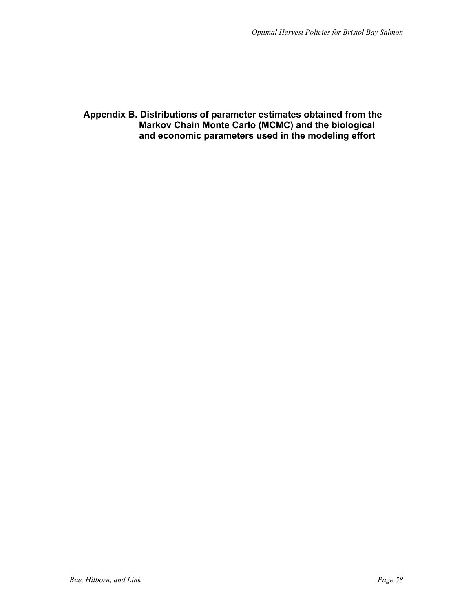**Appendix B. Distributions of parameter estimates obtained from the Markov Chain Monte Carlo (MCMC) and the biological and economic parameters used in the modeling effort**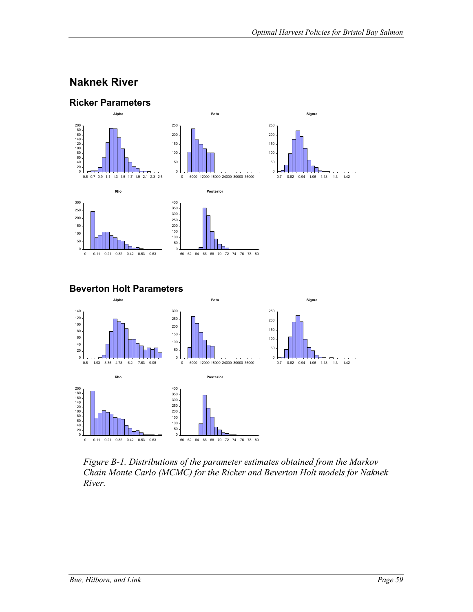#### **Naknek River**



*Figure B-1. Distributions of the parameter estimates obtained from the Markov Chain Monte Carlo (MCMC) for the Ricker and Beverton Holt models for Naknek River.* 

60 62 64 66 68 70 72 74 76 78 80

0

0 0.11 0.21 0.32 0.42 0.53 0.63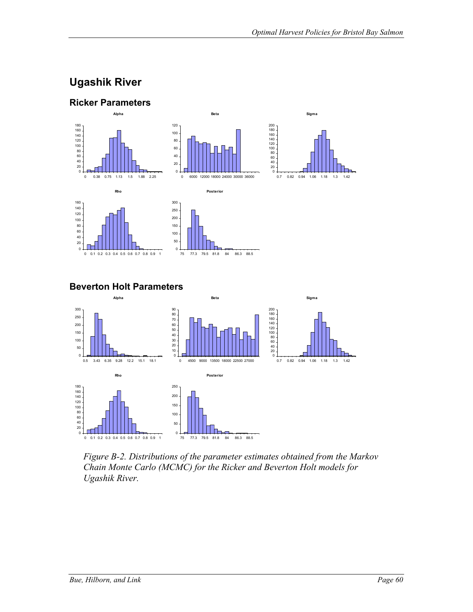# **Ugashik River**



**Beverton Holt Parameters** 



*Figure B-2. Distributions of the parameter estimates obtained from the Markov Chain Monte Carlo (MCMC) for the Ricker and Beverton Holt models for Ugashik River.*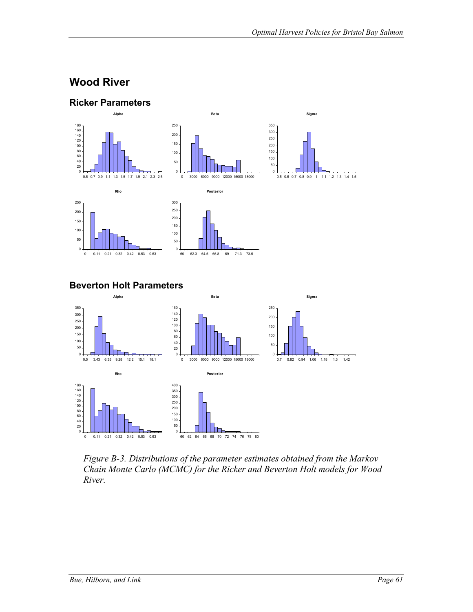### **Wood River**



*Figure B-3. Distributions of the parameter estimates obtained from the Markov Chain Monte Carlo (MCMC) for the Ricker and Beverton Holt models for Wood River.*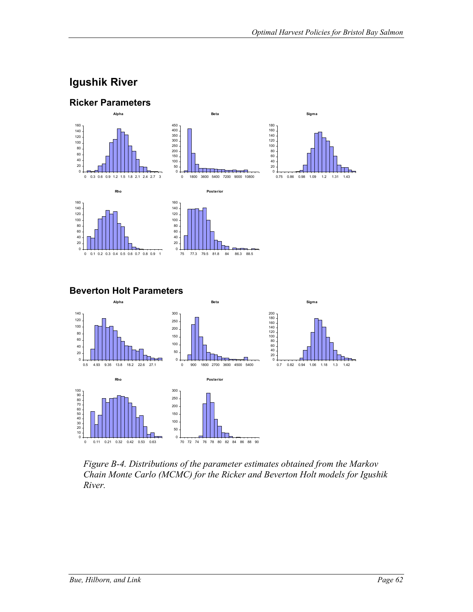### **Igushik River**



**Beverton Holt Parameters** 



*Figure B-4. Distributions of the parameter estimates obtained from the Markov Chain Monte Carlo (MCMC) for the Ricker and Beverton Holt models for Igushik River.*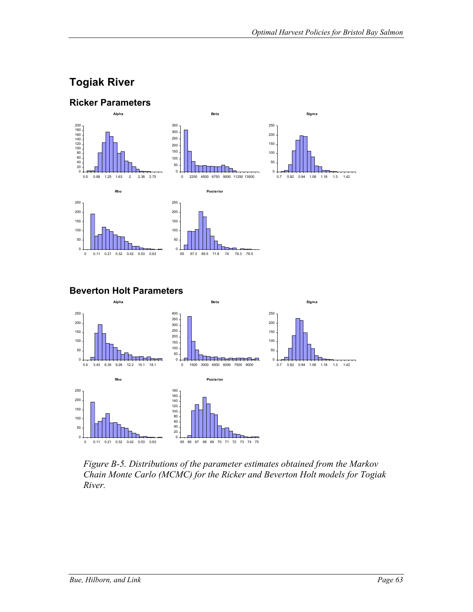# **Togiak River**



0 1500 3000 4500 6000 7500 9000

i Timer

**Posterior**

65 66 67 68 69 70 71 72 73 74 75

 $\mathbf{0}$ .

0.7 0.82 0.94 1.06 1.18 1.3 1.42

*Figure B-5. Distributions of the parameter estimates obtained from the Markov Chain Monte Carlo (MCMC) for the Ricker and Beverton Holt models for Togiak River.*

 $0<sub>1</sub>$ 

0.5 3.43 6.35 9.28 12.2 15.1 18.1

**Rho**

0 0.11 0.21 0.32 0.42 0.53 0.63

 $\overline{0}$ .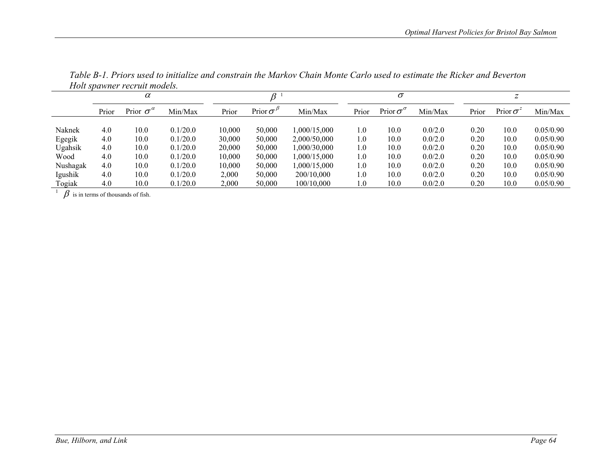|          | $\alpha$ |                         |          |        |                 |              |       | $\sigma$                |         |       |                  |           |  |
|----------|----------|-------------------------|----------|--------|-----------------|--------------|-------|-------------------------|---------|-------|------------------|-----------|--|
|          | Prior    | Prior $\sigma^{\alpha}$ | Min/Max  | Prior  | Prior $\sigma'$ | Min/Max      | Prior | Prior $\sigma^{\sigma}$ | Min/Max | Prior | Prior $\sigma^2$ | Min/Max   |  |
|          |          |                         |          |        |                 |              |       |                         |         |       |                  |           |  |
| Naknek   | 4.0      | 10.0                    | 0.1/20.0 | 10.000 | 50,000          | 1,000/15,000 | 1.0   | 10.0                    | 0.0/2.0 | 0.20  | 10.0             | 0.05/0.90 |  |
| Egegik   | 4.0      | 10.0                    | 0.1/20.0 | 30,000 | 50,000          | 2.000/50.000 | 1.0   | 10.0                    | 0.0/2.0 | 0.20  | 10.0             | 0.05/0.90 |  |
| Ugahsik  | 4.0      | 10.0                    | 0.1/20.0 | 20,000 | 50,000          | 1.000/30.000 | 1.0   | 10.0                    | 0.0/2.0 | 0.20  | 10.0             | 0.05/0.90 |  |
| Wood     | 4.0      | 10.0                    | 0.1/20.0 | 10.000 | 50,000          | ,000/15,000  | 1.0   | 10.0                    | 0.0/2.0 | 0.20  | 10.0             | 0.05/0.90 |  |
| Nushagak | 4.0      | 10.0                    | 0.1/20.0 | 10.000 | 50,000          | ,000/15,000  | 1.0   | 10.0                    | 0.0/2.0 | 0.20  | 10.0             | 0.05/0.90 |  |
| Igushik  | 4.0      | 10.0                    | 0.1/20.0 | 2,000  | 50.000          | 200/10.000   | 1.0   | 10.0                    | 0.0/2.0 | 0.20  | 10.0             | 0.05/0.90 |  |
| Togiak   | 4.0      | 10.0                    | 0.1/20.0 | 2,000  | 50,000          | 100/10,000   | 1.0   | 10.0                    | 0.0/2.0 | 0.20  | 10.0             | 0.05/0.90 |  |
|          |          | $R \cdot \cdot$ can can |          |        |                 |              |       |                         |         |       |                  |           |  |

*Table B-1. Priors used to initialize and constrain the Markov Chain Monte Carlo used to estimate the Ricker and Beverton Holt spawner recruit models.* 

 $\beta$  is in terms of thousands of fish.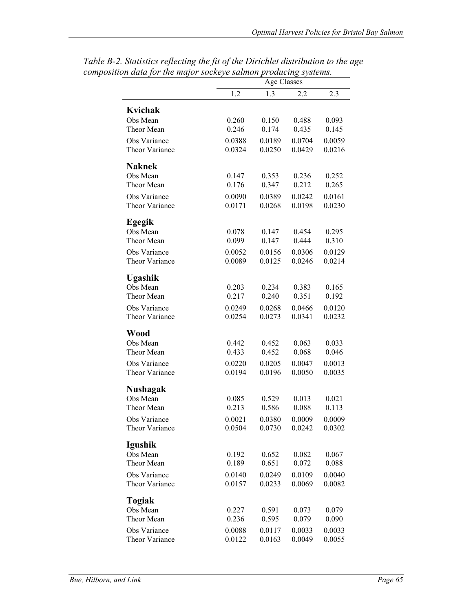|                 | $\mu$ outlook systems.<br><b>Age Classes</b> |        |        |        |  |  |  |  |  |
|-----------------|----------------------------------------------|--------|--------|--------|--|--|--|--|--|
|                 | 1.2                                          | 1.3    | 2.2    | 2.3    |  |  |  |  |  |
| Kvichak         |                                              |        |        |        |  |  |  |  |  |
| Obs Mean        | 0.260                                        | 0.150  | 0.488  | 0.093  |  |  |  |  |  |
| Theor Mean      | 0.246                                        | 0.174  | 0.435  | 0.145  |  |  |  |  |  |
| Obs Variance    | 0.0388                                       | 0.0189 | 0.0704 | 0.0059 |  |  |  |  |  |
| Theor Variance  | 0.0324                                       | 0.0250 | 0.0429 | 0.0216 |  |  |  |  |  |
| <b>Naknek</b>   |                                              |        |        |        |  |  |  |  |  |
| Obs Mean        | 0.147                                        | 0.353  | 0.236  | 0.252  |  |  |  |  |  |
| Theor Mean      | 0.176                                        | 0.347  | 0.212  | 0.265  |  |  |  |  |  |
| Obs Variance    | 0.0090                                       | 0.0389 | 0.0242 | 0.0161 |  |  |  |  |  |
| Theor Variance  | 0.0171                                       | 0.0268 | 0.0198 | 0.0230 |  |  |  |  |  |
| Egegik          |                                              |        |        |        |  |  |  |  |  |
| Obs Mean        | 0.078                                        | 0.147  | 0.454  | 0.295  |  |  |  |  |  |
| Theor Mean      | 0.099                                        | 0.147  | 0.444  | 0.310  |  |  |  |  |  |
| Obs Variance    | 0.0052                                       | 0.0156 | 0.0306 | 0.0129 |  |  |  |  |  |
| Theor Variance  | 0.0089                                       | 0.0125 | 0.0246 | 0.0214 |  |  |  |  |  |
| <b>Ugashik</b>  |                                              |        |        |        |  |  |  |  |  |
| Obs Mean        | 0.203                                        | 0.234  | 0.383  | 0.165  |  |  |  |  |  |
| Theor Mean      | 0.217                                        | 0.240  | 0.351  | 0.192  |  |  |  |  |  |
| Obs Variance    | 0.0249                                       | 0.0268 | 0.0466 | 0.0120 |  |  |  |  |  |
| Theor Variance  | 0.0254                                       | 0.0273 | 0.0341 | 0.0232 |  |  |  |  |  |
| Wood            |                                              |        |        |        |  |  |  |  |  |
| Obs Mean        | 0.442                                        | 0.452  | 0.063  | 0.033  |  |  |  |  |  |
| Theor Mean      | 0.433                                        | 0.452  | 0.068  | 0.046  |  |  |  |  |  |
| Obs Variance    | 0.0220                                       | 0.0205 | 0.0047 | 0.0013 |  |  |  |  |  |
| Theor Variance  | 0.0194                                       | 0.0196 | 0.0050 | 0.0035 |  |  |  |  |  |
| <b>Nushagak</b> |                                              |        |        |        |  |  |  |  |  |
| Obs Mean        | 0.085                                        | 0.529  | 0.013  | 0.021  |  |  |  |  |  |
| Theor Mean      | 0.213                                        | 0.586  | 0.088  | 0.113  |  |  |  |  |  |
| Obs Variance    | 0 0 0 2 1                                    | 0.0380 | 0.0009 | 0.0009 |  |  |  |  |  |
| Theor Variance  | 0.0504                                       | 0.0730 | 0.0242 | 0.0302 |  |  |  |  |  |
| Igushik         |                                              |        |        |        |  |  |  |  |  |
| Obs Mean        | 0.192                                        | 0.652  | 0.082  | 0.067  |  |  |  |  |  |
| Theor Mean      | 0.189                                        | 0.651  | 0.072  | 0.088  |  |  |  |  |  |
| Obs Variance    | 0.0140                                       | 0.0249 | 0.0109 | 0.0040 |  |  |  |  |  |
| Theor Variance  | 0.0157                                       | 0.0233 | 0.0069 | 0.0082 |  |  |  |  |  |
| Togiak          |                                              |        |        |        |  |  |  |  |  |
| Obs Mean        | 0.227                                        | 0.591  | 0.073  | 0.079  |  |  |  |  |  |
| Theor Mean      | 0.236                                        | 0.595  | 0.079  | 0.090  |  |  |  |  |  |
| Obs Variance    | 0.0088                                       | 0.0117 | 0.0033 | 0.0033 |  |  |  |  |  |
| Theor Variance  | 0.0122                                       | 0.0163 | 0.0049 | 0.0055 |  |  |  |  |  |

*Table B-2. Statistics reflecting the fit of the Dirichlet distribution to the age composition data for the major sockeye salmon producing systems.*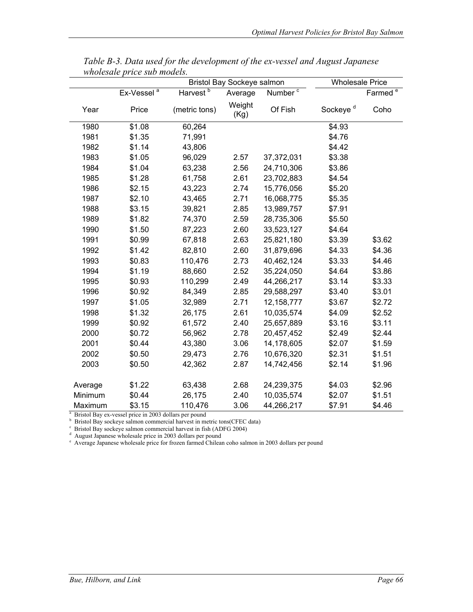|         |                                                       | Bristol Bay Sockeye salmon<br><b>Wholesale Price</b>                                                                                                                                                                                                                                                          |                |                     |                      |                     |
|---------|-------------------------------------------------------|---------------------------------------------------------------------------------------------------------------------------------------------------------------------------------------------------------------------------------------------------------------------------------------------------------------|----------------|---------------------|----------------------|---------------------|
|         | Ex-Vessel <sup>a</sup>                                | Harvest <sup>b</sup>                                                                                                                                                                                                                                                                                          | Average        | Number <sup>c</sup> |                      | Farmed <sup>e</sup> |
| Year    | Price                                                 | (metric tons)                                                                                                                                                                                                                                                                                                 | Weight<br>(Kg) | Of Fish             | Sockeye <sup>d</sup> | Coho                |
| 1980    | \$1.08                                                | 60,264                                                                                                                                                                                                                                                                                                        |                |                     | \$4.93               |                     |
| 1981    | \$1.35                                                | 71,991                                                                                                                                                                                                                                                                                                        |                |                     | \$4.76               |                     |
| 1982    | \$1.14                                                | 43,806                                                                                                                                                                                                                                                                                                        |                |                     | \$4.42               |                     |
| 1983    | \$1.05                                                | 96,029                                                                                                                                                                                                                                                                                                        | 2.57           | 37,372,031          | \$3.38               |                     |
| 1984    | \$1.04                                                | 63,238                                                                                                                                                                                                                                                                                                        | 2.56           | 24,710,306          | \$3.86               |                     |
| 1985    | \$1.28                                                | 61,758                                                                                                                                                                                                                                                                                                        | 2.61           | 23,702,883          | \$4.54               |                     |
| 1986    | \$2.15                                                | 43,223                                                                                                                                                                                                                                                                                                        | 2.74           | 15,776,056          | \$5.20               |                     |
| 1987    | \$2.10                                                | 43,465                                                                                                                                                                                                                                                                                                        | 2.71           | 16,068,775          | \$5.35               |                     |
| 1988    | \$3.15                                                | 39,821                                                                                                                                                                                                                                                                                                        | 2.85           | 13,989,757          | \$7.91               |                     |
| 1989    | \$1.82                                                | 74,370                                                                                                                                                                                                                                                                                                        | 2.59           | 28,735,306          | \$5.50               |                     |
| 1990    | \$1.50                                                | 87,223                                                                                                                                                                                                                                                                                                        | 2.60           | 33,523,127          | \$4.64               |                     |
| 1991    | \$0.99                                                | 67,818                                                                                                                                                                                                                                                                                                        | 2.63           | 25,821,180          | \$3.39               | \$3.62              |
| 1992    | \$1.42                                                | 82,810                                                                                                                                                                                                                                                                                                        | 2.60           | 31,879,696          | \$4.33               | \$4.36              |
| 1993    | \$0.83                                                | 110,476                                                                                                                                                                                                                                                                                                       | 2.73           | 40,462,124          | \$3.33               | \$4.46              |
| 1994    | \$1.19                                                | 88,660                                                                                                                                                                                                                                                                                                        | 2.52           | 35,224,050          | \$4.64               | \$3.86              |
| 1995    | \$0.93                                                | 110,299                                                                                                                                                                                                                                                                                                       | 2.49           | 44,266,217          | \$3.14               | \$3.33              |
| 1996    | \$0.92                                                | 84,349                                                                                                                                                                                                                                                                                                        | 2.85           | 29,588,297          | \$3.40               | \$3.01              |
| 1997    | \$1.05                                                | 32,989                                                                                                                                                                                                                                                                                                        | 2.71           | 12,158,777          | \$3.67               | \$2.72              |
| 1998    | \$1.32                                                | 26,175                                                                                                                                                                                                                                                                                                        | 2.61           | 10,035,574          | \$4.09               | \$2.52              |
| 1999    | \$0.92                                                | 61,572                                                                                                                                                                                                                                                                                                        | 2.40           | 25,657,889          | \$3.16               | \$3.11              |
| 2000    | \$0.72                                                | 56,962                                                                                                                                                                                                                                                                                                        | 2.78           | 20,457,452          | \$2.49               | \$2.44              |
| 2001    | \$0.44                                                | 43,380                                                                                                                                                                                                                                                                                                        | 3.06           | 14,178,605          | \$2.07               | \$1.59              |
| 2002    | \$0.50                                                | 29,473                                                                                                                                                                                                                                                                                                        | 2.76           | 10,676,320          | \$2.31               | \$1.51              |
| 2003    | \$0.50                                                | 42,362                                                                                                                                                                                                                                                                                                        | 2.87           | 14,742,456          | \$2.14               | \$1.96              |
| Average | \$1.22                                                | 63,438                                                                                                                                                                                                                                                                                                        | 2.68           | 24,239,375          | \$4.03               | \$2.96              |
| Minimum | \$0.44                                                | 26,175                                                                                                                                                                                                                                                                                                        | 2.40           | 10,035,574          | \$2.07               | \$1.51              |
| Maximum | \$3.15                                                | 110,476                                                                                                                                                                                                                                                                                                       | 3.06           | 44,266,217          | \$7.91               | \$4.46              |
|         | Bristol Bay ex-vessel price in 2003 dollars per pound | Bristol Bay sockeye salmon commercial harvest in metric tons(CFEC data)<br>Bristol Bay sockeye salmon commercial harvest in fish (ADFG 2004)<br>August Japanese wholesale price in 2003 dollars per pound<br>Average Japanese wholesale price for frozen farmed Chilean coho salmon in 2003 dollars per pound |                |                     |                      |                     |

*Table B-3. Data used for the development of the ex-vessel and August Japanese wholesale price sub models.*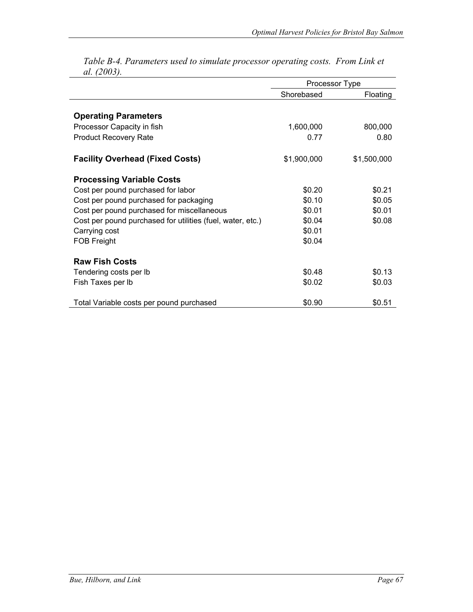|                                                            | Processor Type |             |  |  |
|------------------------------------------------------------|----------------|-------------|--|--|
|                                                            | Shorebased     | Floating    |  |  |
|                                                            |                |             |  |  |
| <b>Operating Parameters</b>                                |                |             |  |  |
| Processor Capacity in fish                                 | 1,600,000      | 800,000     |  |  |
| <b>Product Recovery Rate</b>                               | 0.77           | 0.80        |  |  |
| <b>Facility Overhead (Fixed Costs)</b>                     | \$1,900,000    | \$1,500,000 |  |  |
| <b>Processing Variable Costs</b>                           |                |             |  |  |
| Cost per pound purchased for labor                         | \$0.20         | \$0.21      |  |  |
| Cost per pound purchased for packaging                     | \$0.10         | \$0.05      |  |  |
| Cost per pound purchased for miscellaneous                 | \$0.01         | \$0.01      |  |  |
| Cost per pound purchased for utilities (fuel, water, etc.) | \$0.04         | \$0.08      |  |  |
| Carrying cost                                              | \$0.01         |             |  |  |
| <b>FOB Freight</b>                                         | \$0.04         |             |  |  |
| <b>Raw Fish Costs</b>                                      |                |             |  |  |
| Tendering costs per Ib                                     | \$0.48         | \$0.13      |  |  |
| Fish Taxes per Ib                                          | \$0.02         | \$0.03      |  |  |
| Total Variable costs per pound purchased                   | \$0.90         | \$0.51      |  |  |

*Table B-4. Parameters used to simulate processor operating costs. From Link et al. (2003).*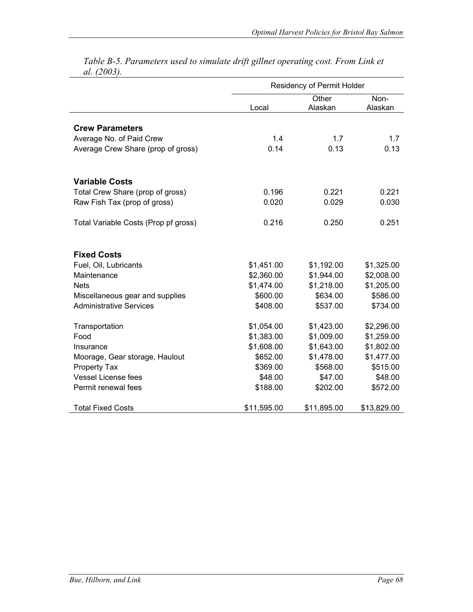|                                      |             | Residency of Permit Holder |                 |
|--------------------------------------|-------------|----------------------------|-----------------|
|                                      | Local       | Other<br>Alaskan           | Non-<br>Alaskan |
| <b>Crew Parameters</b>               |             |                            |                 |
| Average No. of Paid Crew             | 1.4         | 1.7                        | 1.7             |
| Average Crew Share (prop of gross)   | 0.14        | 0.13                       | 0.13            |
| <b>Variable Costs</b>                |             |                            |                 |
| Total Crew Share (prop of gross)     | 0.196       | 0.221                      | 0.221           |
| Raw Fish Tax (prop of gross)         | 0.020       | 0.029                      | 0.030           |
| Total Variable Costs (Prop pf gross) | 0.216       | 0.250                      | 0.251           |
| <b>Fixed Costs</b>                   |             |                            |                 |
| Fuel, Oil, Lubricants                | \$1,451.00  | \$1,192.00                 | \$1,325.00      |
| Maintenance                          | \$2,360.00  | \$1,944.00                 | \$2,008.00      |
| <b>Nets</b>                          | \$1,474.00  | \$1,218.00                 | \$1,205.00      |
| Miscellaneous gear and supplies      | \$600.00    | \$634.00                   | \$586.00        |
| <b>Administrative Services</b>       | \$408.00    | \$537.00                   | \$734.00        |
| Transportation                       | \$1,054.00  | \$1,423.00                 | \$2,296.00      |
| Food                                 | \$1,383.00  | \$1,009.00                 | \$1,259.00      |
| Insurance                            | \$1,608.00  | \$1,643.00                 | \$1,802.00      |
| Moorage, Gear storage, Haulout       | \$652.00    | \$1,478.00                 | \$1,477.00      |
| Property Tax                         | \$369.00    | \$568.00                   | \$515.00        |
| <b>Vessel License fees</b>           | \$48.00     | \$47.00                    | \$48.00         |
| Permit renewal fees                  | \$188.00    | \$202.00                   | \$572.00        |
| Total Fixed Costs                    | \$11,595.00 | \$11,895.00                | \$13,829.00     |

*Table B-5. Parameters used to simulate drift gillnet operating cost. From Link et al. (2003).*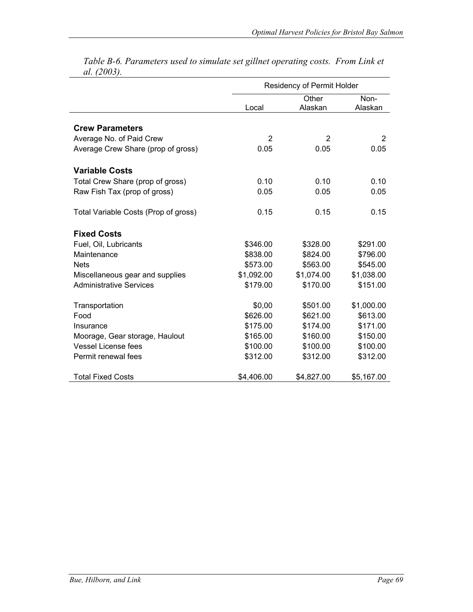|                                      |                | Residency of Permit Holder |                 |
|--------------------------------------|----------------|----------------------------|-----------------|
|                                      | Local          | Other<br>Alaskan           | Non-<br>Alaskan |
| <b>Crew Parameters</b>               |                |                            |                 |
| Average No. of Paid Crew             | $\overline{2}$ | 2                          | 2               |
| Average Crew Share (prop of gross)   | 0.05           | 0.05                       | 0.05            |
| <b>Variable Costs</b>                |                |                            |                 |
| Total Crew Share (prop of gross)     | 0.10           | 0.10                       | 0.10            |
| Raw Fish Tax (prop of gross)         | 0.05           | 0.05                       | 0.05            |
| Total Variable Costs (Prop of gross) | 0.15           | 0.15                       | 0.15            |
| <b>Fixed Costs</b>                   |                |                            |                 |
| Fuel, Oil, Lubricants                | \$346.00       | \$328.00                   | \$291.00        |
| Maintenance                          | \$838.00       | \$824.00                   | \$796.00        |
| <b>Nets</b>                          | \$573.00       | \$563.00                   | \$545.00        |
| Miscellaneous gear and supplies      | \$1,092.00     | \$1,074.00                 | \$1,038.00      |
| <b>Administrative Services</b>       | \$179.00       | \$170.00                   | \$151.00        |
| Transportation                       | \$0,00         | \$501.00                   | \$1,000.00      |
| Food                                 | \$626.00       | \$621.00                   | \$613.00        |
| Insurance                            | \$175.00       | \$174.00                   | \$171.00        |
| Moorage, Gear storage, Haulout       | \$165.00       | \$160.00                   | \$150.00        |
| <b>Vessel License fees</b>           | \$100.00       | \$100.00                   | \$100.00        |
| Permit renewal fees                  | \$312.00       | \$312.00                   | \$312.00        |
| <b>Total Fixed Costs</b>             | \$4,406.00     | \$4,827.00                 | \$5,167.00      |

*Table B-6. Parameters used to simulate set gillnet operating costs. From Link et al. (2003).*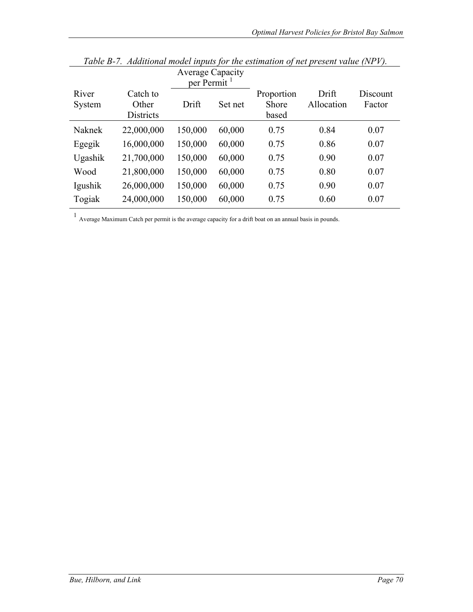|                 |                                       | <b>Average Capacity</b><br>per Permit <sup>1</sup> |         |                                     |                     |                    |
|-----------------|---------------------------------------|----------------------------------------------------|---------|-------------------------------------|---------------------|--------------------|
| River<br>System | Catch to<br>Other<br><b>Districts</b> | Drift                                              | Set net | Proportion<br><b>Shore</b><br>based | Drift<br>Allocation | Discount<br>Factor |
| Naknek          | 22,000,000                            | 150,000                                            | 60,000  | 0.75                                | 0.84                | 0.07               |
| Egegik          | 16,000,000                            | 150,000                                            | 60,000  | 0.75                                | 0.86                | 0.07               |
| Ugashik         | 21,700,000                            | 150,000                                            | 60,000  | 0.75                                | 0.90                | 0.07               |
| Wood            | 21,800,000                            | 150,000                                            | 60,000  | 0.75                                | 0.80                | 0.07               |
| Igushik         | 26,000,000                            | 150,000                                            | 60,000  | 0.75                                | 0.90                | 0.07               |
| Togiak          | 24,000,000                            | 150,000                                            | 60,000  | 0.75                                | 0.60                | 0.07               |

*Table B-7. Additional model inputs for the estimation of net present value (NPV).* 

 $1$  Average Maximum Catch per permit is the average capacity for a drift boat on an annual basis in pounds.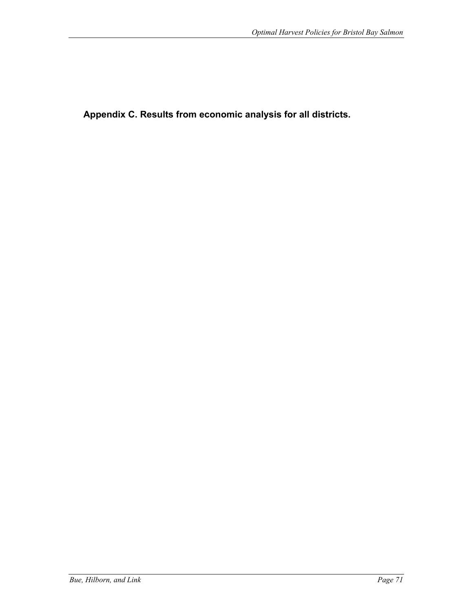**Appendix C. Results from economic analysis for all districts.**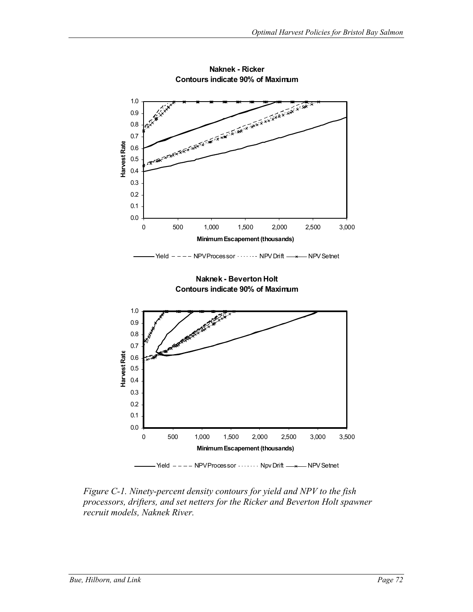

**Naknek - Ricker Contours indicate 90% of Maximum**

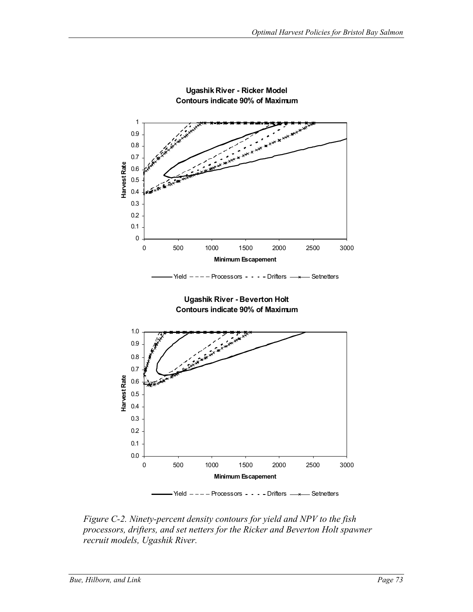

**Ugashik River - Ricker Model Contours indicate 90% of Maximum**

*Figure C-2. Ninety-percent density contours for yield and NPV to the fish processors, drifters, and set netters for the Ricker and Beverton Holt spawner recruit models, Ugashik River.*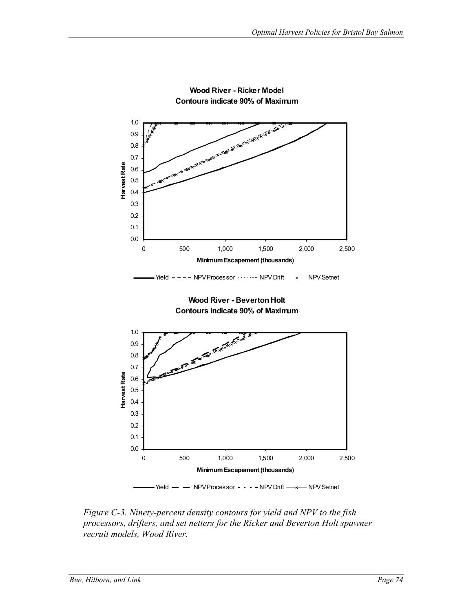

**Wood River - Ricker Model Contours indicate 90% of Maximum**

*Figure C-3. Ninety-percent density contours for yield and NPV to the fish processors, drifters, and set netters for the Ricker and Beverton Holt spawner recruit models, Wood River.*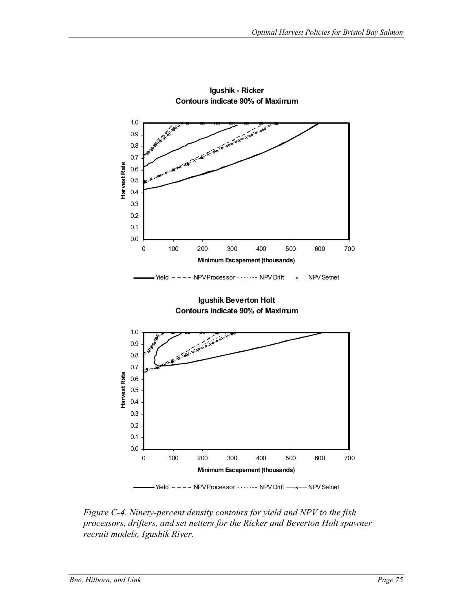

**Igushik - Ricker Contours indicate 90% of Maximum**

*Figure C-4. Ninety-percent density contours for yield and NPV to the fish processors, drifters, and set netters for the Ricker and Beverton Holt spawner recruit models, Igushik River.*